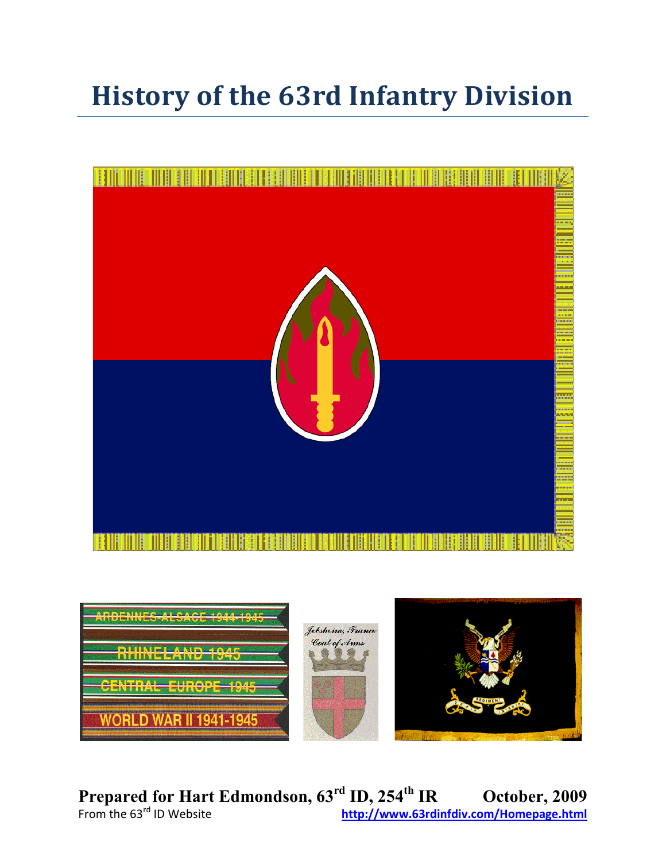# **History of the 63rd Infantry Division**





**Prepared for Hart Edmondson, 63rd ID, 254th IR October, 2009** From the 63rd ID Website **<http://www.63rdinfdiv.com/Homepage.html>**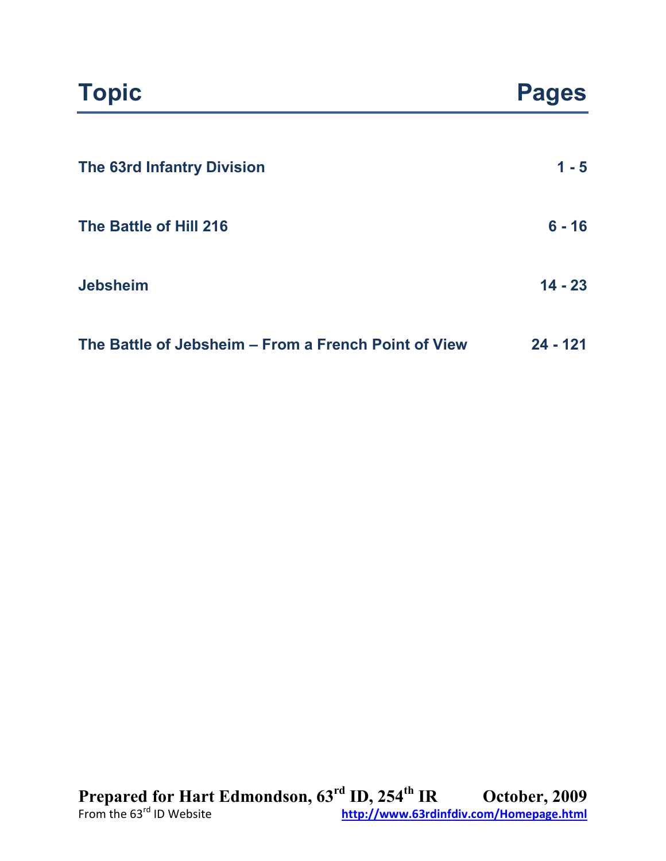| <b>The 63rd Infantry Division</b> | $1 - 5$   |
|-----------------------------------|-----------|
| The Battle of Hill 216            | $6 - 16$  |
| <b>Jebsheim</b>                   | $14 - 23$ |

| The Battle of Jebsheim – From a French Point of View | $24 - 121$ |
|------------------------------------------------------|------------|
|                                                      |            |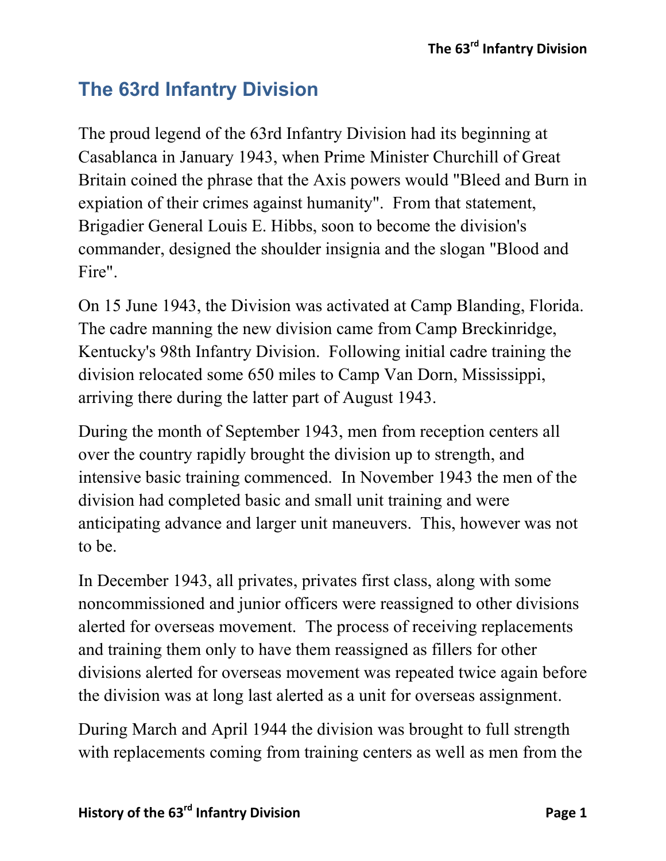# **The 63rd Infantry Division**

The proud legend of the 63rd Infantry Division had its beginning at Casablanca in January 1943, when Prime Minister Churchill of Great Britain coined the phrase that the Axis powers would "Bleed and Burn in expiation of their crimes against humanity". From that statement, Brigadier General Louis E. Hibbs, soon to become the division's commander, designed the shoulder insignia and the slogan "Blood and Fire".

On 15 June 1943, the Division was activated at Camp Blanding, Florida. The cadre manning the new division came from Camp Breckinridge, Kentucky's 98th Infantry Division. Following initial cadre training the division relocated some 650 miles to Camp Van Dorn, Mississippi, arriving there during the latter part of August 1943.

During the month of September 1943, men from reception centers all over the country rapidly brought the division up to strength, and intensive basic training commenced. In November 1943 the men of the division had completed basic and small unit training and were anticipating advance and larger unit maneuvers. This, however was not to be.

In December 1943, all privates, privates first class, along with some noncommissioned and junior officers were reassigned to other divisions alerted for overseas movement. The process of receiving replacements and training them only to have them reassigned as fillers for other divisions alerted for overseas movement was repeated twice again before the division was at long last alerted as a unit for overseas assignment.

During March and April 1944 the division was brought to full strength with replacements coming from training centers as well as men from the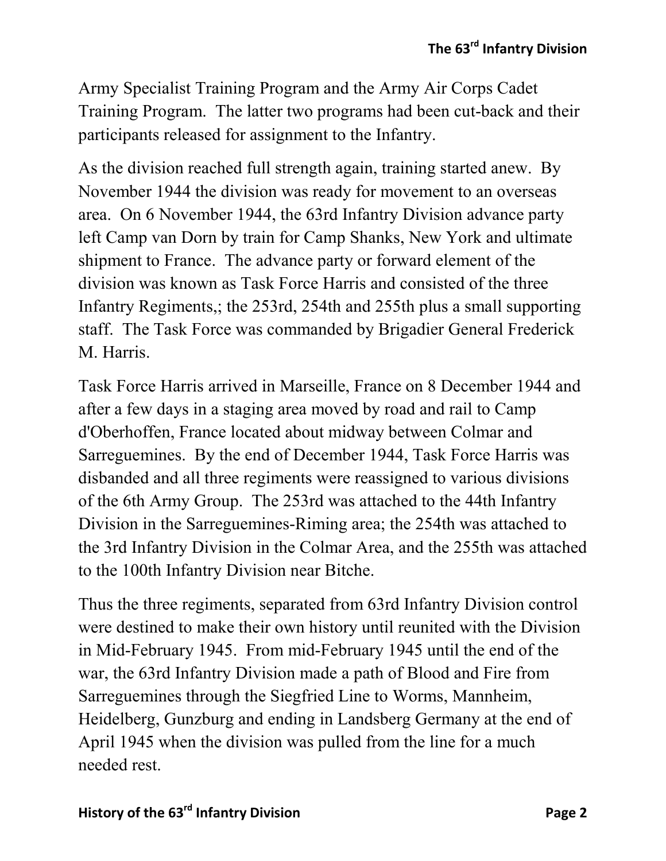Army Specialist Training Program and the Army Air Corps Cadet Training Program. The latter two programs had been cut-back and their participants released for assignment to the Infantry.

As the division reached full strength again, training started anew. By November 1944 the division was ready for movement to an overseas area. On 6 November 1944, the 63rd Infantry Division advance party left Camp van Dorn by train for Camp Shanks, New York and ultimate shipment to France. The advance party or forward element of the division was known as Task Force Harris and consisted of the three Infantry Regiments,; the 253rd, 254th and 255th plus a small supporting staff. The Task Force was commanded by Brigadier General Frederick M. Harris.

Task Force Harris arrived in Marseille, France on 8 December 1944 and after a few days in a staging area moved by road and rail to Camp d'Oberhoffen, France located about midway between Colmar and Sarreguemines. By the end of December 1944, Task Force Harris was disbanded and all three regiments were reassigned to various divisions of the 6th Army Group. The 253rd was attached to the 44th Infantry Division in the Sarreguemines-Riming area; the 254th was attached to the 3rd Infantry Division in the Colmar Area, and the 255th was attached to the 100th Infantry Division near Bitche.

Thus the three regiments, separated from 63rd Infantry Division control were destined to make their own history until reunited with the Division in Mid-February 1945. From mid-February 1945 until the end of the war, the 63rd Infantry Division made a path of Blood and Fire from Sarreguemines through the Siegfried Line to Worms, Mannheim, Heidelberg, Gunzburg and ending in Landsberg Germany at the end of April 1945 when the division was pulled from the line for a much needed rest.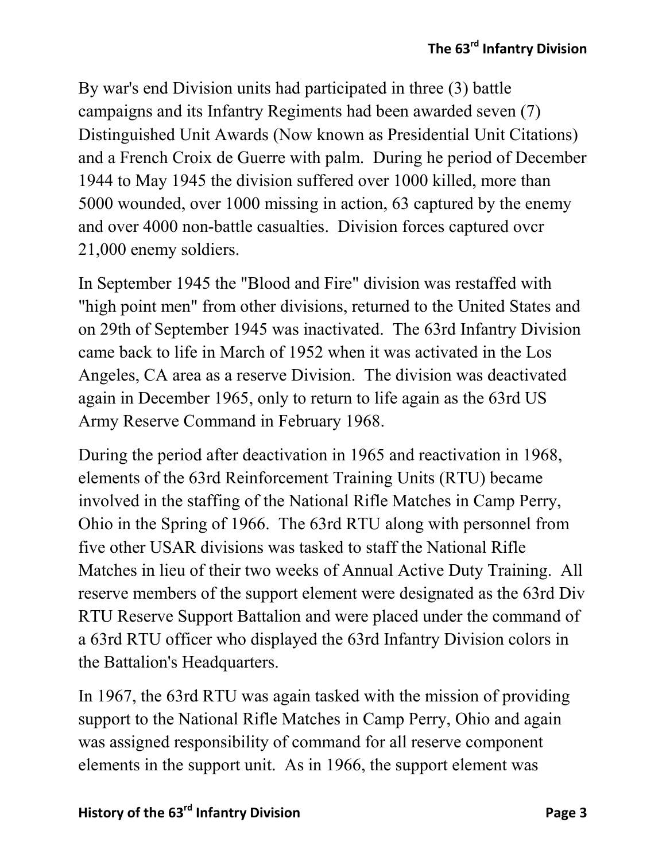By war's end Division units had participated in three (3) battle campaigns and its Infantry Regiments had been awarded seven (7) Distinguished Unit Awards (Now known as Presidential Unit Citations) and a French Croix de Guerre with palm. During he period of December 1944 to May 1945 the division suffered over 1000 killed, more than 5000 wounded, over 1000 missing in action, 63 captured by the enemy and over 4000 non-battle casualties. Division forces captured ovcr 21,000 enemy soldiers.

In September 1945 the "Blood and Fire" division was restaffed with "high point men" from other divisions, returned to the United States and on 29th of September 1945 was inactivated. The 63rd Infantry Division came back to life in March of 1952 when it was activated in the Los Angeles, CA area as a reserve Division. The division was deactivated again in December 1965, only to return to life again as the 63rd US Army Reserve Command in February 1968.

During the period after deactivation in 1965 and reactivation in 1968, elements of the 63rd Reinforcement Training Units (RTU) became involved in the staffing of the National Rifle Matches in Camp Perry, Ohio in the Spring of 1966. The 63rd RTU along with personnel from five other USAR divisions was tasked to staff the National Rifle Matches in lieu of their two weeks of Annual Active Duty Training. All reserve members of the support element were designated as the 63rd Div RTU Reserve Support Battalion and were placed under the command of a 63rd RTU officer who displayed the 63rd Infantry Division colors in the Battalion's Headquarters.

In 1967, the 63rd RTU was again tasked with the mission of providing support to the National Rifle Matches in Camp Perry, Ohio and again was assigned responsibility of command for all reserve component elements in the support unit. As in 1966, the support element was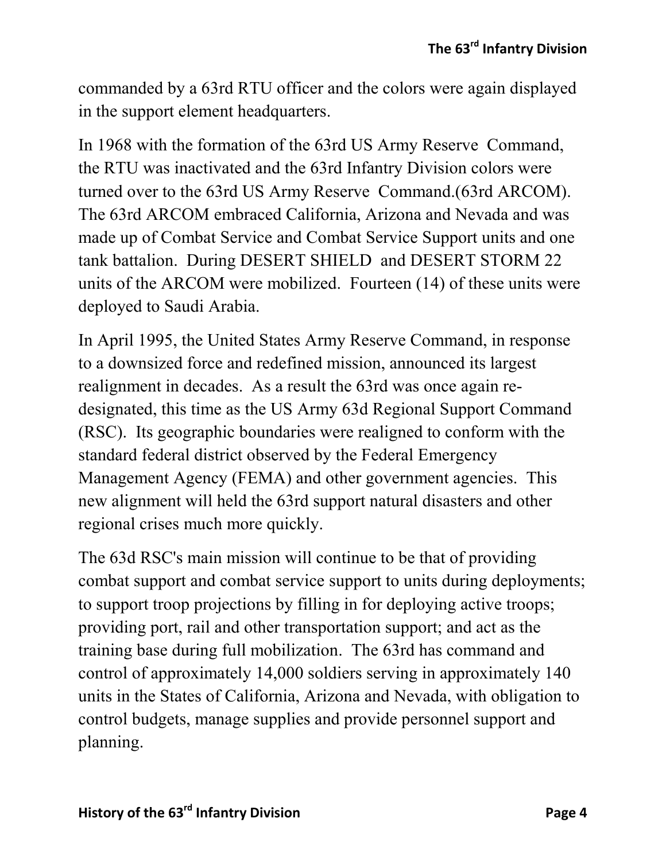commanded by a 63rd RTU officer and the colors were again displayed in the support element headquarters.

In 1968 with the formation of the 63rd US Army Reserve Command, the RTU was inactivated and the 63rd Infantry Division colors were turned over to the 63rd US Army Reserve Command.(63rd ARCOM). The 63rd ARCOM embraced California, Arizona and Nevada and was made up of Combat Service and Combat Service Support units and one tank battalion. During DESERT SHIELD and DESERT STORM 22 units of the ARCOM were mobilized. Fourteen (14) of these units were deployed to Saudi Arabia.

In April 1995, the United States Army Reserve Command, in response to a downsized force and redefined mission, announced its largest realignment in decades. As a result the 63rd was once again redesignated, this time as the US Army 63d Regional Support Command (RSC). Its geographic boundaries were realigned to conform with the standard federal district observed by the Federal Emergency Management Agency (FEMA) and other government agencies. This new alignment will held the 63rd support natural disasters and other regional crises much more quickly.

The 63d RSC's main mission will continue to be that of providing combat support and combat service support to units during deployments; to support troop projections by filling in for deploying active troops; providing port, rail and other transportation support; and act as the training base during full mobilization. The 63rd has command and control of approximately 14,000 soldiers serving in approximately 140 units in the States of California, Arizona and Nevada, with obligation to control budgets, manage supplies and provide personnel support and planning.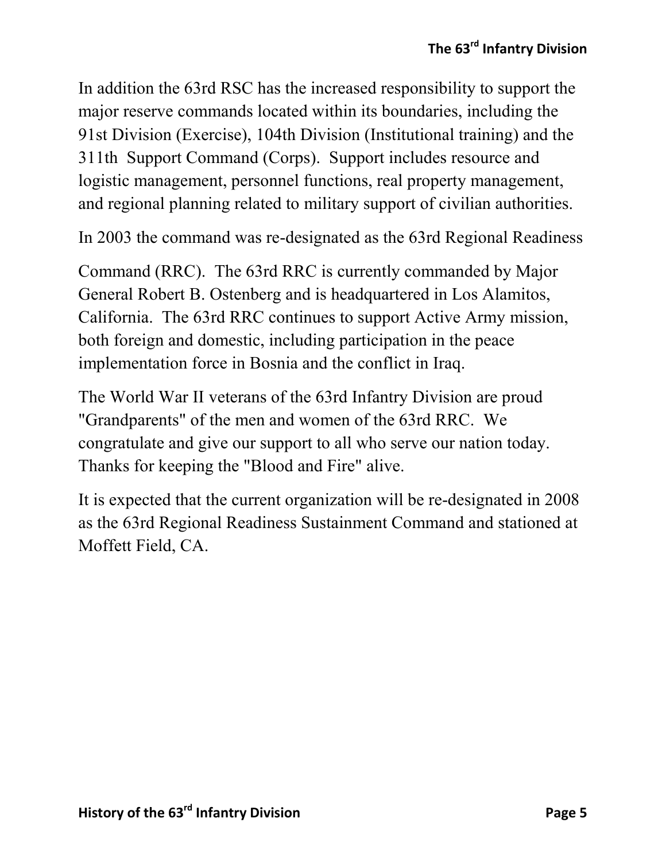In addition the 63rd RSC has the increased responsibility to support the major reserve commands located within its boundaries, including the 91st Division (Exercise), 104th Division (Institutional training) and the 311th Support Command (Corps). Support includes resource and logistic management, personnel functions, real property management, and regional planning related to military support of civilian authorities.

In 2003 the command was re-designated as the 63rd Regional Readiness

Command (RRC). The 63rd RRC is currently commanded by Major General Robert B. Ostenberg and is headquartered in Los Alamitos, California. The 63rd RRC continues to support Active Army mission, both foreign and domestic, including participation in the peace implementation force in Bosnia and the conflict in Iraq.

The World War II veterans of the 63rd Infantry Division are proud "Grandparents" of the men and women of the 63rd RRC. We congratulate and give our support to all who serve our nation today. Thanks for keeping the "Blood and Fire" alive.

It is expected that the current organization will be re-designated in 2008 as the 63rd Regional Readiness Sustainment Command and stationed at Moffett Field, CA.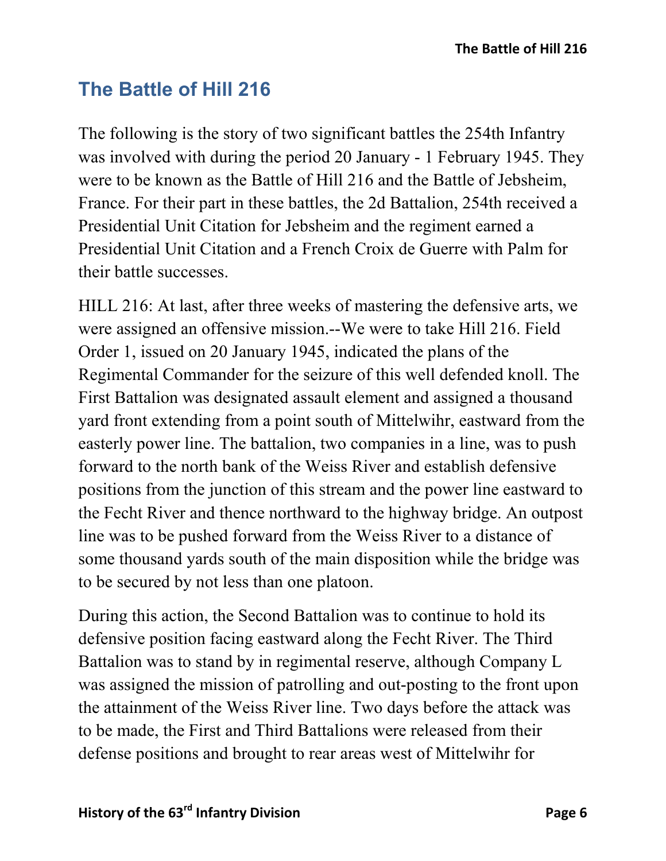# **The Battle of Hill 216**

The following is the story of two significant battles the 254th Infantry was involved with during the period 20 January - 1 February 1945. They were to be known as the Battle of Hill 216 and the Battle of Jebsheim, France. For their part in these battles, the 2d Battalion, 254th received a Presidential Unit Citation for Jebsheim and the regiment earned a Presidential Unit Citation and a French Croix de Guerre with Palm for their battle successes.

HILL 216: At last, after three weeks of mastering the defensive arts, we were assigned an offensive mission.--We were to take Hill 216. Field Order 1, issued on 20 January 1945, indicated the plans of the Regimental Commander for the seizure of this well defended knoll. The First Battalion was designated assault element and assigned a thousand yard front extending from a point south of Mittelwihr, eastward from the easterly power line. The battalion, two companies in a line, was to push forward to the north bank of the Weiss River and establish defensive positions from the junction of this stream and the power line eastward to the Fecht River and thence northward to the highway bridge. An outpost line was to be pushed forward from the Weiss River to a distance of some thousand yards south of the main disposition while the bridge was to be secured by not less than one platoon.

During this action, the Second Battalion was to continue to hold its defensive position facing eastward along the Fecht River. The Third Battalion was to stand by in regimental reserve, although Company L was assigned the mission of patrolling and out-posting to the front upon the attainment of the Weiss River line. Two days before the attack was to be made, the First and Third Battalions were released from their defense positions and brought to rear areas west of Mittelwihr for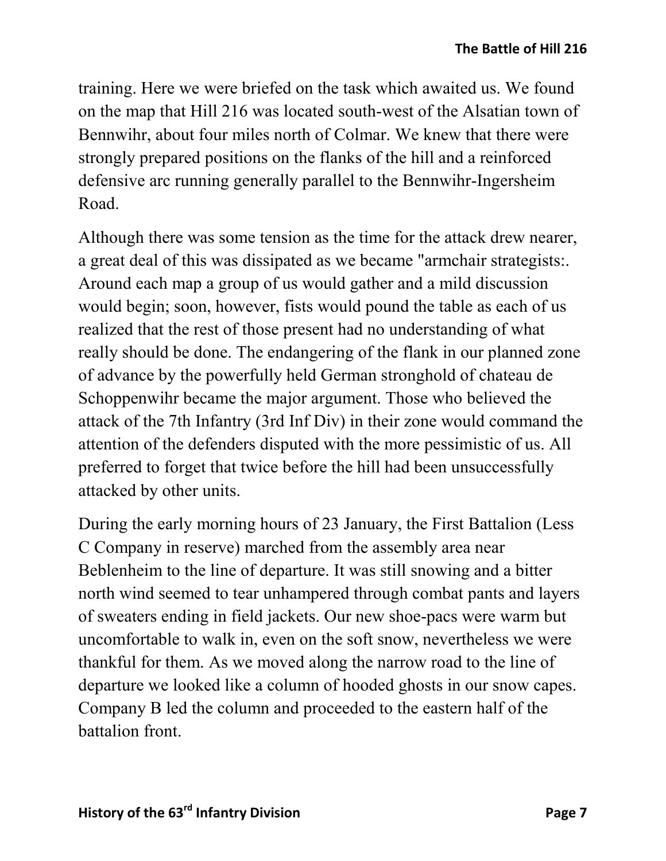training. Here we were briefed on the task which awaited us. We found on the map that Hill 216 was located south-west of the Alsatian town of Bennwihr, about four miles north of Colmar. We knew that there were strongly prepared positions on the flanks of the hill and a reinforced defensive arc running generally parallel to the Bennwihr-Ingersheim Road.

Although there was some tension as the time for the attack drew nearer, a great deal of this was dissipated as we became "armchair strategists:. Around each map a group of us would gather and a mild discussion would begin; soon, however, fists would pound the table as each of us realized that the rest of those present had no understanding of what really should be done. The endangering of the flank in our planned zone of advance by the powerfully held German stronghold of chateau de Schoppenwihr became the major argument. Those who believed the attack of the 7th Infantry (3rd Inf Div) in their zone would command the attention of the defenders disputed with the more pessimistic of us. All preferred to forget that twice before the hill had been unsuccessfully attacked by other units.

During the early morning hours of 23 January, the First Battalion (Less C Company in reserve) marched from the assembly area near Beblenheim to the line of departure. It was still snowing and a bitter north wind seemed to tear unhampered through combat pants and layers of sweaters ending in field jackets. Our new shoe-pacs were warm but uncomfortable to walk in, even on the soft snow, nevertheless we were thankful for them. As we moved along the narrow road to the line of departure we looked like a column of hooded ghosts in our snow capes. Company B led the column and proceeded to the eastern half of the battalion front.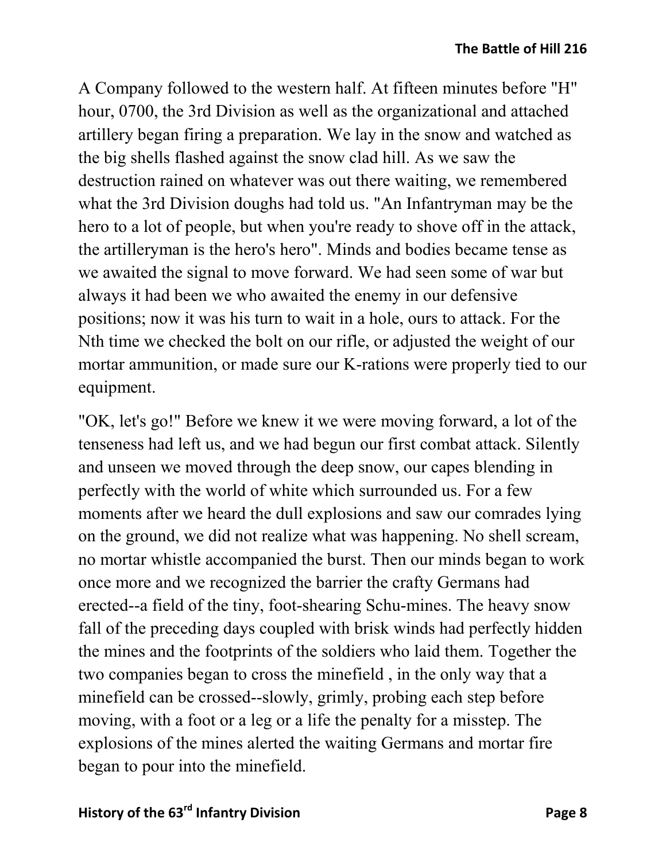A Company followed to the western half. At fifteen minutes before "H" hour, 0700, the 3rd Division as well as the organizational and attached artillery began firing a preparation. We lay in the snow and watched as the big shells flashed against the snow clad hill. As we saw the destruction rained on whatever was out there waiting, we remembered what the 3rd Division doughs had told us. "An Infantryman may be the hero to a lot of people, but when you're ready to shove off in the attack, the artilleryman is the hero's hero". Minds and bodies became tense as we awaited the signal to move forward. We had seen some of war but always it had been we who awaited the enemy in our defensive positions; now it was his turn to wait in a hole, ours to attack. For the Nth time we checked the bolt on our rifle, or adjusted the weight of our mortar ammunition, or made sure our K-rations were properly tied to our equipment.

"OK, let's go!" Before we knew it we were moving forward, a lot of the tenseness had left us, and we had begun our first combat attack. Silently and unseen we moved through the deep snow, our capes blending in perfectly with the world of white which surrounded us. For a few moments after we heard the dull explosions and saw our comrades lying on the ground, we did not realize what was happening. No shell scream, no mortar whistle accompanied the burst. Then our minds began to work once more and we recognized the barrier the crafty Germans had erected--a field of the tiny, foot-shearing Schu-mines. The heavy snow fall of the preceding days coupled with brisk winds had perfectly hidden the mines and the footprints of the soldiers who laid them. Together the two companies began to cross the minefield , in the only way that a minefield can be crossed--slowly, grimly, probing each step before moving, with a foot or a leg or a life the penalty for a misstep. The explosions of the mines alerted the waiting Germans and mortar fire began to pour into the minefield.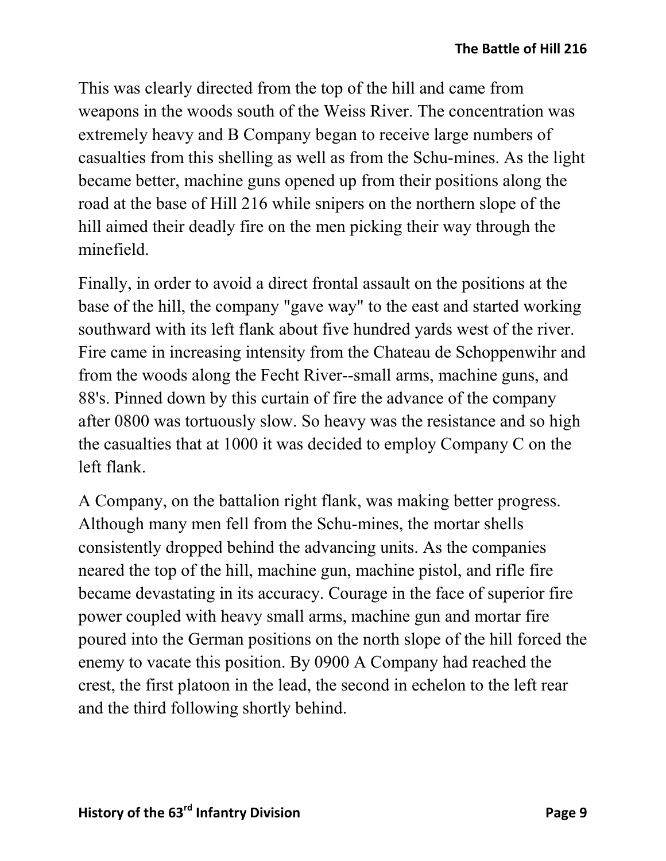This was clearly directed from the top of the hill and came from weapons in the woods south of the Weiss River. The concentration was extremely heavy and B Company began to receive large numbers of casualties from this shelling as well as from the Schu-mines. As the light became better, machine guns opened up from their positions along the road at the base of Hill 216 while snipers on the northern slope of the hill aimed their deadly fire on the men picking their way through the minefield.

Finally, in order to avoid a direct frontal assault on the positions at the base of the hill, the company "gave way" to the east and started working southward with its left flank about five hundred yards west of the river. Fire came in increasing intensity from the Chateau de Schoppenwihr and from the woods along the Fecht River--small arms, machine guns, and 88's. Pinned down by this curtain of fire the advance of the company after 0800 was tortuously slow. So heavy was the resistance and so high the casualties that at 1000 it was decided to employ Company C on the left flank.

A Company, on the battalion right flank, was making better progress. Although many men fell from the Schu-mines, the mortar shells consistently dropped behind the advancing units. As the companies neared the top of the hill, machine gun, machine pistol, and rifle fire became devastating in its accuracy. Courage in the face of superior fire power coupled with heavy small arms, machine gun and mortar fire poured into the German positions on the north slope of the hill forced the enemy to vacate this position. By 0900 A Company had reached the crest, the first platoon in the lead, the second in echelon to the left rear and the third following shortly behind.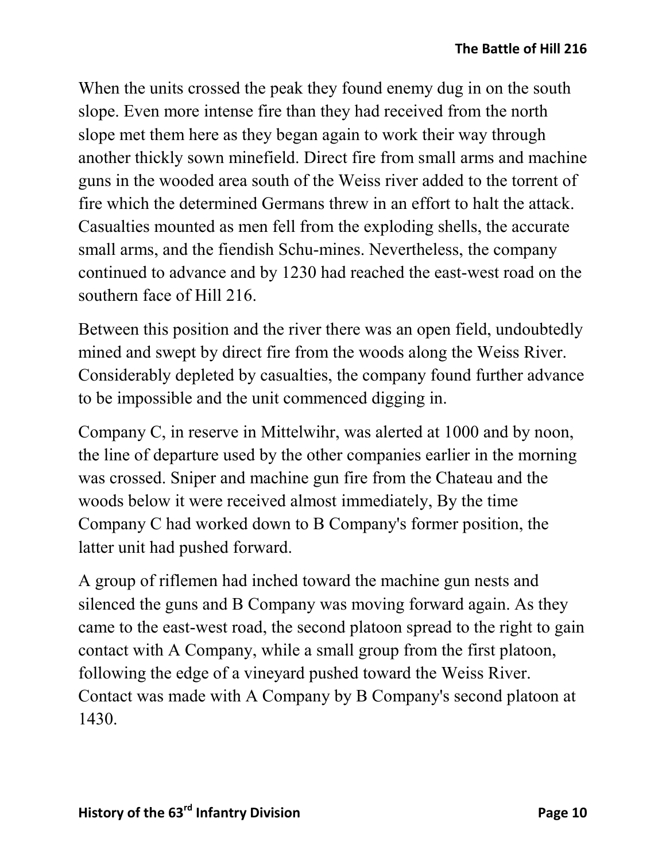When the units crossed the peak they found enemy dug in on the south slope. Even more intense fire than they had received from the north slope met them here as they began again to work their way through another thickly sown minefield. Direct fire from small arms and machine guns in the wooded area south of the Weiss river added to the torrent of fire which the determined Germans threw in an effort to halt the attack. Casualties mounted as men fell from the exploding shells, the accurate small arms, and the fiendish Schu-mines. Nevertheless, the company continued to advance and by 1230 had reached the east-west road on the southern face of Hill 216.

Between this position and the river there was an open field, undoubtedly mined and swept by direct fire from the woods along the Weiss River. Considerably depleted by casualties, the company found further advance to be impossible and the unit commenced digging in.

Company C, in reserve in Mittelwihr, was alerted at 1000 and by noon, the line of departure used by the other companies earlier in the morning was crossed. Sniper and machine gun fire from the Chateau and the woods below it were received almost immediately, By the time Company C had worked down to B Company's former position, the latter unit had pushed forward.

A group of riflemen had inched toward the machine gun nests and silenced the guns and B Company was moving forward again. As they came to the east-west road, the second platoon spread to the right to gain contact with A Company, while a small group from the first platoon, following the edge of a vineyard pushed toward the Weiss River. Contact was made with A Company by B Company's second platoon at 1430.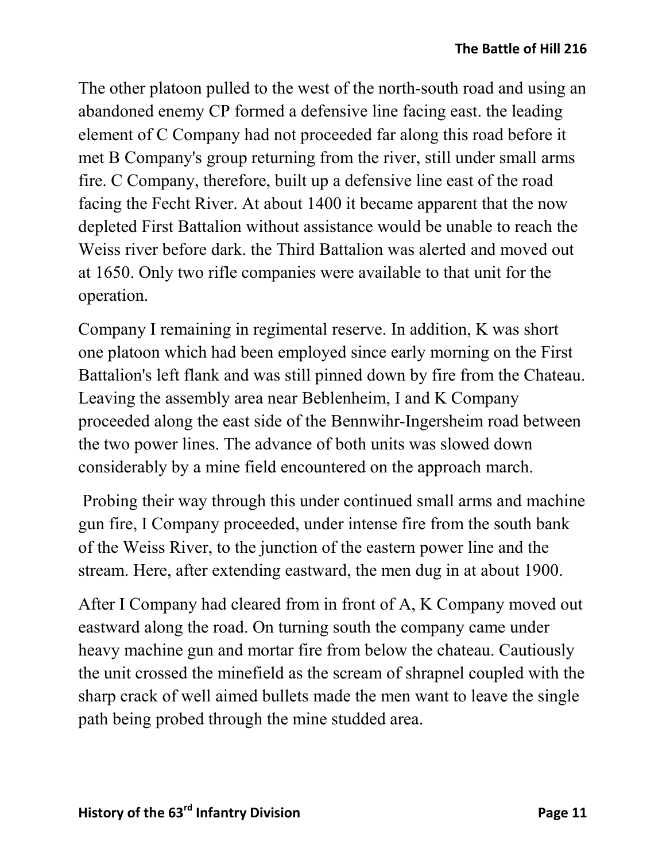The other platoon pulled to the west of the north-south road and using an abandoned enemy CP formed a defensive line facing east. the leading element of C Company had not proceeded far along this road before it met B Company's group returning from the river, still under small arms fire. C Company, therefore, built up a defensive line east of the road facing the Fecht River. At about 1400 it became apparent that the now depleted First Battalion without assistance would be unable to reach the Weiss river before dark. the Third Battalion was alerted and moved out at 1650. Only two rifle companies were available to that unit for the operation.

Company I remaining in regimental reserve. In addition, K was short one platoon which had been employed since early morning on the First Battalion's left flank and was still pinned down by fire from the Chateau. Leaving the assembly area near Beblenheim, I and K Company proceeded along the east side of the Bennwihr-Ingersheim road between the two power lines. The advance of both units was slowed down considerably by a mine field encountered on the approach march.

Probing their way through this under continued small arms and machine gun fire, I Company proceeded, under intense fire from the south bank of the Weiss River, to the junction of the eastern power line and the stream. Here, after extending eastward, the men dug in at about 1900.

After I Company had cleared from in front of A, K Company moved out eastward along the road. On turning south the company came under heavy machine gun and mortar fire from below the chateau. Cautiously the unit crossed the minefield as the scream of shrapnel coupled with the sharp crack of well aimed bullets made the men want to leave the single path being probed through the mine studded area.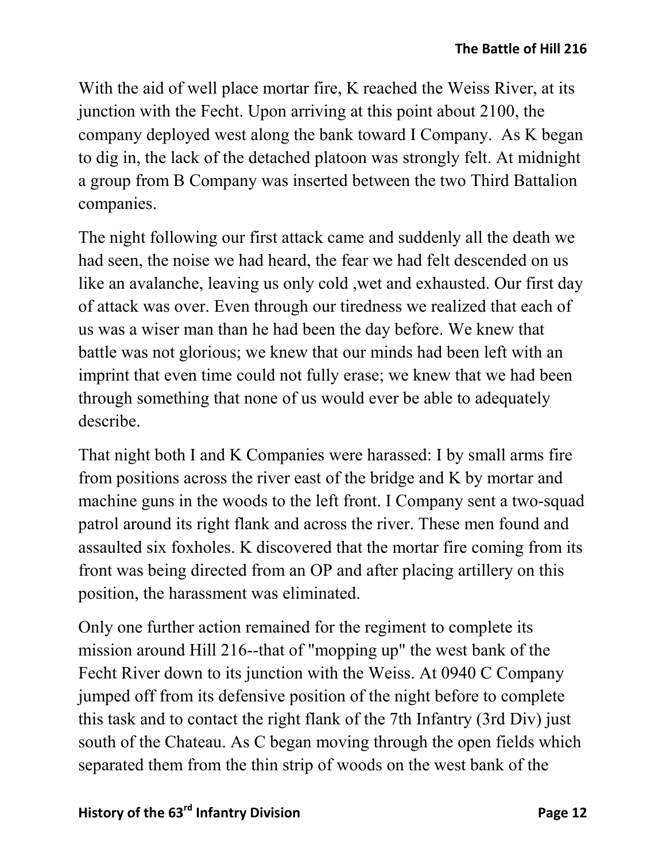With the aid of well place mortar fire, K reached the Weiss River, at its junction with the Fecht. Upon arriving at this point about 2100, the company deployed west along the bank toward I Company. As K began to dig in, the lack of the detached platoon was strongly felt. At midnight a group from B Company was inserted between the two Third Battalion companies.

The night following our first attack came and suddenly all the death we had seen, the noise we had heard, the fear we had felt descended on us like an avalanche, leaving us only cold ,wet and exhausted. Our first day of attack was over. Even through our tiredness we realized that each of us was a wiser man than he had been the day before. We knew that battle was not glorious; we knew that our minds had been left with an imprint that even time could not fully erase; we knew that we had been through something that none of us would ever be able to adequately describe.

That night both I and K Companies were harassed: I by small arms fire from positions across the river east of the bridge and K by mortar and machine guns in the woods to the left front. I Company sent a two-squad patrol around its right flank and across the river. These men found and assaulted six foxholes. K discovered that the mortar fire coming from its front was being directed from an OP and after placing artillery on this position, the harassment was eliminated.

Only one further action remained for the regiment to complete its mission around Hill 216--that of "mopping up" the west bank of the Fecht River down to its junction with the Weiss. At 0940 C Company jumped off from its defensive position of the night before to complete this task and to contact the right flank of the 7th Infantry (3rd Div) just south of the Chateau. As C began moving through the open fields which separated them from the thin strip of woods on the west bank of the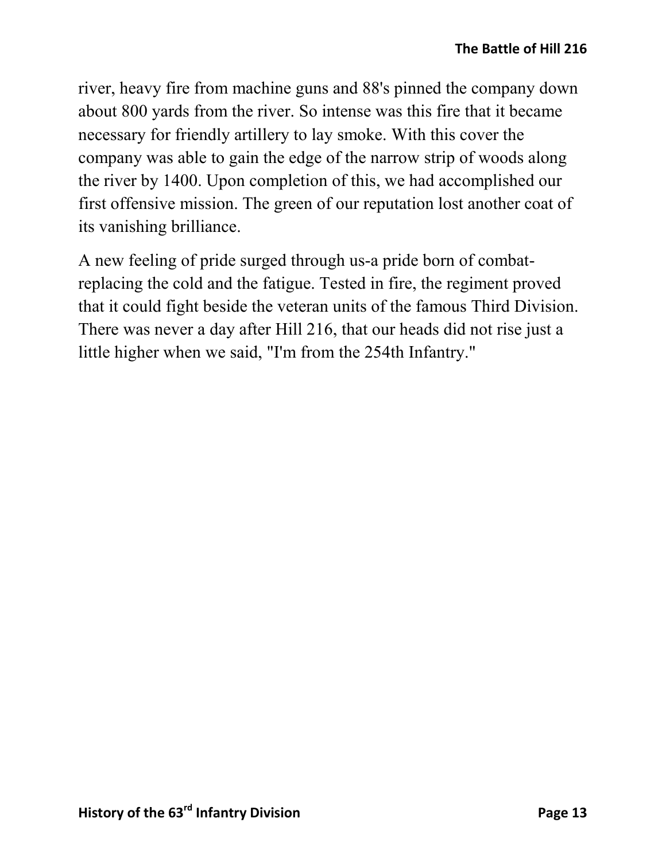river, heavy fire from machine guns and 88's pinned the company down about 800 yards from the river. So intense was this fire that it became necessary for friendly artillery to lay smoke. With this cover the company was able to gain the edge of the narrow strip of woods along the river by 1400. Upon completion of this, we had accomplished our first offensive mission. The green of our reputation lost another coat of its vanishing brilliance.

A new feeling of pride surged through us-a pride born of combatreplacing the cold and the fatigue. Tested in fire, the regiment proved that it could fight beside the veteran units of the famous Third Division. There was never a day after Hill 216, that our heads did not rise just a little higher when we said, "I'm from the 254th Infantry."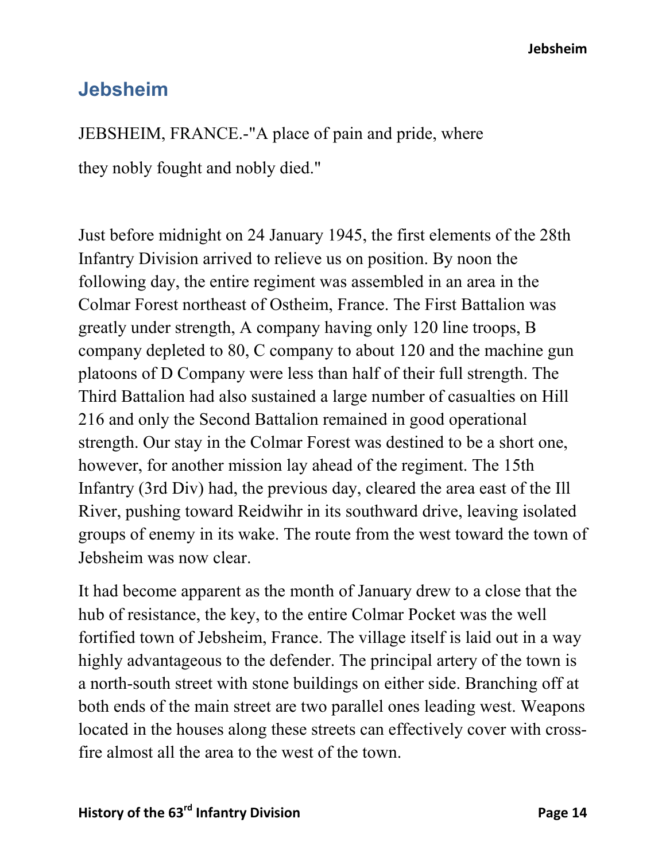**Jebsheim**

## **Jebsheim**

JEBSHEIM, FRANCE.-"A place of pain and pride, where

they nobly fought and nobly died."

Just before midnight on 24 January 1945, the first elements of the 28th Infantry Division arrived to relieve us on position. By noon the following day, the entire regiment was assembled in an area in the Colmar Forest northeast of Ostheim, France. The First Battalion was greatly under strength, A company having only 120 line troops, B company depleted to 80, C company to about 120 and the machine gun platoons of D Company were less than half of their full strength. The Third Battalion had also sustained a large number of casualties on Hill 216 and only the Second Battalion remained in good operational strength. Our stay in the Colmar Forest was destined to be a short one, however, for another mission lay ahead of the regiment. The 15th Infantry (3rd Div) had, the previous day, cleared the area east of the Ill River, pushing toward Reidwihr in its southward drive, leaving isolated groups of enemy in its wake. The route from the west toward the town of Jebsheim was now clear.

It had become apparent as the month of January drew to a close that the hub of resistance, the key, to the entire Colmar Pocket was the well fortified town of Jebsheim, France. The village itself is laid out in a way highly advantageous to the defender. The principal artery of the town is a north-south street with stone buildings on either side. Branching off at both ends of the main street are two parallel ones leading west. Weapons located in the houses along these streets can effectively cover with crossfire almost all the area to the west of the town.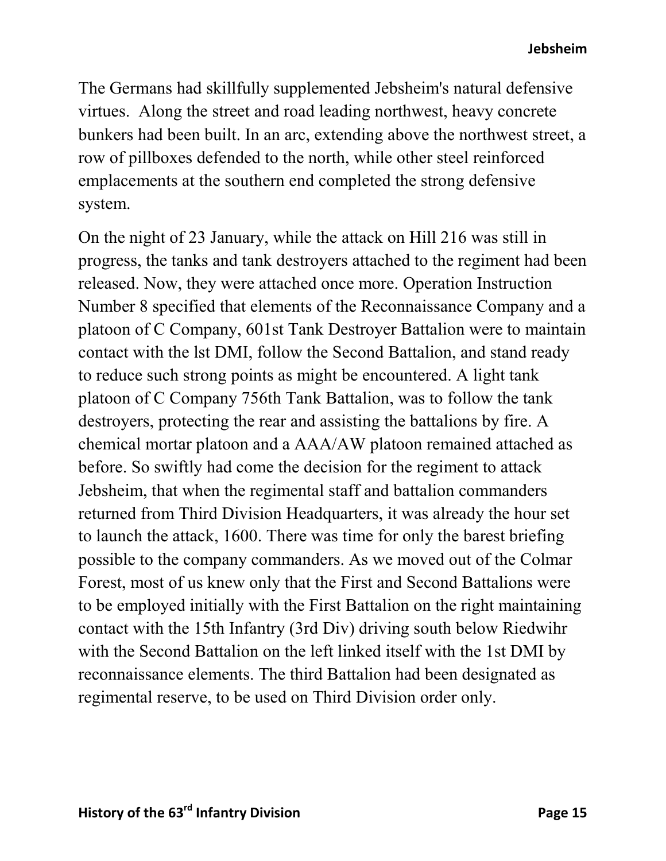The Germans had skillfully supplemented Jebsheim's natural defensive virtues. Along the street and road leading northwest, heavy concrete bunkers had been built. In an arc, extending above the northwest street, a row of pillboxes defended to the north, while other steel reinforced emplacements at the southern end completed the strong defensive system.

On the night of 23 January, while the attack on Hill 216 was still in progress, the tanks and tank destroyers attached to the regiment had been released. Now, they were attached once more. Operation Instruction Number 8 specified that elements of the Reconnaissance Company and a platoon of C Company, 601st Tank Destroyer Battalion were to maintain contact with the lst DMI, follow the Second Battalion, and stand ready to reduce such strong points as might be encountered. A light tank platoon of C Company 756th Tank Battalion, was to follow the tank destroyers, protecting the rear and assisting the battalions by fire. A chemical mortar platoon and a AAA/AW platoon remained attached as before. So swiftly had come the decision for the regiment to attack Jebsheim, that when the regimental staff and battalion commanders returned from Third Division Headquarters, it was already the hour set to launch the attack, 1600. There was time for only the barest briefing possible to the company commanders. As we moved out of the Colmar Forest, most of us knew only that the First and Second Battalions were to be employed initially with the First Battalion on the right maintaining contact with the 15th Infantry (3rd Div) driving south below Riedwihr with the Second Battalion on the left linked itself with the 1st DMI by reconnaissance elements. The third Battalion had been designated as regimental reserve, to be used on Third Division order only.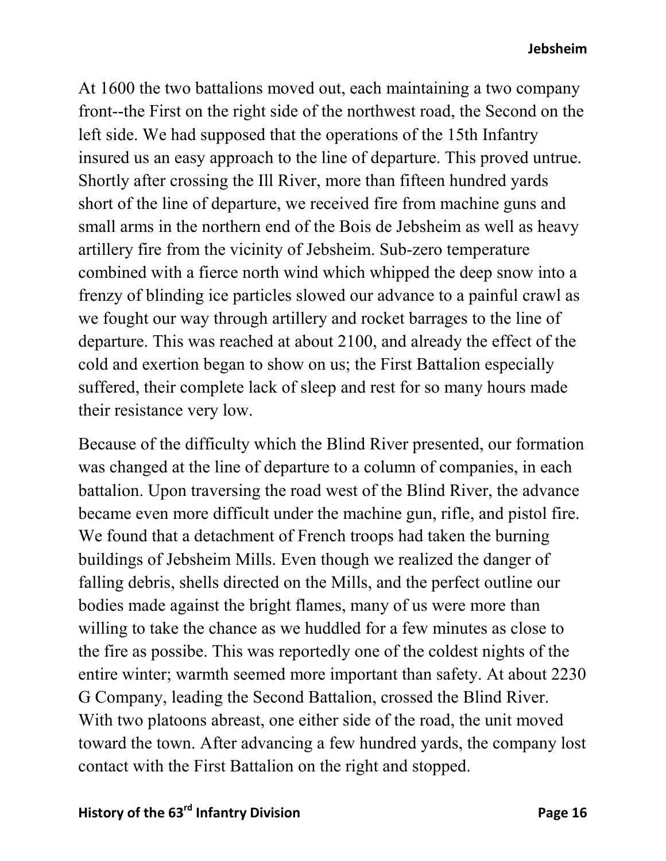#### **Jebsheim**

At 1600 the two battalions moved out, each maintaining a two company front--the First on the right side of the northwest road, the Second on the left side. We had supposed that the operations of the 15th Infantry insured us an easy approach to the line of departure. This proved untrue. Shortly after crossing the Ill River, more than fifteen hundred yards short of the line of departure, we received fire from machine guns and small arms in the northern end of the Bois de Jebsheim as well as heavy artillery fire from the vicinity of Jebsheim. Sub-zero temperature combined with a fierce north wind which whipped the deep snow into a frenzy of blinding ice particles slowed our advance to a painful crawl as we fought our way through artillery and rocket barrages to the line of departure. This was reached at about 2100, and already the effect of the cold and exertion began to show on us; the First Battalion especially suffered, their complete lack of sleep and rest for so many hours made their resistance very low.

Because of the difficulty which the Blind River presented, our formation was changed at the line of departure to a column of companies, in each battalion. Upon traversing the road west of the Blind River, the advance became even more difficult under the machine gun, rifle, and pistol fire. We found that a detachment of French troops had taken the burning buildings of Jebsheim Mills. Even though we realized the danger of falling debris, shells directed on the Mills, and the perfect outline our bodies made against the bright flames, many of us were more than willing to take the chance as we huddled for a few minutes as close to the fire as possibe. This was reportedly one of the coldest nights of the entire winter; warmth seemed more important than safety. At about 2230 G Company, leading the Second Battalion, crossed the Blind River. With two platoons abreast, one either side of the road, the unit moved toward the town. After advancing a few hundred yards, the company lost contact with the First Battalion on the right and stopped.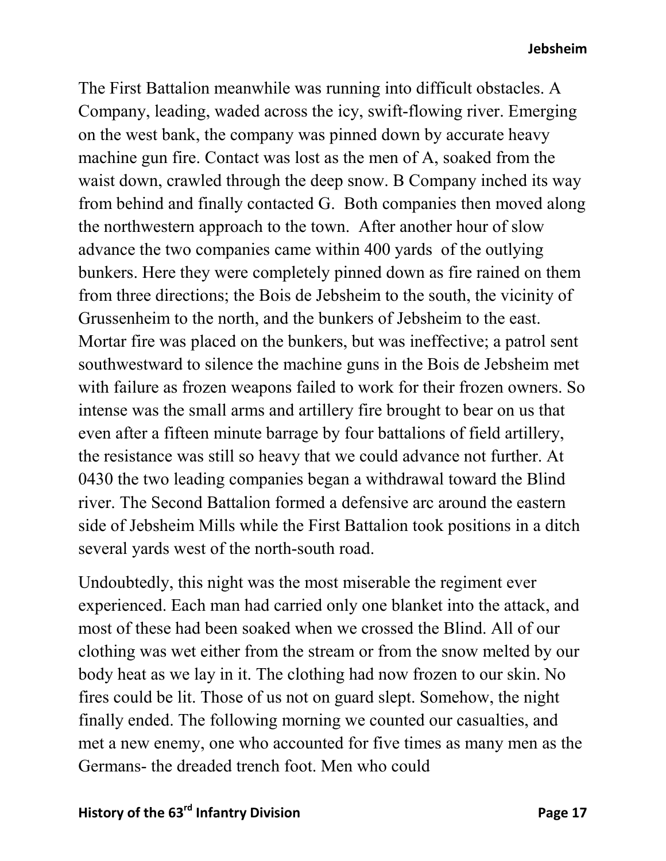#### **Jebsheim**

The First Battalion meanwhile was running into difficult obstacles. A Company, leading, waded across the icy, swift-flowing river. Emerging on the west bank, the company was pinned down by accurate heavy machine gun fire. Contact was lost as the men of A, soaked from the waist down, crawled through the deep snow. B Company inched its way from behind and finally contacted G. Both companies then moved along the northwestern approach to the town. After another hour of slow advance the two companies came within 400 yards of the outlying bunkers. Here they were completely pinned down as fire rained on them from three directions; the Bois de Jebsheim to the south, the vicinity of Grussenheim to the north, and the bunkers of Jebsheim to the east. Mortar fire was placed on the bunkers, but was ineffective; a patrol sent southwestward to silence the machine guns in the Bois de Jebsheim met with failure as frozen weapons failed to work for their frozen owners. So intense was the small arms and artillery fire brought to bear on us that even after a fifteen minute barrage by four battalions of field artillery, the resistance was still so heavy that we could advance not further. At 0430 the two leading companies began a withdrawal toward the Blind river. The Second Battalion formed a defensive arc around the eastern side of Jebsheim Mills while the First Battalion took positions in a ditch several yards west of the north-south road.

Undoubtedly, this night was the most miserable the regiment ever experienced. Each man had carried only one blanket into the attack, and most of these had been soaked when we crossed the Blind. All of our clothing was wet either from the stream or from the snow melted by our body heat as we lay in it. The clothing had now frozen to our skin. No fires could be lit. Those of us not on guard slept. Somehow, the night finally ended. The following morning we counted our casualties, and met a new enemy, one who accounted for five times as many men as the Germans- the dreaded trench foot. Men who could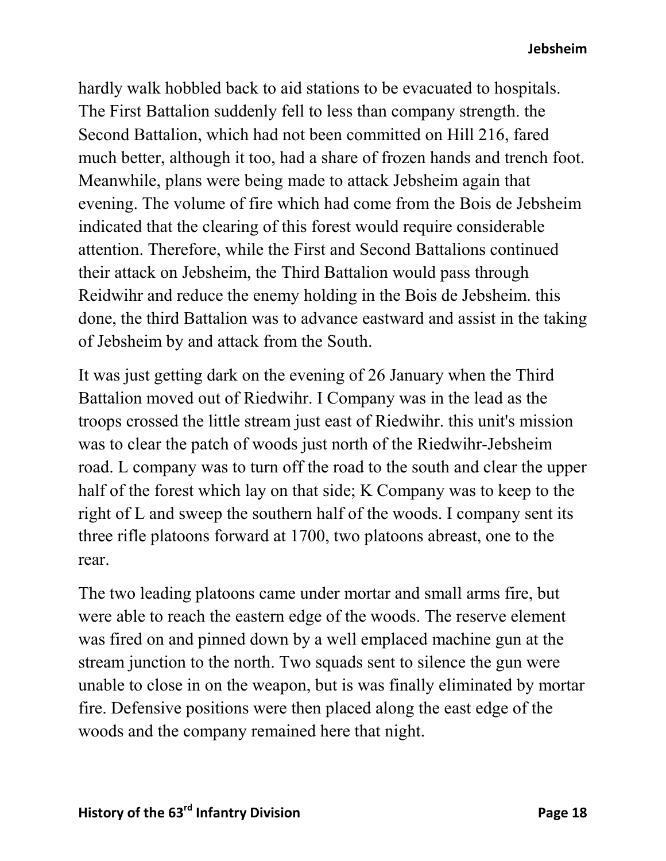hardly walk hobbled back to aid stations to be evacuated to hospitals. The First Battalion suddenly fell to less than company strength. the Second Battalion, which had not been committed on Hill 216, fared much better, although it too, had a share of frozen hands and trench foot. Meanwhile, plans were being made to attack Jebsheim again that evening. The volume of fire which had come from the Bois de Jebsheim indicated that the clearing of this forest would require considerable attention. Therefore, while the First and Second Battalions continued their attack on Jebsheim, the Third Battalion would pass through Reidwihr and reduce the enemy holding in the Bois de Jebsheim. this done, the third Battalion was to advance eastward and assist in the taking of Jebsheim by and attack from the South.

It was just getting dark on the evening of 26 January when the Third Battalion moved out of Riedwihr. I Company was in the lead as the troops crossed the little stream just east of Riedwihr. this unit's mission was to clear the patch of woods just north of the Riedwihr-Jebsheim road. L company was to turn off the road to the south and clear the upper half of the forest which lay on that side; K Company was to keep to the right of L and sweep the southern half of the woods. I company sent its three rifle platoons forward at 1700, two platoons abreast, one to the rear.

The two leading platoons came under mortar and small arms fire, but were able to reach the eastern edge of the woods. The reserve element was fired on and pinned down by a well emplaced machine gun at the stream junction to the north. Two squads sent to silence the gun were unable to close in on the weapon, but is was finally eliminated by mortar fire. Defensive positions were then placed along the east edge of the woods and the company remained here that night.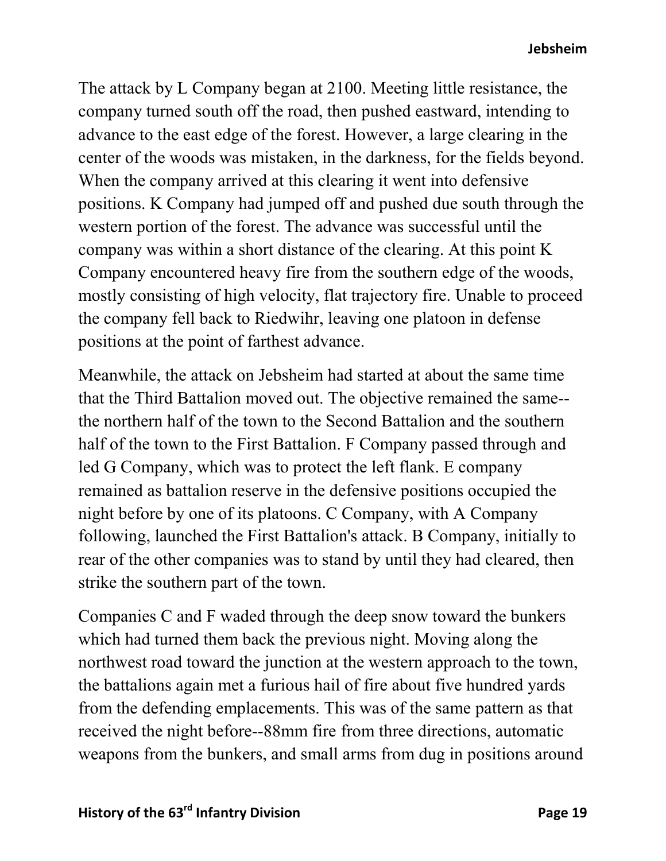The attack by L Company began at 2100. Meeting little resistance, the company turned south off the road, then pushed eastward, intending to advance to the east edge of the forest. However, a large clearing in the center of the woods was mistaken, in the darkness, for the fields beyond. When the company arrived at this clearing it went into defensive positions. K Company had jumped off and pushed due south through the western portion of the forest. The advance was successful until the company was within a short distance of the clearing. At this point K Company encountered heavy fire from the southern edge of the woods, mostly consisting of high velocity, flat trajectory fire. Unable to proceed the company fell back to Riedwihr, leaving one platoon in defense positions at the point of farthest advance.

Meanwhile, the attack on Jebsheim had started at about the same time that the Third Battalion moved out. The objective remained the same- the northern half of the town to the Second Battalion and the southern half of the town to the First Battalion. F Company passed through and led G Company, which was to protect the left flank. E company remained as battalion reserve in the defensive positions occupied the night before by one of its platoons. C Company, with A Company following, launched the First Battalion's attack. B Company, initially to rear of the other companies was to stand by until they had cleared, then strike the southern part of the town.

Companies C and F waded through the deep snow toward the bunkers which had turned them back the previous night. Moving along the northwest road toward the junction at the western approach to the town, the battalions again met a furious hail of fire about five hundred yards from the defending emplacements. This was of the same pattern as that received the night before--88mm fire from three directions, automatic weapons from the bunkers, and small arms from dug in positions around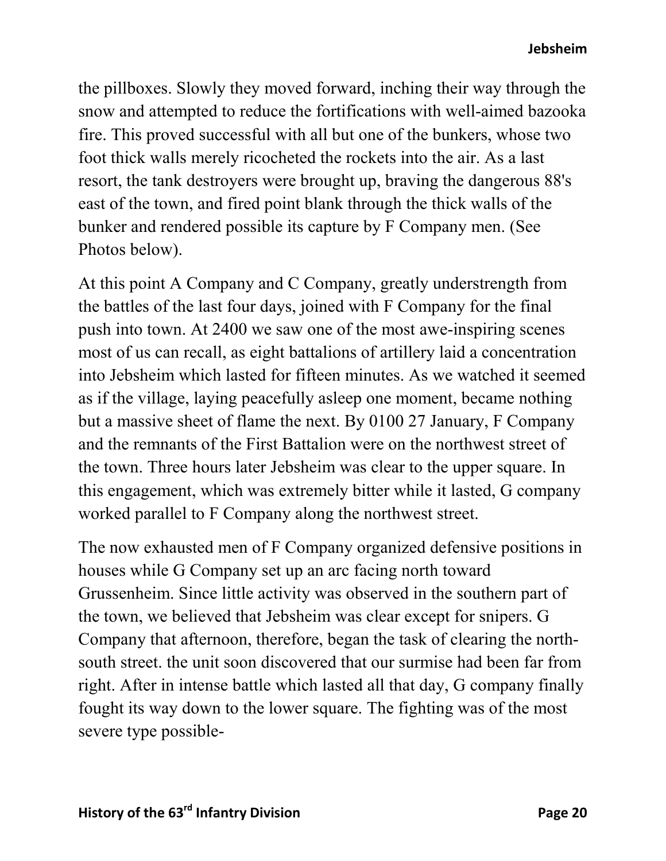the pillboxes. Slowly they moved forward, inching their way through the snow and attempted to reduce the fortifications with well-aimed bazooka fire. This proved successful with all but one of the bunkers, whose two foot thick walls merely ricocheted the rockets into the air. As a last resort, the tank destroyers were brought up, braving the dangerous 88's east of the town, and fired point blank through the thick walls of the bunker and rendered possible its capture by F Company men. (See Photos below).

At this point A Company and C Company, greatly understrength from the battles of the last four days, joined with F Company for the final push into town. At 2400 we saw one of the most awe-inspiring scenes most of us can recall, as eight battalions of artillery laid a concentration into Jebsheim which lasted for fifteen minutes. As we watched it seemed as if the village, laying peacefully asleep one moment, became nothing but a massive sheet of flame the next. By 0100 27 January, F Company and the remnants of the First Battalion were on the northwest street of the town. Three hours later Jebsheim was clear to the upper square. In this engagement, which was extremely bitter while it lasted, G company worked parallel to F Company along the northwest street.

The now exhausted men of F Company organized defensive positions in houses while G Company set up an arc facing north toward Grussenheim. Since little activity was observed in the southern part of the town, we believed that Jebsheim was clear except for snipers. G Company that afternoon, therefore, began the task of clearing the northsouth street. the unit soon discovered that our surmise had been far from right. After in intense battle which lasted all that day, G company finally fought its way down to the lower square. The fighting was of the most severe type possible-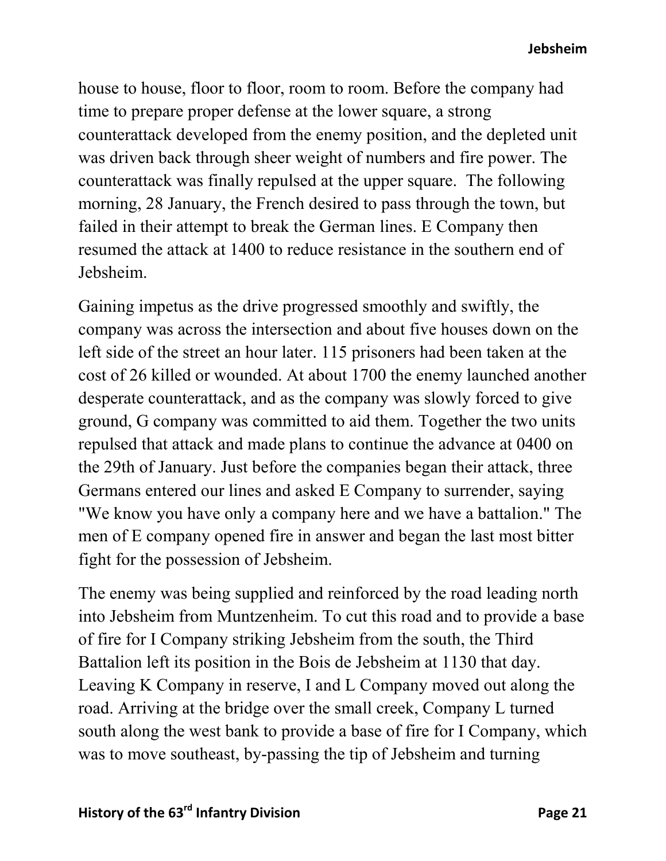**Jebsheim**

house to house, floor to floor, room to room. Before the company had time to prepare proper defense at the lower square, a strong counterattack developed from the enemy position, and the depleted unit was driven back through sheer weight of numbers and fire power. The counterattack was finally repulsed at the upper square. The following morning, 28 January, the French desired to pass through the town, but failed in their attempt to break the German lines. E Company then resumed the attack at 1400 to reduce resistance in the southern end of Jebsheim.

Gaining impetus as the drive progressed smoothly and swiftly, the company was across the intersection and about five houses down on the left side of the street an hour later. 115 prisoners had been taken at the cost of 26 killed or wounded. At about 1700 the enemy launched another desperate counterattack, and as the company was slowly forced to give ground, G company was committed to aid them. Together the two units repulsed that attack and made plans to continue the advance at 0400 on the 29th of January. Just before the companies began their attack, three Germans entered our lines and asked E Company to surrender, saying "We know you have only a company here and we have a battalion." The men of E company opened fire in answer and began the last most bitter fight for the possession of Jebsheim.

The enemy was being supplied and reinforced by the road leading north into Jebsheim from Muntzenheim. To cut this road and to provide a base of fire for I Company striking Jebsheim from the south, the Third Battalion left its position in the Bois de Jebsheim at 1130 that day. Leaving K Company in reserve, I and L Company moved out along the road. Arriving at the bridge over the small creek, Company L turned south along the west bank to provide a base of fire for I Company, which was to move southeast, by-passing the tip of Jebsheim and turning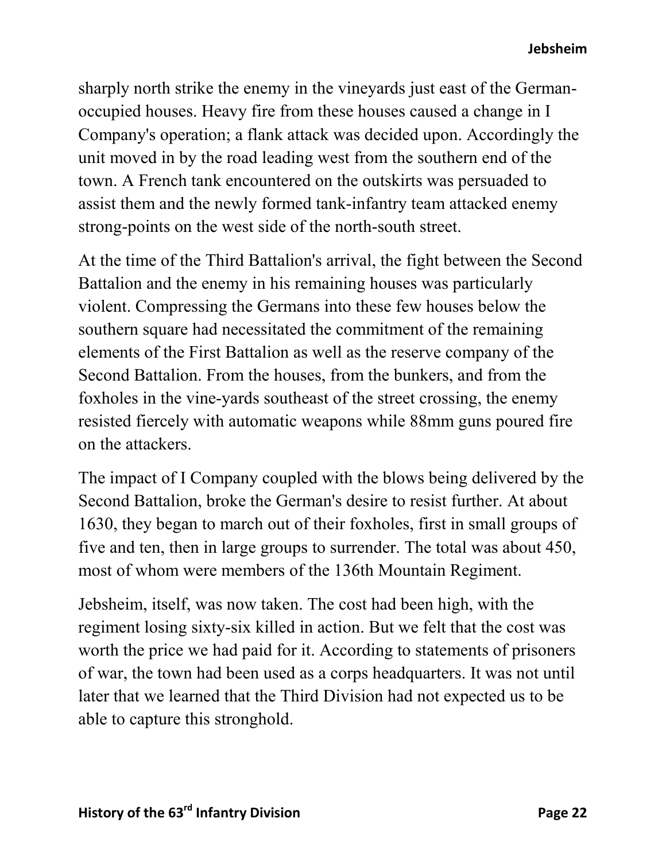sharply north strike the enemy in the vineyards just east of the Germanoccupied houses. Heavy fire from these houses caused a change in I Company's operation; a flank attack was decided upon. Accordingly the unit moved in by the road leading west from the southern end of the town. A French tank encountered on the outskirts was persuaded to assist them and the newly formed tank-infantry team attacked enemy strong-points on the west side of the north-south street.

At the time of the Third Battalion's arrival, the fight between the Second Battalion and the enemy in his remaining houses was particularly violent. Compressing the Germans into these few houses below the southern square had necessitated the commitment of the remaining elements of the First Battalion as well as the reserve company of the Second Battalion. From the houses, from the bunkers, and from the foxholes in the vine-yards southeast of the street crossing, the enemy resisted fiercely with automatic weapons while 88mm guns poured fire on the attackers.

The impact of I Company coupled with the blows being delivered by the Second Battalion, broke the German's desire to resist further. At about 1630, they began to march out of their foxholes, first in small groups of five and ten, then in large groups to surrender. The total was about 450, most of whom were members of the 136th Mountain Regiment.

Jebsheim, itself, was now taken. The cost had been high, with the regiment losing sixty-six killed in action. But we felt that the cost was worth the price we had paid for it. According to statements of prisoners of war, the town had been used as a corps headquarters. It was not until later that we learned that the Third Division had not expected us to be able to capture this stronghold.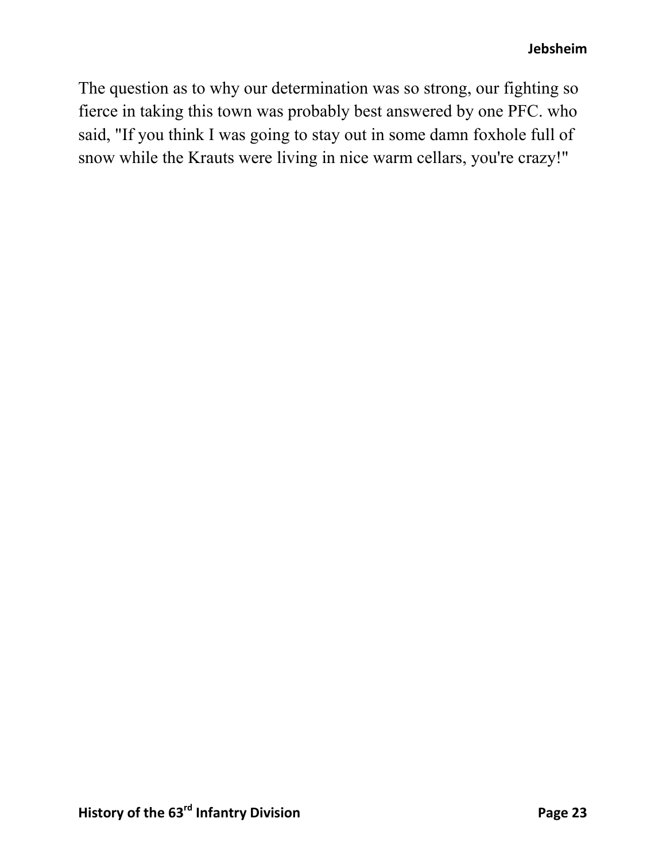The question as to why our determination was so strong, our fighting so fierce in taking this town was probably best answered by one PFC. who said, "If you think I was going to stay out in some damn foxhole full of snow while the Krauts were living in nice warm cellars, you're crazy!"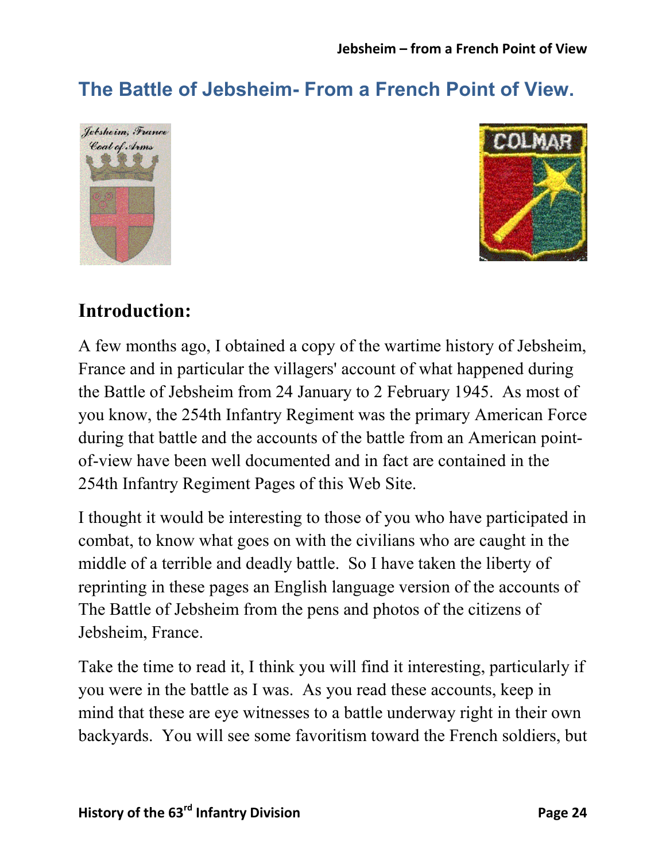# **The Battle of Jebsheim- From a French Point of View.**





## **Introduction:**

A few months ago, I obtained a copy of the wartime history of Jebsheim, France and in particular the villagers' account of what happened during the Battle of Jebsheim from 24 January to 2 February 1945. As most of you know, the 254th Infantry Regiment was the primary American Force during that battle and the accounts of the battle from an American pointof-view have been well documented and in fact are contained in the 254th Infantry Regiment Pages of this Web Site.

I thought it would be interesting to those of you who have participated in combat, to know what goes on with the civilians who are caught in the middle of a terrible and deadly battle. So I have taken the liberty of reprinting in these pages an English language version of the accounts of The Battle of Jebsheim from the pens and photos of the citizens of Jebsheim, France.

Take the time to read it, I think you will find it interesting, particularly if you were in the battle as I was. As you read these accounts, keep in mind that these are eye witnesses to a battle underway right in their own backyards. You will see some favoritism toward the French soldiers, but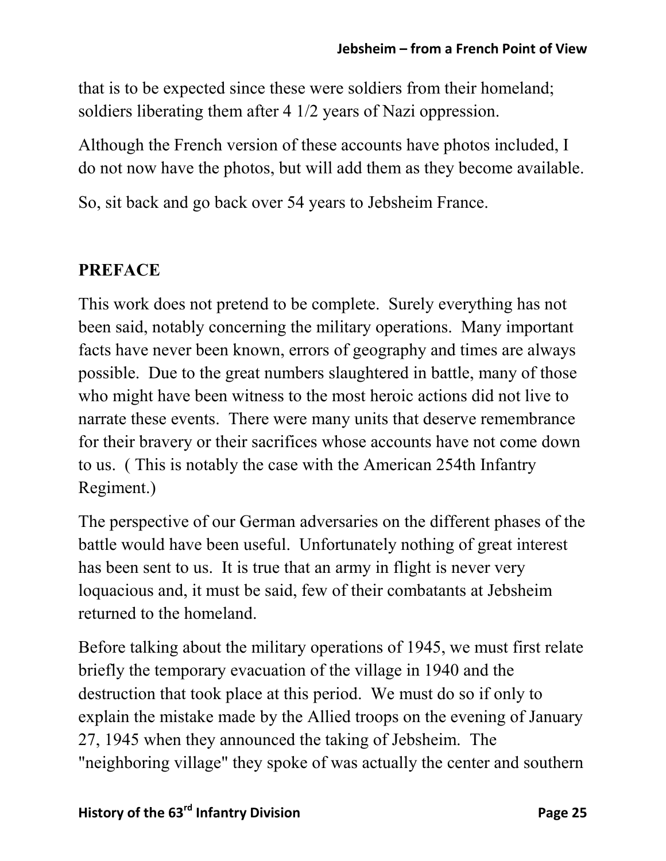that is to be expected since these were soldiers from their homeland; soldiers liberating them after 4 1/2 years of Nazi oppression.

Although the French version of these accounts have photos included, I do not now have the photos, but will add them as they become available.

So, sit back and go back over 54 years to Jebsheim France.

#### **PREFACE**

This work does not pretend to be complete. Surely everything has not been said, notably concerning the military operations. Many important facts have never been known, errors of geography and times are always possible. Due to the great numbers slaughtered in battle, many of those who might have been witness to the most heroic actions did not live to narrate these events. There were many units that deserve remembrance for their bravery or their sacrifices whose accounts have not come down to us. ( This is notably the case with the American 254th Infantry Regiment.)

The perspective of our German adversaries on the different phases of the battle would have been useful. Unfortunately nothing of great interest has been sent to us. It is true that an army in flight is never very loquacious and, it must be said, few of their combatants at Jebsheim returned to the homeland.

Before talking about the military operations of 1945, we must first relate briefly the temporary evacuation of the village in 1940 and the destruction that took place at this period. We must do so if only to explain the mistake made by the Allied troops on the evening of January 27, 1945 when they announced the taking of Jebsheim. The "neighboring village" they spoke of was actually the center and southern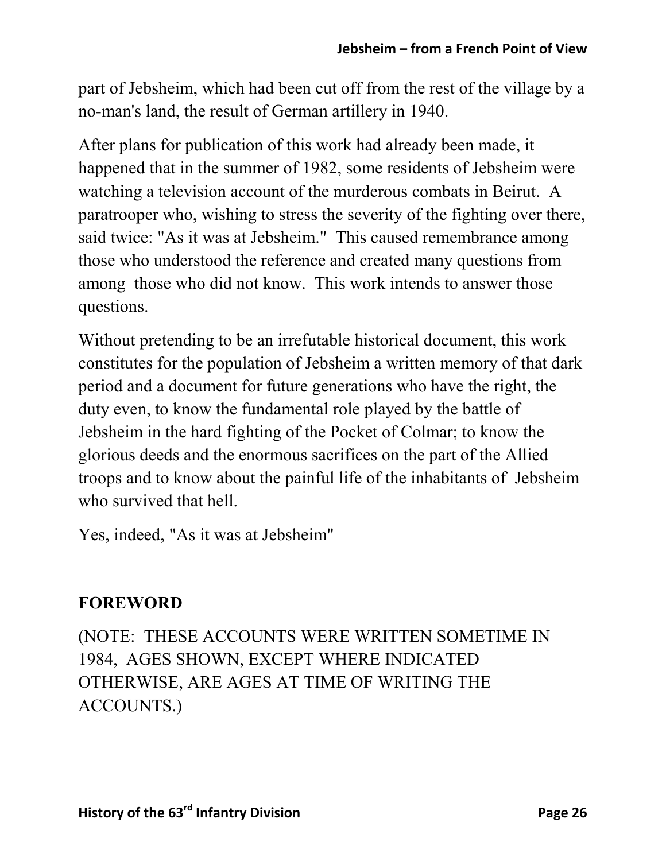part of Jebsheim, which had been cut off from the rest of the village by a no-man's land, the result of German artillery in 1940.

After plans for publication of this work had already been made, it happened that in the summer of 1982, some residents of Jebsheim were watching a television account of the murderous combats in Beirut. A paratrooper who, wishing to stress the severity of the fighting over there, said twice: "As it was at Jebsheim." This caused remembrance among those who understood the reference and created many questions from among those who did not know. This work intends to answer those questions.

Without pretending to be an irrefutable historical document, this work constitutes for the population of Jebsheim a written memory of that dark period and a document for future generations who have the right, the duty even, to know the fundamental role played by the battle of Jebsheim in the hard fighting of the Pocket of Colmar; to know the glorious deeds and the enormous sacrifices on the part of the Allied troops and to know about the painful life of the inhabitants of Jebsheim who survived that hell.

Yes, indeed, "As it was at Jebsheim"

#### **FOREWORD**

(NOTE: THESE ACCOUNTS WERE WRITTEN SOMETIME IN 1984, AGES SHOWN, EXCEPT WHERE INDICATED OTHERWISE, ARE AGES AT TIME OF WRITING THE ACCOUNTS.)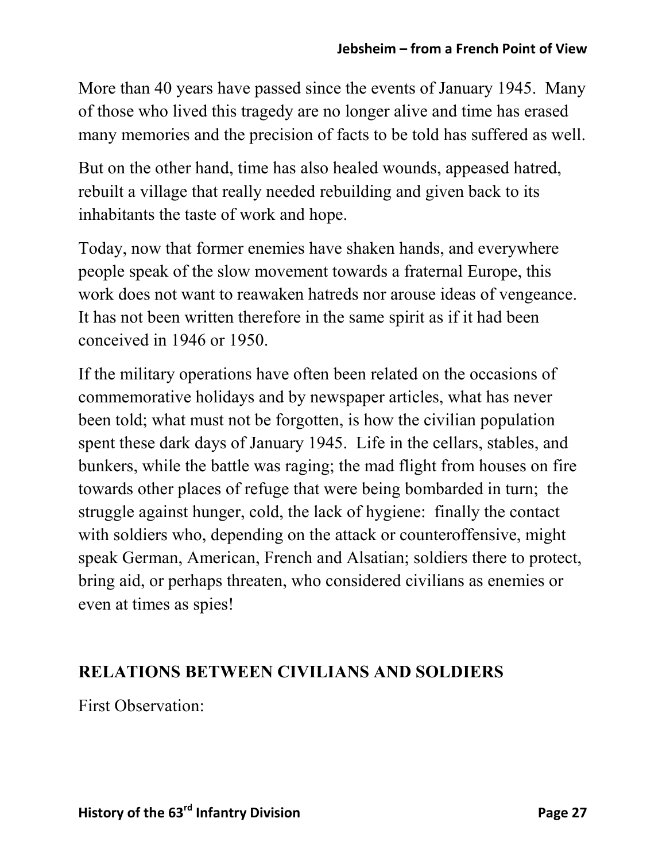More than 40 years have passed since the events of January 1945. Many of those who lived this tragedy are no longer alive and time has erased many memories and the precision of facts to be told has suffered as well.

But on the other hand, time has also healed wounds, appeased hatred, rebuilt a village that really needed rebuilding and given back to its inhabitants the taste of work and hope.

Today, now that former enemies have shaken hands, and everywhere people speak of the slow movement towards a fraternal Europe, this work does not want to reawaken hatreds nor arouse ideas of vengeance. It has not been written therefore in the same spirit as if it had been conceived in 1946 or 1950.

If the military operations have often been related on the occasions of commemorative holidays and by newspaper articles, what has never been told; what must not be forgotten, is how the civilian population spent these dark days of January 1945. Life in the cellars, stables, and bunkers, while the battle was raging; the mad flight from houses on fire towards other places of refuge that were being bombarded in turn; the struggle against hunger, cold, the lack of hygiene: finally the contact with soldiers who, depending on the attack or counteroffensive, might speak German, American, French and Alsatian; soldiers there to protect, bring aid, or perhaps threaten, who considered civilians as enemies or even at times as spies!

#### **RELATIONS BETWEEN CIVILIANS AND SOLDIERS**

First Observation: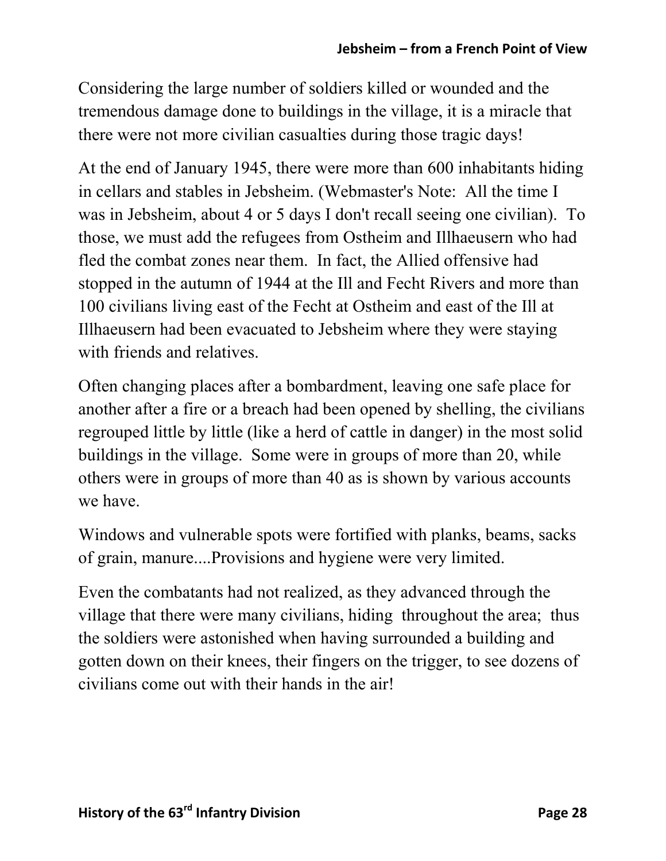Considering the large number of soldiers killed or wounded and the tremendous damage done to buildings in the village, it is a miracle that there were not more civilian casualties during those tragic days!

At the end of January 1945, there were more than 600 inhabitants hiding in cellars and stables in Jebsheim. (Webmaster's Note: All the time I was in Jebsheim, about 4 or 5 days I don't recall seeing one civilian). To those, we must add the refugees from Ostheim and Illhaeusern who had fled the combat zones near them. In fact, the Allied offensive had stopped in the autumn of 1944 at the Ill and Fecht Rivers and more than 100 civilians living east of the Fecht at Ostheim and east of the Ill at Illhaeusern had been evacuated to Jebsheim where they were staying with friends and relatives.

Often changing places after a bombardment, leaving one safe place for another after a fire or a breach had been opened by shelling, the civilians regrouped little by little (like a herd of cattle in danger) in the most solid buildings in the village. Some were in groups of more than 20, while others were in groups of more than 40 as is shown by various accounts we have.

Windows and vulnerable spots were fortified with planks, beams, sacks of grain, manure....Provisions and hygiene were very limited.

Even the combatants had not realized, as they advanced through the village that there were many civilians, hiding throughout the area; thus the soldiers were astonished when having surrounded a building and gotten down on their knees, their fingers on the trigger, to see dozens of civilians come out with their hands in the air!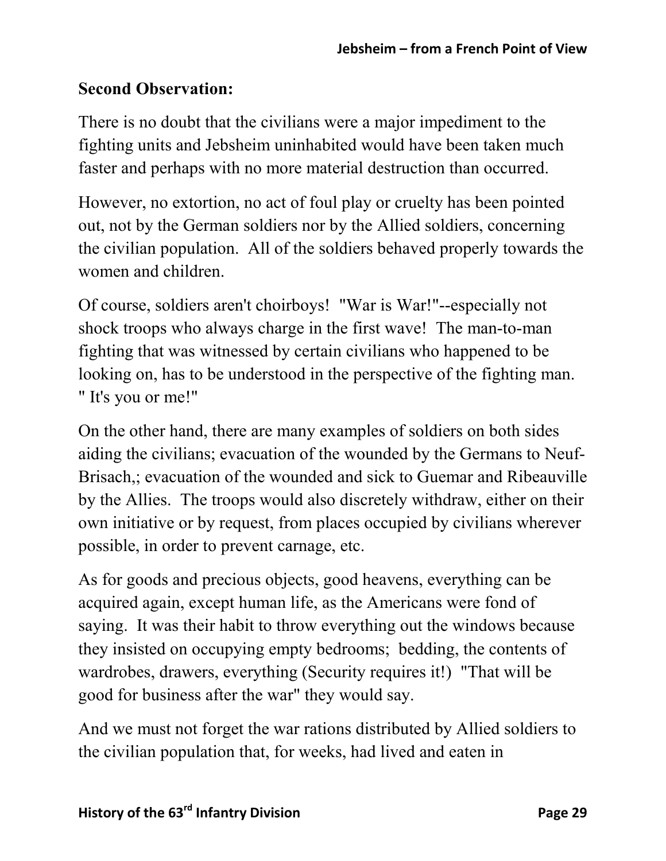#### **Second Observation:**

There is no doubt that the civilians were a major impediment to the fighting units and Jebsheim uninhabited would have been taken much faster and perhaps with no more material destruction than occurred.

However, no extortion, no act of foul play or cruelty has been pointed out, not by the German soldiers nor by the Allied soldiers, concerning the civilian population. All of the soldiers behaved properly towards the women and children.

Of course, soldiers aren't choirboys! "War is War!"--especially not shock troops who always charge in the first wave! The man-to-man fighting that was witnessed by certain civilians who happened to be looking on, has to be understood in the perspective of the fighting man. " It's you or me!"

On the other hand, there are many examples of soldiers on both sides aiding the civilians; evacuation of the wounded by the Germans to Neuf-Brisach,; evacuation of the wounded and sick to Guemar and Ribeauville by the Allies. The troops would also discretely withdraw, either on their own initiative or by request, from places occupied by civilians wherever possible, in order to prevent carnage, etc.

As for goods and precious objects, good heavens, everything can be acquired again, except human life, as the Americans were fond of saying. It was their habit to throw everything out the windows because they insisted on occupying empty bedrooms; bedding, the contents of wardrobes, drawers, everything (Security requires it!) "That will be good for business after the war" they would say.

And we must not forget the war rations distributed by Allied soldiers to the civilian population that, for weeks, had lived and eaten in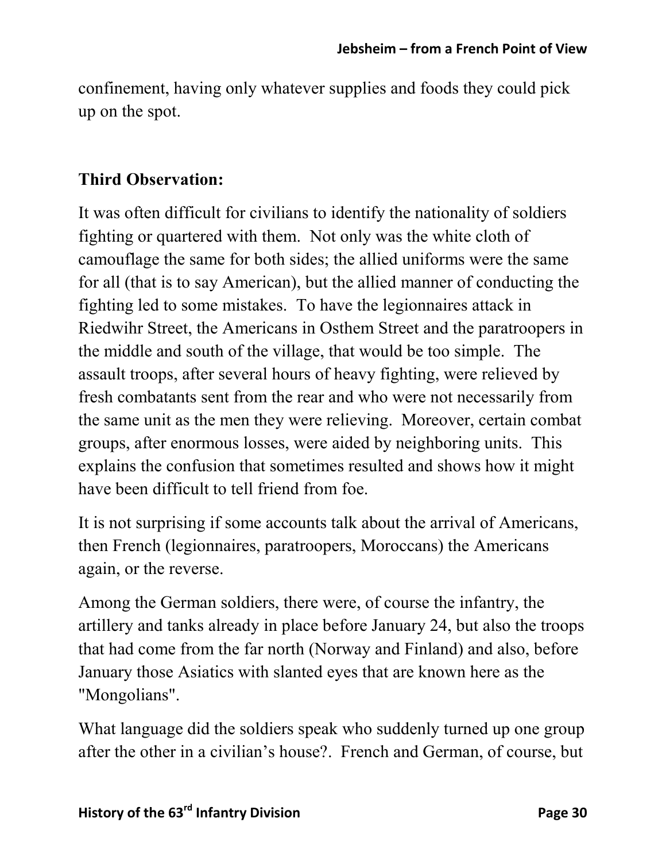confinement, having only whatever supplies and foods they could pick up on the spot.

#### **Third Observation:**

It was often difficult for civilians to identify the nationality of soldiers fighting or quartered with them. Not only was the white cloth of camouflage the same for both sides; the allied uniforms were the same for all (that is to say American), but the allied manner of conducting the fighting led to some mistakes. To have the legionnaires attack in Riedwihr Street, the Americans in Osthem Street and the paratroopers in the middle and south of the village, that would be too simple. The assault troops, after several hours of heavy fighting, were relieved by fresh combatants sent from the rear and who were not necessarily from the same unit as the men they were relieving. Moreover, certain combat groups, after enormous losses, were aided by neighboring units. This explains the confusion that sometimes resulted and shows how it might have been difficult to tell friend from foe.

It is not surprising if some accounts talk about the arrival of Americans, then French (legionnaires, paratroopers, Moroccans) the Americans again, or the reverse.

Among the German soldiers, there were, of course the infantry, the artillery and tanks already in place before January 24, but also the troops that had come from the far north (Norway and Finland) and also, before January those Asiatics with slanted eyes that are known here as the "Mongolians".

What language did the soldiers speak who suddenly turned up one group after the other in a civilian's house?. French and German, of course, but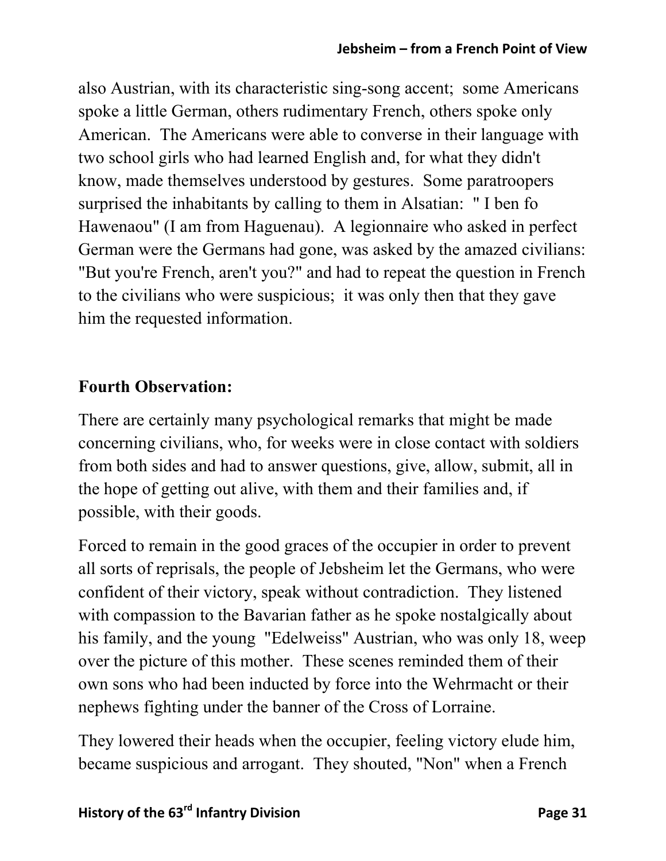also Austrian, with its characteristic sing-song accent; some Americans spoke a little German, others rudimentary French, others spoke only American. The Americans were able to converse in their language with two school girls who had learned English and, for what they didn't know, made themselves understood by gestures. Some paratroopers surprised the inhabitants by calling to them in Alsatian: " I ben fo Hawenaou" (I am from Haguenau). A legionnaire who asked in perfect German were the Germans had gone, was asked by the amazed civilians: "But you're French, aren't you?" and had to repeat the question in French to the civilians who were suspicious; it was only then that they gave him the requested information.

#### **Fourth Observation:**

There are certainly many psychological remarks that might be made concerning civilians, who, for weeks were in close contact with soldiers from both sides and had to answer questions, give, allow, submit, all in the hope of getting out alive, with them and their families and, if possible, with their goods.

Forced to remain in the good graces of the occupier in order to prevent all sorts of reprisals, the people of Jebsheim let the Germans, who were confident of their victory, speak without contradiction. They listened with compassion to the Bavarian father as he spoke nostalgically about his family, and the young "Edelweiss" Austrian, who was only 18, weep over the picture of this mother. These scenes reminded them of their own sons who had been inducted by force into the Wehrmacht or their nephews fighting under the banner of the Cross of Lorraine.

They lowered their heads when the occupier, feeling victory elude him, became suspicious and arrogant. They shouted, "Non" when a French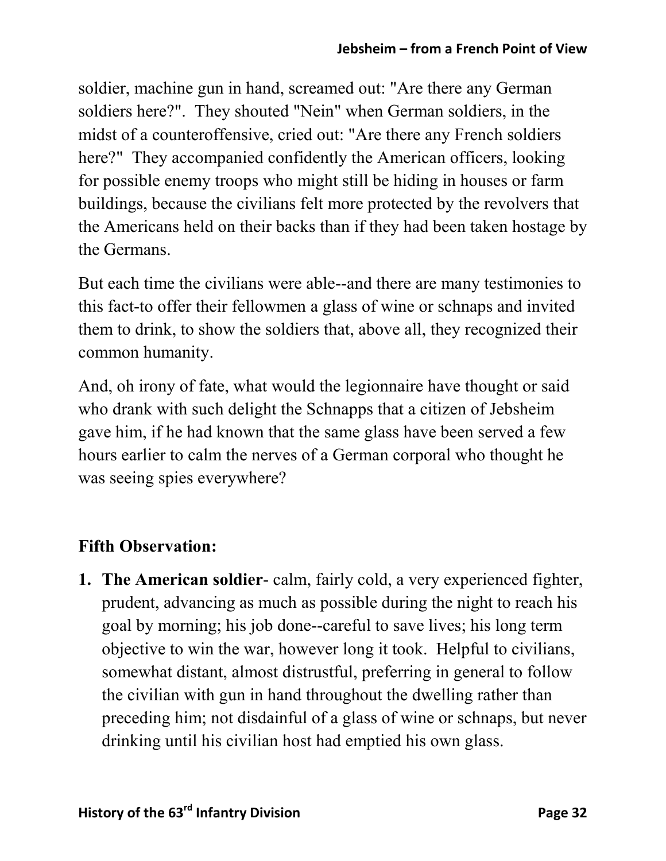soldier, machine gun in hand, screamed out: "Are there any German soldiers here?". They shouted "Nein" when German soldiers, in the midst of a counteroffensive, cried out: "Are there any French soldiers here?" They accompanied confidently the American officers, looking for possible enemy troops who might still be hiding in houses or farm buildings, because the civilians felt more protected by the revolvers that the Americans held on their backs than if they had been taken hostage by the Germans.

But each time the civilians were able--and there are many testimonies to this fact-to offer their fellowmen a glass of wine or schnaps and invited them to drink, to show the soldiers that, above all, they recognized their common humanity.

And, oh irony of fate, what would the legionnaire have thought or said who drank with such delight the Schnapps that a citizen of Jebsheim gave him, if he had known that the same glass have been served a few hours earlier to calm the nerves of a German corporal who thought he was seeing spies everywhere?

## **Fifth Observation:**

**1. The American soldier**- calm, fairly cold, a very experienced fighter, prudent, advancing as much as possible during the night to reach his goal by morning; his job done--careful to save lives; his long term objective to win the war, however long it took. Helpful to civilians, somewhat distant, almost distrustful, preferring in general to follow the civilian with gun in hand throughout the dwelling rather than preceding him; not disdainful of a glass of wine or schnaps, but never drinking until his civilian host had emptied his own glass.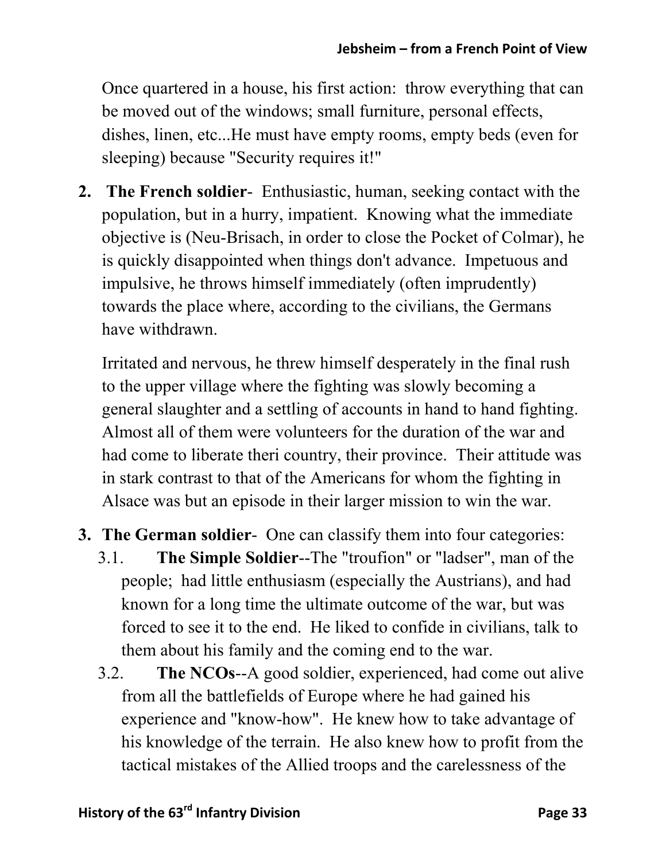Once quartered in a house, his first action: throw everything that can be moved out of the windows; small furniture, personal effects, dishes, linen, etc...He must have empty rooms, empty beds (even for sleeping) because "Security requires it!"

**2. The French soldier**- Enthusiastic, human, seeking contact with the population, but in a hurry, impatient. Knowing what the immediate objective is (Neu-Brisach, in order to close the Pocket of Colmar), he is quickly disappointed when things don't advance. Impetuous and impulsive, he throws himself immediately (often imprudently) towards the place where, according to the civilians, the Germans have withdrawn.

Irritated and nervous, he threw himself desperately in the final rush to the upper village where the fighting was slowly becoming a general slaughter and a settling of accounts in hand to hand fighting. Almost all of them were volunteers for the duration of the war and had come to liberate theri country, their province. Their attitude was in stark contrast to that of the Americans for whom the fighting in Alsace was but an episode in their larger mission to win the war.

- **3. The German soldier** One can classify them into four categories:
	- 3.1. **The Simple Soldier**--The "troufion" or "ladser", man of the people; had little enthusiasm (especially the Austrians), and had known for a long time the ultimate outcome of the war, but was forced to see it to the end. He liked to confide in civilians, talk to them about his family and the coming end to the war.
	- 3.2. **The NCOs**--A good soldier, experienced, had come out alive from all the battlefields of Europe where he had gained his experience and "know-how". He knew how to take advantage of his knowledge of the terrain. He also knew how to profit from the tactical mistakes of the Allied troops and the carelessness of the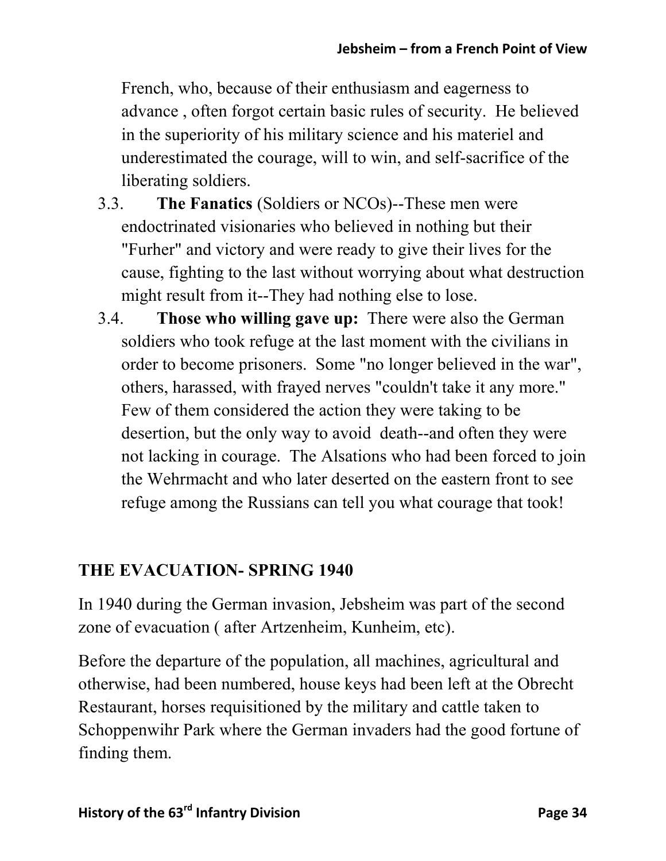French, who, because of their enthusiasm and eagerness to advance , often forgot certain basic rules of security. He believed in the superiority of his military science and his materiel and underestimated the courage, will to win, and self-sacrifice of the liberating soldiers.

- 3.3. **The Fanatics** (Soldiers or NCOs)--These men were endoctrinated visionaries who believed in nothing but their "Furher" and victory and were ready to give their lives for the cause, fighting to the last without worrying about what destruction might result from it--They had nothing else to lose.
- 3.4. **Those who willing gave up:** There were also the German soldiers who took refuge at the last moment with the civilians in order to become prisoners. Some "no longer believed in the war", others, harassed, with frayed nerves "couldn't take it any more." Few of them considered the action they were taking to be desertion, but the only way to avoid death--and often they were not lacking in courage. The Alsations who had been forced to join the Wehrmacht and who later deserted on the eastern front to see refuge among the Russians can tell you what courage that took!

#### **THE EVACUATION- SPRING 1940**

In 1940 during the German invasion, Jebsheim was part of the second zone of evacuation ( after Artzenheim, Kunheim, etc).

Before the departure of the population, all machines, agricultural and otherwise, had been numbered, house keys had been left at the Obrecht Restaurant, horses requisitioned by the military and cattle taken to Schoppenwihr Park where the German invaders had the good fortune of finding them.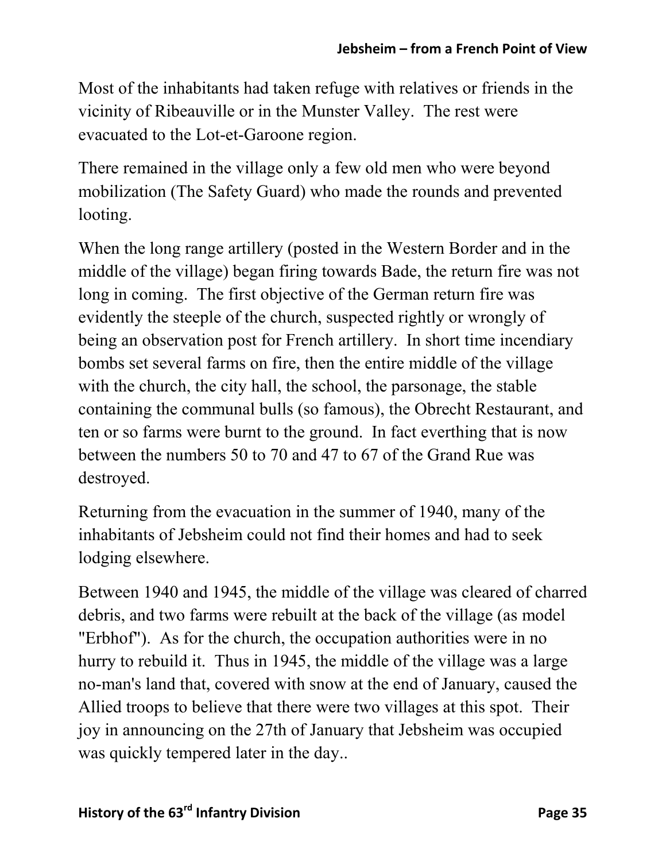Most of the inhabitants had taken refuge with relatives or friends in the vicinity of Ribeauville or in the Munster Valley. The rest were evacuated to the Lot-et-Garoone region.

There remained in the village only a few old men who were beyond mobilization (The Safety Guard) who made the rounds and prevented looting.

When the long range artillery (posted in the Western Border and in the middle of the village) began firing towards Bade, the return fire was not long in coming. The first objective of the German return fire was evidently the steeple of the church, suspected rightly or wrongly of being an observation post for French artillery. In short time incendiary bombs set several farms on fire, then the entire middle of the village with the church, the city hall, the school, the parsonage, the stable containing the communal bulls (so famous), the Obrecht Restaurant, and ten or so farms were burnt to the ground. In fact everthing that is now between the numbers 50 to 70 and 47 to 67 of the Grand Rue was destroyed.

Returning from the evacuation in the summer of 1940, many of the inhabitants of Jebsheim could not find their homes and had to seek lodging elsewhere.

Between 1940 and 1945, the middle of the village was cleared of charred debris, and two farms were rebuilt at the back of the village (as model "Erbhof"). As for the church, the occupation authorities were in no hurry to rebuild it. Thus in 1945, the middle of the village was a large no-man's land that, covered with snow at the end of January, caused the Allied troops to believe that there were two villages at this spot. Their joy in announcing on the 27th of January that Jebsheim was occupied was quickly tempered later in the day..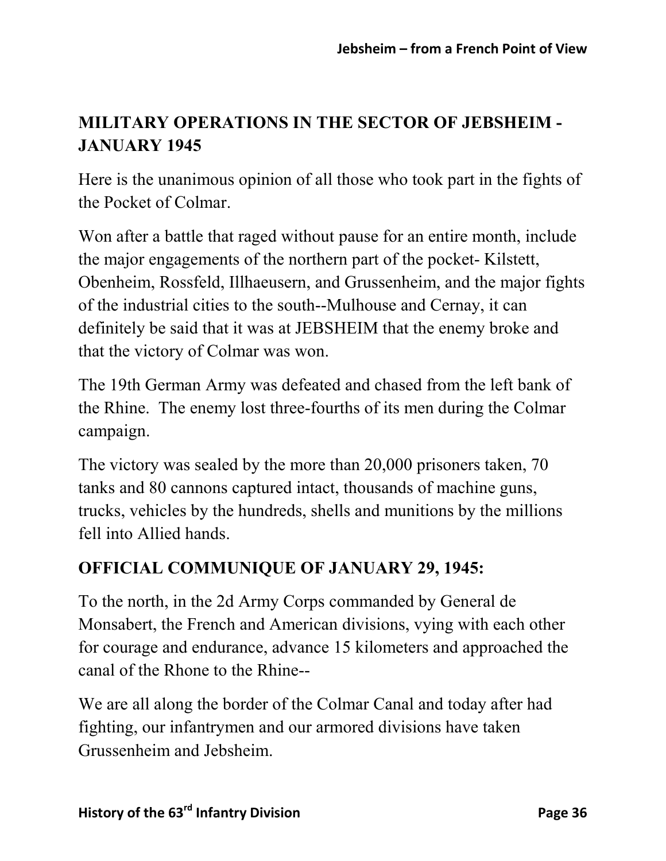# **MILITARY OPERATIONS IN THE SECTOR OF JEBSHEIM - JANUARY 1945**

Here is the unanimous opinion of all those who took part in the fights of the Pocket of Colmar.

Won after a battle that raged without pause for an entire month, include the major engagements of the northern part of the pocket- Kilstett, Obenheim, Rossfeld, Illhaeusern, and Grussenheim, and the major fights of the industrial cities to the south--Mulhouse and Cernay, it can definitely be said that it was at JEBSHEIM that the enemy broke and that the victory of Colmar was won.

The 19th German Army was defeated and chased from the left bank of the Rhine. The enemy lost three-fourths of its men during the Colmar campaign.

The victory was sealed by the more than 20,000 prisoners taken, 70 tanks and 80 cannons captured intact, thousands of machine guns, trucks, vehicles by the hundreds, shells and munitions by the millions fell into Allied hands.

## **OFFICIAL COMMUNIQUE OF JANUARY 29, 1945:**

To the north, in the 2d Army Corps commanded by General de Monsabert, the French and American divisions, vying with each other for courage and endurance, advance 15 kilometers and approached the canal of the Rhone to the Rhine--

We are all along the border of the Colmar Canal and today after had fighting, our infantrymen and our armored divisions have taken Grussenheim and Jebsheim.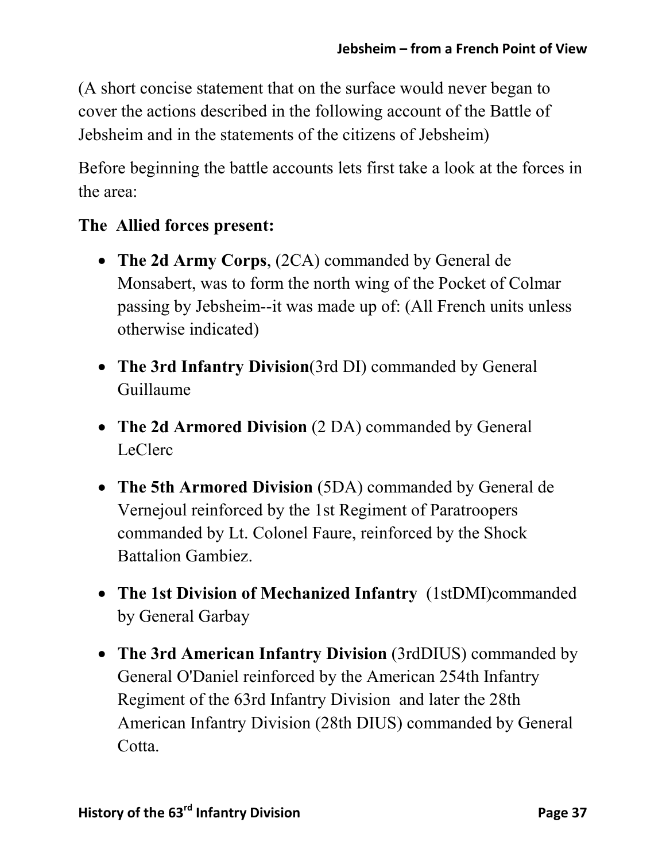(A short concise statement that on the surface would never began to cover the actions described in the following account of the Battle of Jebsheim and in the statements of the citizens of Jebsheim)

Before beginning the battle accounts lets first take a look at the forces in the area:

### **The Allied forces present:**

- **The 2d Army Corps**, (2CA) commanded by General de Monsabert, was to form the north wing of the Pocket of Colmar passing by Jebsheim--it was made up of: (All French units unless otherwise indicated)
- **The 3rd Infantry Division**(3rd DI) commanded by General Guillaume
- **The 2d Armored Division** (2 DA) commanded by General LeClerc
- **The 5th Armored Division** (5DA) commanded by General de Vernejoul reinforced by the 1st Regiment of Paratroopers commanded by Lt. Colonel Faure, reinforced by the Shock Battalion Gambiez.
- **The 1st Division of Mechanized Infantry** (1stDMI)commanded by General Garbay
- **The 3rd American Infantry Division** (3rdDIUS) commanded by General O'Daniel reinforced by the American 254th Infantry Regiment of the 63rd Infantry Division and later the 28th American Infantry Division (28th DIUS) commanded by General Cotta.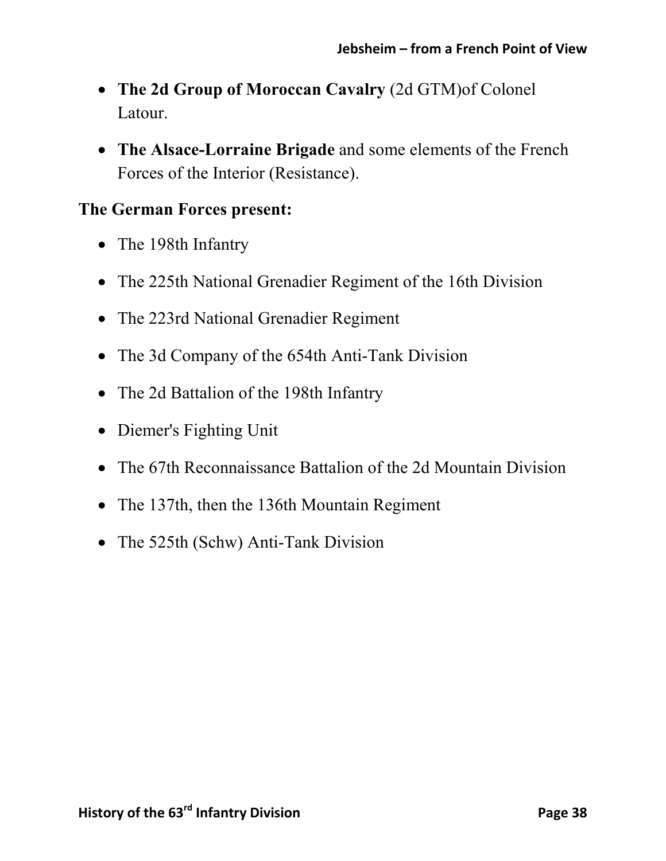- **The 2d Group of Moroccan Cavalry** (2d GTM)of Colonel Latour.
- **The Alsace-Lorraine Brigade** and some elements of the French Forces of the Interior (Resistance).

#### **The German Forces present:**

- The 198th Infantry
- The 225th National Grenadier Regiment of the 16th Division
- The 223rd National Grenadier Regiment
- The 3d Company of the 654th Anti-Tank Division
- The 2d Battalion of the 198th Infantry
- Diemer's Fighting Unit
- The 67th Reconnaissance Battalion of the 2d Mountain Division
- The 137th, then the 136th Mountain Regiment
- The 525th (Schw) Anti-Tank Division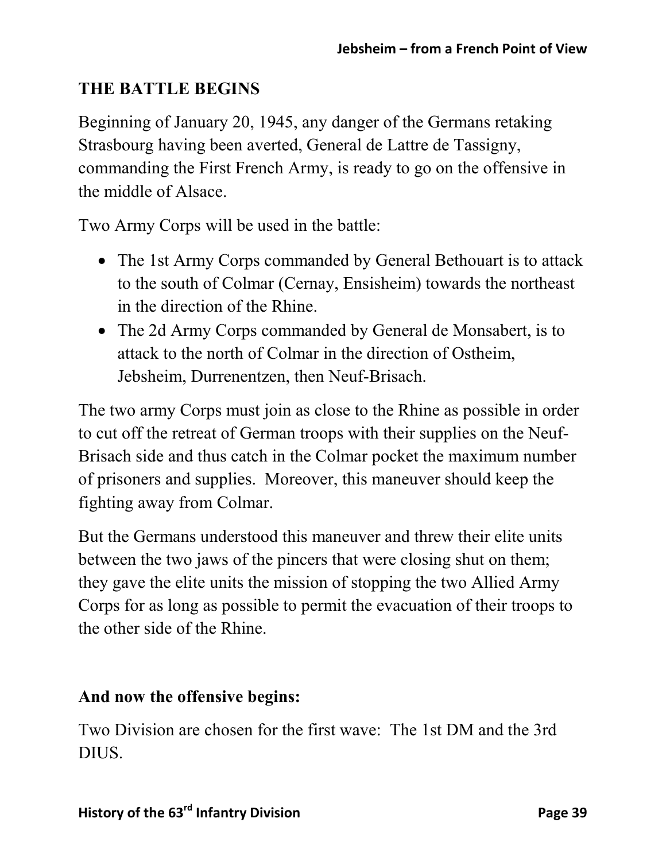## **THE BATTLE BEGINS**

Beginning of January 20, 1945, any danger of the Germans retaking Strasbourg having been averted, General de Lattre de Tassigny, commanding the First French Army, is ready to go on the offensive in the middle of Alsace.

Two Army Corps will be used in the battle:

- The 1st Army Corps commanded by General Bethouart is to attack to the south of Colmar (Cernay, Ensisheim) towards the northeast in the direction of the Rhine.
- The 2d Army Corps commanded by General de Monsabert, is to attack to the north of Colmar in the direction of Ostheim, Jebsheim, Durrenentzen, then Neuf-Brisach.

The two army Corps must join as close to the Rhine as possible in order to cut off the retreat of German troops with their supplies on the Neuf-Brisach side and thus catch in the Colmar pocket the maximum number of prisoners and supplies. Moreover, this maneuver should keep the fighting away from Colmar.

But the Germans understood this maneuver and threw their elite units between the two jaws of the pincers that were closing shut on them; they gave the elite units the mission of stopping the two Allied Army Corps for as long as possible to permit the evacuation of their troops to the other side of the Rhine.

### **And now the offensive begins:**

Two Division are chosen for the first wave: The 1st DM and the 3rd DIUS.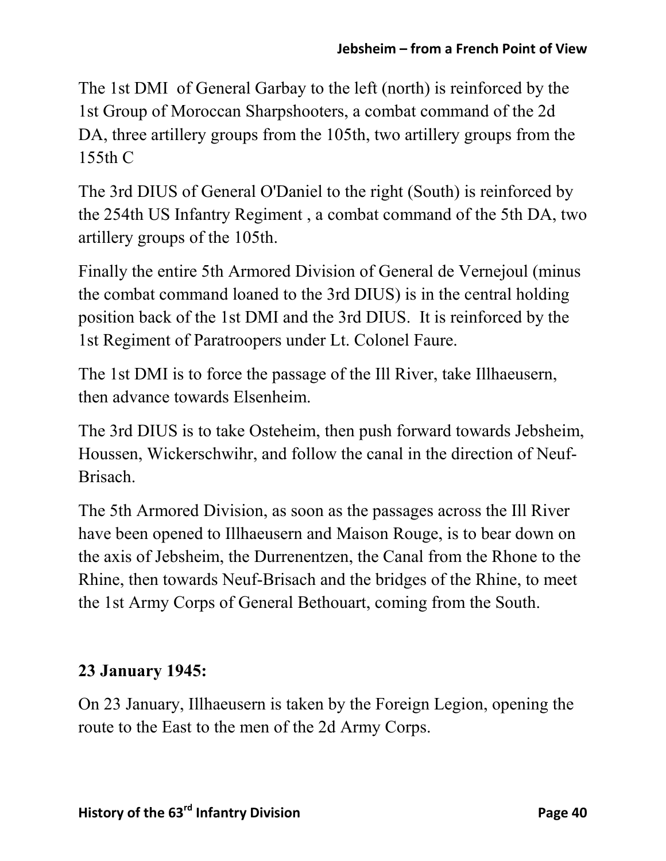The 1st DMI of General Garbay to the left (north) is reinforced by the 1st Group of Moroccan Sharpshooters, a combat command of the 2d DA, three artillery groups from the 105th, two artillery groups from the 155th C

The 3rd DIUS of General O'Daniel to the right (South) is reinforced by the 254th US Infantry Regiment , a combat command of the 5th DA, two artillery groups of the 105th.

Finally the entire 5th Armored Division of General de Vernejoul (minus the combat command loaned to the 3rd DIUS) is in the central holding position back of the 1st DMI and the 3rd DIUS. It is reinforced by the 1st Regiment of Paratroopers under Lt. Colonel Faure.

The 1st DMI is to force the passage of the Ill River, take Illhaeusern, then advance towards Elsenheim.

The 3rd DIUS is to take Osteheim, then push forward towards Jebsheim, Houssen, Wickerschwihr, and follow the canal in the direction of Neuf-Brisach.

The 5th Armored Division, as soon as the passages across the Ill River have been opened to Illhaeusern and Maison Rouge, is to bear down on the axis of Jebsheim, the Durrenentzen, the Canal from the Rhone to the Rhine, then towards Neuf-Brisach and the bridges of the Rhine, to meet the 1st Army Corps of General Bethouart, coming from the South.

## **23 January 1945:**

On 23 January, Illhaeusern is taken by the Foreign Legion, opening the route to the East to the men of the 2d Army Corps.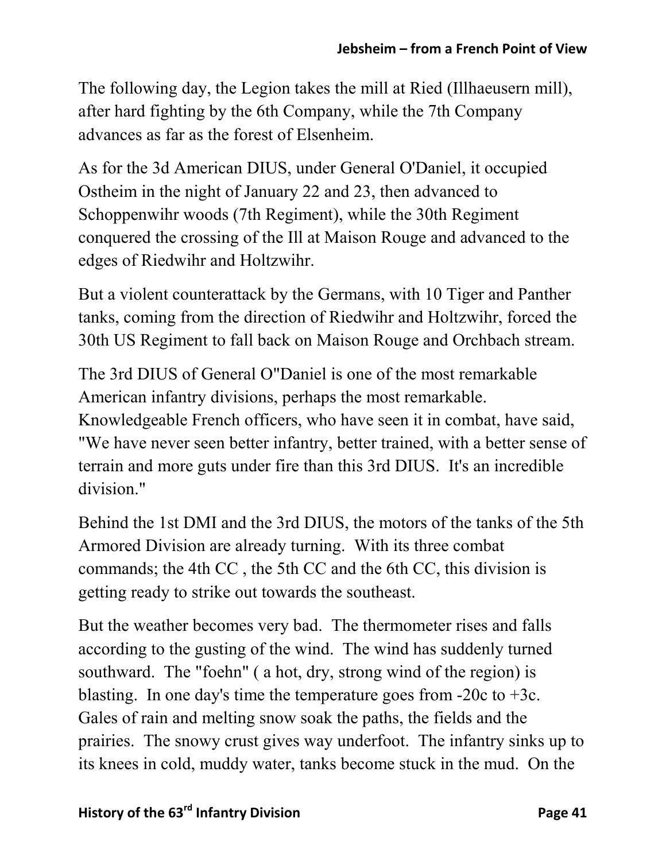The following day, the Legion takes the mill at Ried (Illhaeusern mill), after hard fighting by the 6th Company, while the 7th Company advances as far as the forest of Elsenheim.

As for the 3d American DIUS, under General O'Daniel, it occupied Ostheim in the night of January 22 and 23, then advanced to Schoppenwihr woods (7th Regiment), while the 30th Regiment conquered the crossing of the Ill at Maison Rouge and advanced to the edges of Riedwihr and Holtzwihr.

But a violent counterattack by the Germans, with 10 Tiger and Panther tanks, coming from the direction of Riedwihr and Holtzwihr, forced the 30th US Regiment to fall back on Maison Rouge and Orchbach stream.

The 3rd DIUS of General O"Daniel is one of the most remarkable American infantry divisions, perhaps the most remarkable. Knowledgeable French officers, who have seen it in combat, have said, "We have never seen better infantry, better trained, with a better sense of terrain and more guts under fire than this 3rd DIUS. It's an incredible division."

Behind the 1st DMI and the 3rd DIUS, the motors of the tanks of the 5th Armored Division are already turning. With its three combat commands; the 4th CC , the 5th CC and the 6th CC, this division is getting ready to strike out towards the southeast.

But the weather becomes very bad. The thermometer rises and falls according to the gusting of the wind. The wind has suddenly turned southward. The "foehn" ( a hot, dry, strong wind of the region) is blasting. In one day's time the temperature goes from  $-20c$  to  $+3c$ . Gales of rain and melting snow soak the paths, the fields and the prairies. The snowy crust gives way underfoot. The infantry sinks up to its knees in cold, muddy water, tanks become stuck in the mud. On the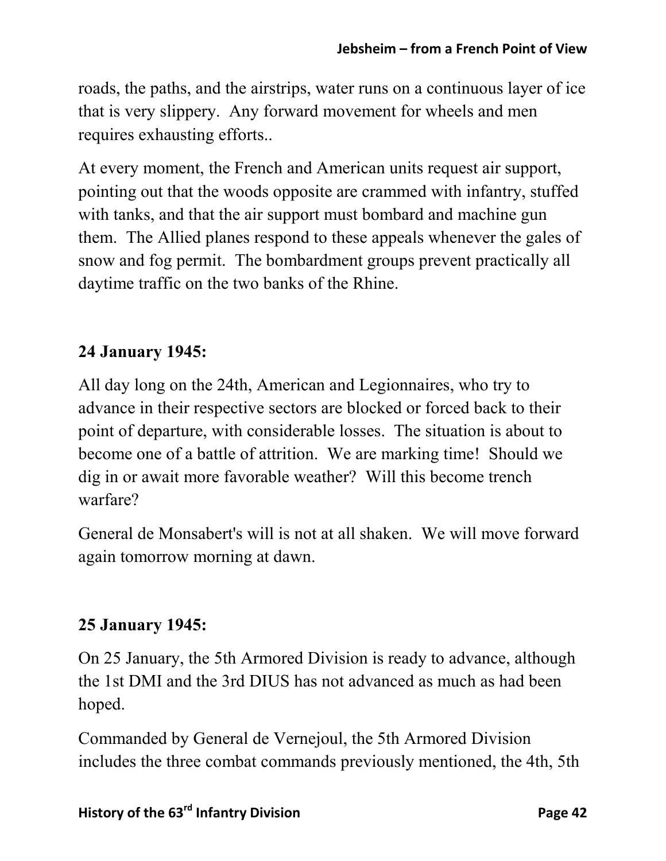roads, the paths, and the airstrips, water runs on a continuous layer of ice that is very slippery. Any forward movement for wheels and men requires exhausting efforts..

At every moment, the French and American units request air support, pointing out that the woods opposite are crammed with infantry, stuffed with tanks, and that the air support must bombard and machine gun them. The Allied planes respond to these appeals whenever the gales of snow and fog permit. The bombardment groups prevent practically all daytime traffic on the two banks of the Rhine.

## **24 January 1945:**

All day long on the 24th, American and Legionnaires, who try to advance in their respective sectors are blocked or forced back to their point of departure, with considerable losses. The situation is about to become one of a battle of attrition. We are marking time! Should we dig in or await more favorable weather? Will this become trench warfare?

General de Monsabert's will is not at all shaken. We will move forward again tomorrow morning at dawn.

## **25 January 1945:**

On 25 January, the 5th Armored Division is ready to advance, although the 1st DMI and the 3rd DIUS has not advanced as much as had been hoped.

Commanded by General de Vernejoul, the 5th Armored Division includes the three combat commands previously mentioned, the 4th, 5th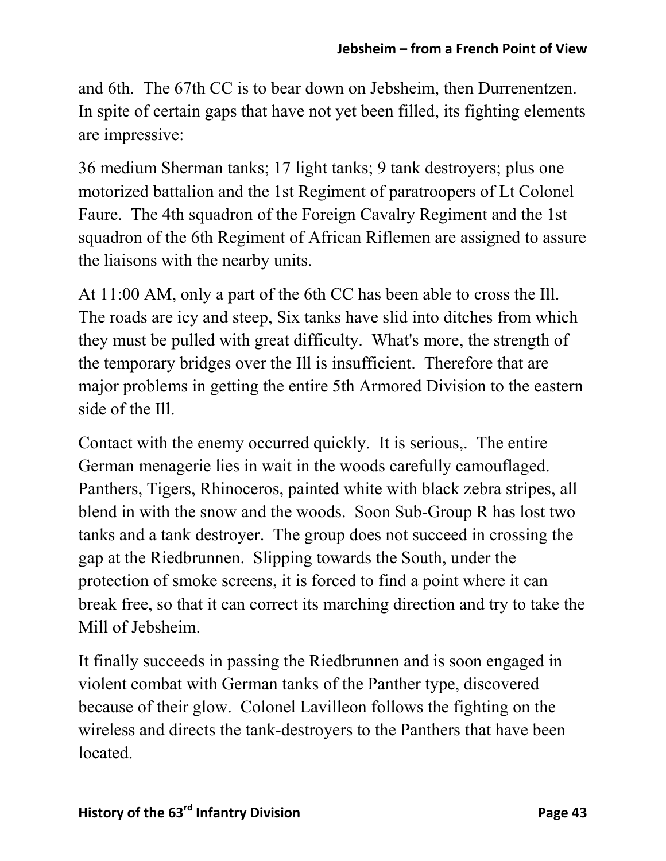and 6th. The 67th CC is to bear down on Jebsheim, then Durrenentzen. In spite of certain gaps that have not yet been filled, its fighting elements are impressive:

36 medium Sherman tanks; 17 light tanks; 9 tank destroyers; plus one motorized battalion and the 1st Regiment of paratroopers of Lt Colonel Faure. The 4th squadron of the Foreign Cavalry Regiment and the 1st squadron of the 6th Regiment of African Riflemen are assigned to assure the liaisons with the nearby units.

At 11:00 AM, only a part of the 6th CC has been able to cross the Ill. The roads are icy and steep, Six tanks have slid into ditches from which they must be pulled with great difficulty. What's more, the strength of the temporary bridges over the Ill is insufficient. Therefore that are major problems in getting the entire 5th Armored Division to the eastern side of the Ill.

Contact with the enemy occurred quickly. It is serious,. The entire German menagerie lies in wait in the woods carefully camouflaged. Panthers, Tigers, Rhinoceros, painted white with black zebra stripes, all blend in with the snow and the woods. Soon Sub-Group R has lost two tanks and a tank destroyer. The group does not succeed in crossing the gap at the Riedbrunnen. Slipping towards the South, under the protection of smoke screens, it is forced to find a point where it can break free, so that it can correct its marching direction and try to take the Mill of Jebsheim.

It finally succeeds in passing the Riedbrunnen and is soon engaged in violent combat with German tanks of the Panther type, discovered because of their glow. Colonel Lavilleon follows the fighting on the wireless and directs the tank-destroyers to the Panthers that have been located.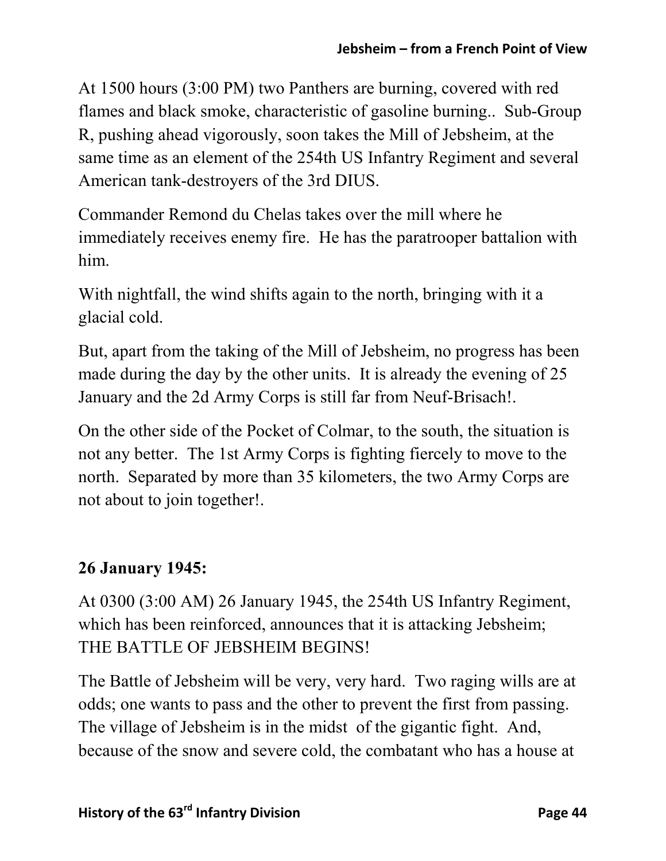At 1500 hours (3:00 PM) two Panthers are burning, covered with red flames and black smoke, characteristic of gasoline burning.. Sub-Group R, pushing ahead vigorously, soon takes the Mill of Jebsheim, at the same time as an element of the 254th US Infantry Regiment and several American tank-destroyers of the 3rd DIUS.

Commander Remond du Chelas takes over the mill where he immediately receives enemy fire. He has the paratrooper battalion with him.

With nightfall, the wind shifts again to the north, bringing with it a glacial cold.

But, apart from the taking of the Mill of Jebsheim, no progress has been made during the day by the other units. It is already the evening of 25 January and the 2d Army Corps is still far from Neuf-Brisach!.

On the other side of the Pocket of Colmar, to the south, the situation is not any better. The 1st Army Corps is fighting fiercely to move to the north. Separated by more than 35 kilometers, the two Army Corps are not about to join together!.

## **26 January 1945:**

At 0300 (3:00 AM) 26 January 1945, the 254th US Infantry Regiment, which has been reinforced, announces that it is attacking Jebsheim; THE BATTLE OF JEBSHEIM BEGINS!

The Battle of Jebsheim will be very, very hard. Two raging wills are at odds; one wants to pass and the other to prevent the first from passing. The village of Jebsheim is in the midst of the gigantic fight. And, because of the snow and severe cold, the combatant who has a house at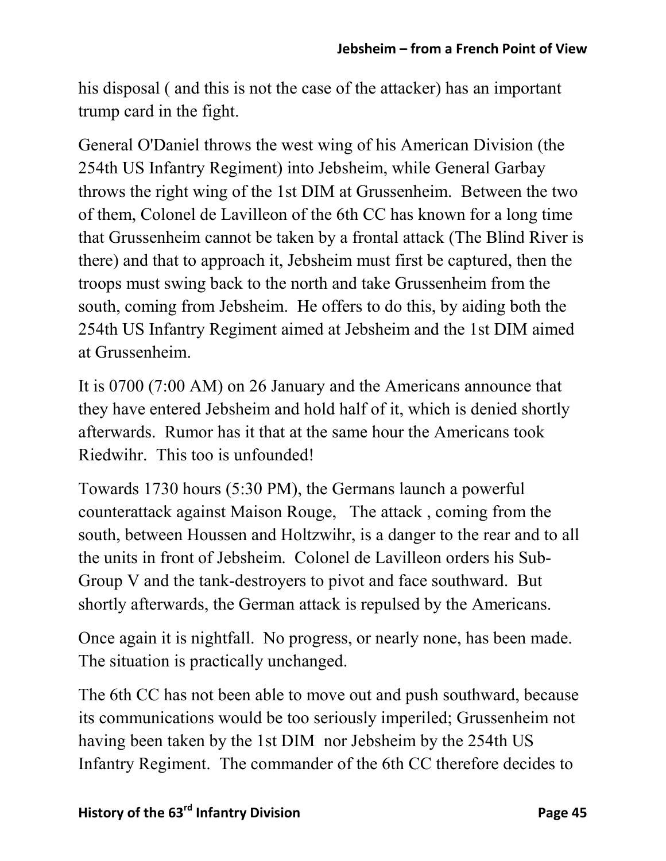his disposal ( and this is not the case of the attacker) has an important trump card in the fight.

General O'Daniel throws the west wing of his American Division (the 254th US Infantry Regiment) into Jebsheim, while General Garbay throws the right wing of the 1st DIM at Grussenheim. Between the two of them, Colonel de Lavilleon of the 6th CC has known for a long time that Grussenheim cannot be taken by a frontal attack (The Blind River is there) and that to approach it, Jebsheim must first be captured, then the troops must swing back to the north and take Grussenheim from the south, coming from Jebsheim. He offers to do this, by aiding both the 254th US Infantry Regiment aimed at Jebsheim and the 1st DIM aimed at Grussenheim.

It is 0700 (7:00 AM) on 26 January and the Americans announce that they have entered Jebsheim and hold half of it, which is denied shortly afterwards. Rumor has it that at the same hour the Americans took Riedwihr. This too is unfounded!

Towards 1730 hours (5:30 PM), the Germans launch a powerful counterattack against Maison Rouge, The attack , coming from the south, between Houssen and Holtzwihr, is a danger to the rear and to all the units in front of Jebsheim. Colonel de Lavilleon orders his Sub-Group V and the tank-destroyers to pivot and face southward. But shortly afterwards, the German attack is repulsed by the Americans.

Once again it is nightfall. No progress, or nearly none, has been made. The situation is practically unchanged.

The 6th CC has not been able to move out and push southward, because its communications would be too seriously imperiled; Grussenheim not having been taken by the 1st DIM nor Jebsheim by the 254th US Infantry Regiment. The commander of the 6th CC therefore decides to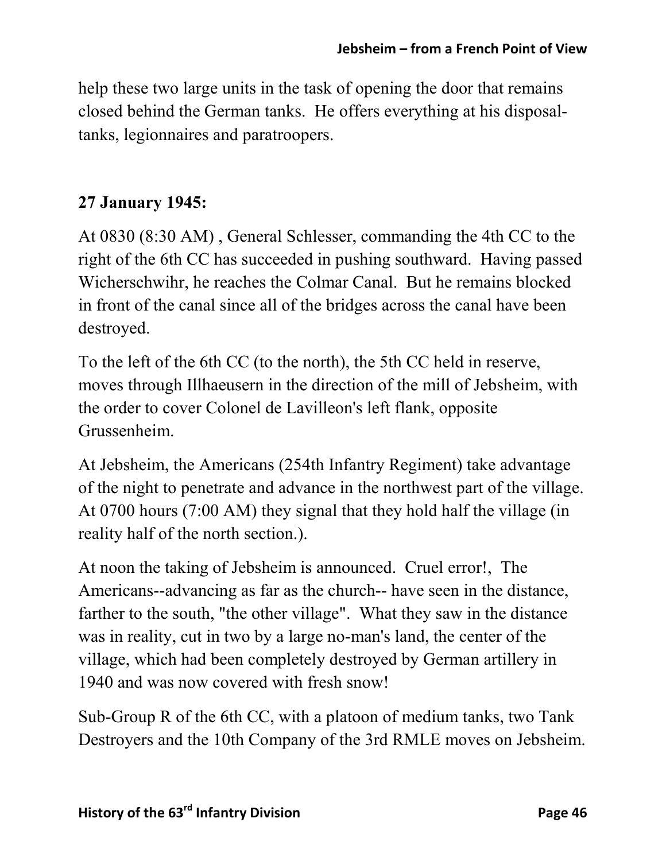help these two large units in the task of opening the door that remains closed behind the German tanks. He offers everything at his disposaltanks, legionnaires and paratroopers.

### **27 January 1945:**

At 0830 (8:30 AM) , General Schlesser, commanding the 4th CC to the right of the 6th CC has succeeded in pushing southward. Having passed Wicherschwihr, he reaches the Colmar Canal. But he remains blocked in front of the canal since all of the bridges across the canal have been destroyed.

To the left of the 6th CC (to the north), the 5th CC held in reserve, moves through Illhaeusern in the direction of the mill of Jebsheim, with the order to cover Colonel de Lavilleon's left flank, opposite Grussenheim.

At Jebsheim, the Americans (254th Infantry Regiment) take advantage of the night to penetrate and advance in the northwest part of the village. At 0700 hours (7:00 AM) they signal that they hold half the village (in reality half of the north section.).

At noon the taking of Jebsheim is announced. Cruel error!, The Americans--advancing as far as the church-- have seen in the distance, farther to the south, "the other village". What they saw in the distance was in reality, cut in two by a large no-man's land, the center of the village, which had been completely destroyed by German artillery in 1940 and was now covered with fresh snow!

Sub-Group R of the 6th CC, with a platoon of medium tanks, two Tank Destroyers and the 10th Company of the 3rd RMLE moves on Jebsheim.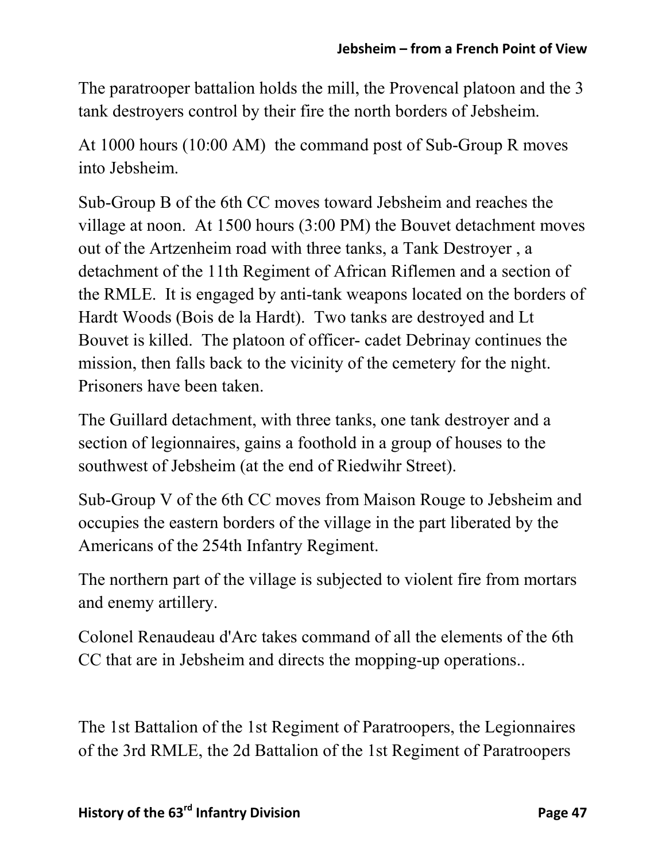The paratrooper battalion holds the mill, the Provencal platoon and the 3 tank destroyers control by their fire the north borders of Jebsheim.

At 1000 hours (10:00 AM) the command post of Sub-Group R moves into Jebsheim.

Sub-Group B of the 6th CC moves toward Jebsheim and reaches the village at noon. At 1500 hours (3:00 PM) the Bouvet detachment moves out of the Artzenheim road with three tanks, a Tank Destroyer , a detachment of the 11th Regiment of African Riflemen and a section of the RMLE. It is engaged by anti-tank weapons located on the borders of Hardt Woods (Bois de la Hardt). Two tanks are destroyed and Lt Bouvet is killed. The platoon of officer- cadet Debrinay continues the mission, then falls back to the vicinity of the cemetery for the night. Prisoners have been taken.

The Guillard detachment, with three tanks, one tank destroyer and a section of legionnaires, gains a foothold in a group of houses to the southwest of Jebsheim (at the end of Riedwihr Street).

Sub-Group V of the 6th CC moves from Maison Rouge to Jebsheim and occupies the eastern borders of the village in the part liberated by the Americans of the 254th Infantry Regiment.

The northern part of the village is subjected to violent fire from mortars and enemy artillery.

Colonel Renaudeau d'Arc takes command of all the elements of the 6th CC that are in Jebsheim and directs the mopping-up operations..

The 1st Battalion of the 1st Regiment of Paratroopers, the Legionnaires of the 3rd RMLE, the 2d Battalion of the 1st Regiment of Paratroopers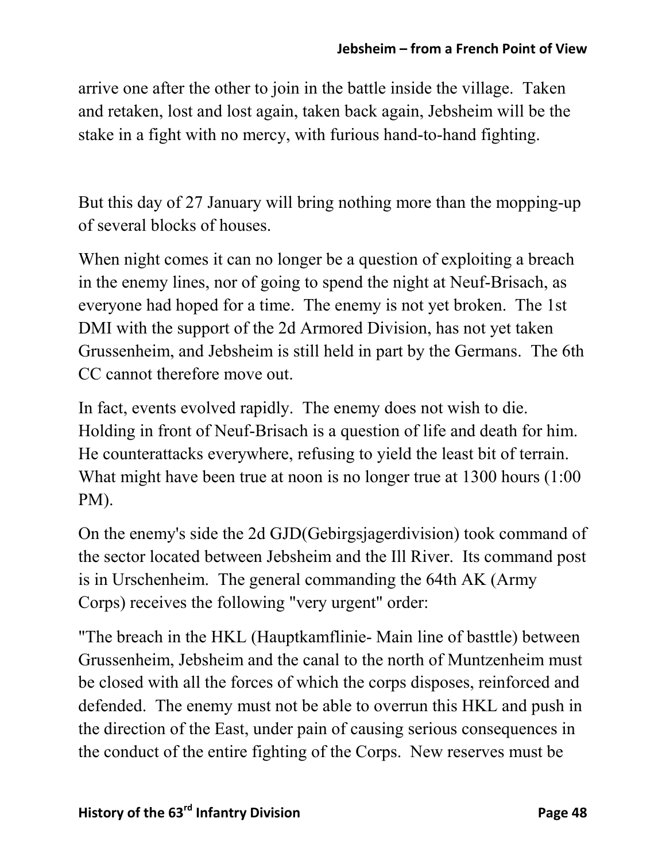arrive one after the other to join in the battle inside the village. Taken and retaken, lost and lost again, taken back again, Jebsheim will be the stake in a fight with no mercy, with furious hand-to-hand fighting.

But this day of 27 January will bring nothing more than the mopping-up of several blocks of houses.

When night comes it can no longer be a question of exploiting a breach in the enemy lines, nor of going to spend the night at Neuf-Brisach, as everyone had hoped for a time. The enemy is not yet broken. The 1st DMI with the support of the 2d Armored Division, has not yet taken Grussenheim, and Jebsheim is still held in part by the Germans. The 6th CC cannot therefore move out.

In fact, events evolved rapidly. The enemy does not wish to die. Holding in front of Neuf-Brisach is a question of life and death for him. He counterattacks everywhere, refusing to yield the least bit of terrain. What might have been true at noon is no longer true at 1300 hours (1:00 PM).

On the enemy's side the 2d GJD(Gebirgsjagerdivision) took command of the sector located between Jebsheim and the Ill River. Its command post is in Urschenheim. The general commanding the 64th AK (Army Corps) receives the following "very urgent" order:

"The breach in the HKL (Hauptkamflinie- Main line of basttle) between Grussenheim, Jebsheim and the canal to the north of Muntzenheim must be closed with all the forces of which the corps disposes, reinforced and defended. The enemy must not be able to overrun this HKL and push in the direction of the East, under pain of causing serious consequences in the conduct of the entire fighting of the Corps. New reserves must be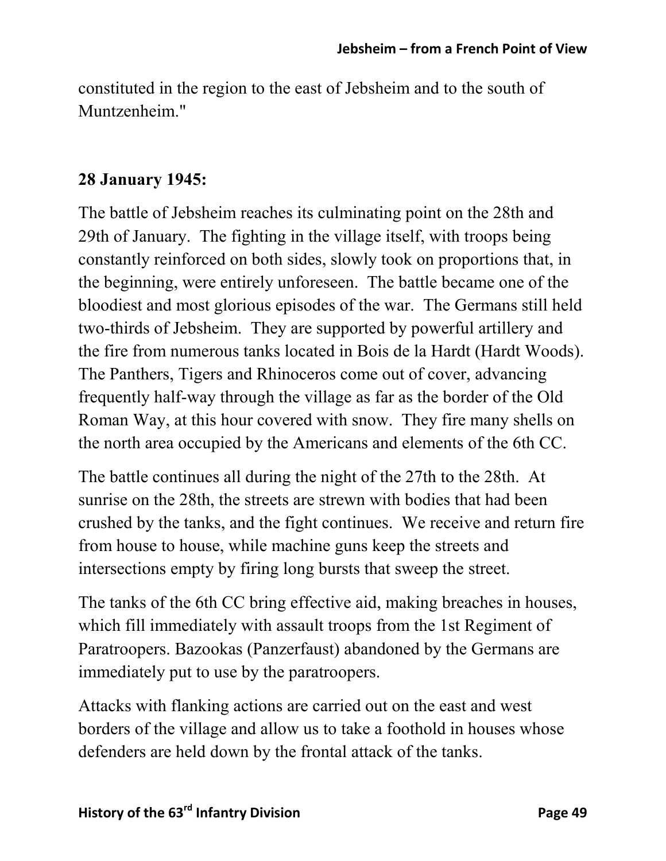constituted in the region to the east of Jebsheim and to the south of Muntzenheim."

#### **28 January 1945:**

The battle of Jebsheim reaches its culminating point on the 28th and 29th of January. The fighting in the village itself, with troops being constantly reinforced on both sides, slowly took on proportions that, in the beginning, were entirely unforeseen. The battle became one of the bloodiest and most glorious episodes of the war. The Germans still held two-thirds of Jebsheim. They are supported by powerful artillery and the fire from numerous tanks located in Bois de la Hardt (Hardt Woods). The Panthers, Tigers and Rhinoceros come out of cover, advancing frequently half-way through the village as far as the border of the Old Roman Way, at this hour covered with snow. They fire many shells on the north area occupied by the Americans and elements of the 6th CC.

The battle continues all during the night of the 27th to the 28th. At sunrise on the 28th, the streets are strewn with bodies that had been crushed by the tanks, and the fight continues. We receive and return fire from house to house, while machine guns keep the streets and intersections empty by firing long bursts that sweep the street.

The tanks of the 6th CC bring effective aid, making breaches in houses, which fill immediately with assault troops from the 1st Regiment of Paratroopers. Bazookas (Panzerfaust) abandoned by the Germans are immediately put to use by the paratroopers.

Attacks with flanking actions are carried out on the east and west borders of the village and allow us to take a foothold in houses whose defenders are held down by the frontal attack of the tanks.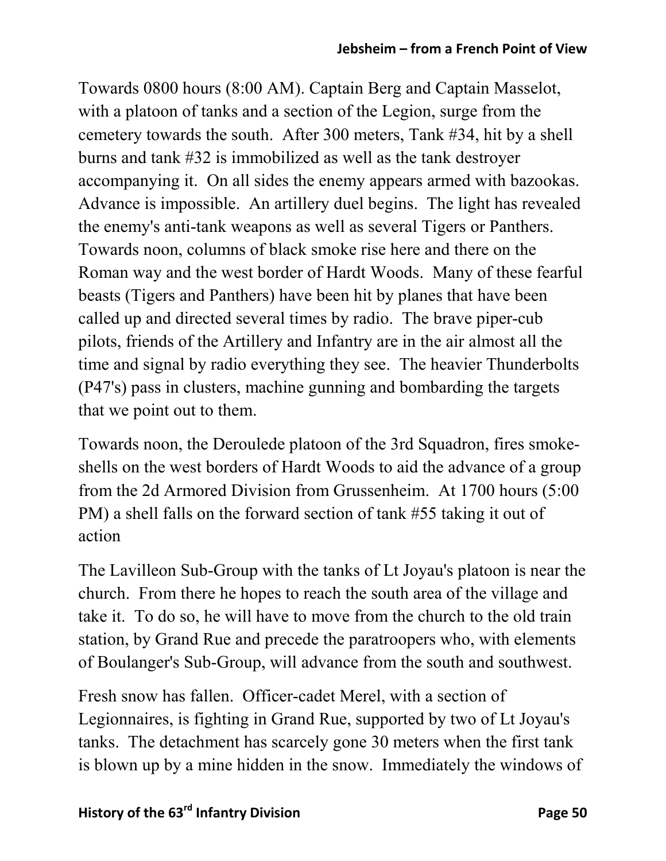Towards 0800 hours (8:00 AM). Captain Berg and Captain Masselot, with a platoon of tanks and a section of the Legion, surge from the cemetery towards the south. After 300 meters, Tank #34, hit by a shell burns and tank #32 is immobilized as well as the tank destroyer accompanying it. On all sides the enemy appears armed with bazookas. Advance is impossible. An artillery duel begins. The light has revealed the enemy's anti-tank weapons as well as several Tigers or Panthers. Towards noon, columns of black smoke rise here and there on the Roman way and the west border of Hardt Woods. Many of these fearful beasts (Tigers and Panthers) have been hit by planes that have been called up and directed several times by radio. The brave piper-cub pilots, friends of the Artillery and Infantry are in the air almost all the time and signal by radio everything they see. The heavier Thunderbolts (P47's) pass in clusters, machine gunning and bombarding the targets that we point out to them.

Towards noon, the Deroulede platoon of the 3rd Squadron, fires smokeshells on the west borders of Hardt Woods to aid the advance of a group from the 2d Armored Division from Grussenheim. At 1700 hours (5:00 PM) a shell falls on the forward section of tank #55 taking it out of action

The Lavilleon Sub-Group with the tanks of Lt Joyau's platoon is near the church. From there he hopes to reach the south area of the village and take it. To do so, he will have to move from the church to the old train station, by Grand Rue and precede the paratroopers who, with elements of Boulanger's Sub-Group, will advance from the south and southwest.

Fresh snow has fallen. Officer-cadet Merel, with a section of Legionnaires, is fighting in Grand Rue, supported by two of Lt Joyau's tanks. The detachment has scarcely gone 30 meters when the first tank is blown up by a mine hidden in the snow. Immediately the windows of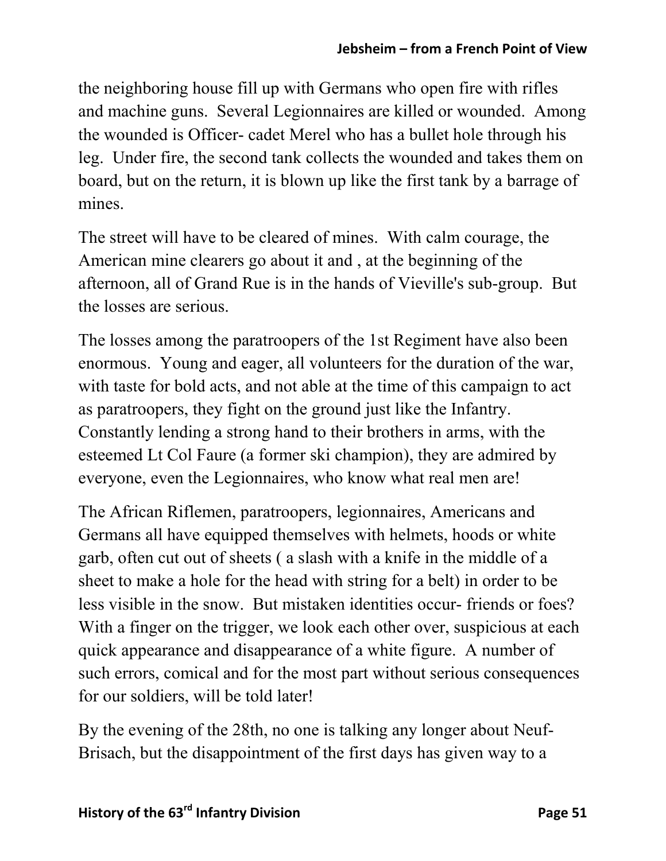the neighboring house fill up with Germans who open fire with rifles and machine guns. Several Legionnaires are killed or wounded. Among the wounded is Officer- cadet Merel who has a bullet hole through his leg. Under fire, the second tank collects the wounded and takes them on board, but on the return, it is blown up like the first tank by a barrage of mines.

The street will have to be cleared of mines. With calm courage, the American mine clearers go about it and , at the beginning of the afternoon, all of Grand Rue is in the hands of Vieville's sub-group. But the losses are serious.

The losses among the paratroopers of the 1st Regiment have also been enormous. Young and eager, all volunteers for the duration of the war, with taste for bold acts, and not able at the time of this campaign to act as paratroopers, they fight on the ground just like the Infantry. Constantly lending a strong hand to their brothers in arms, with the esteemed Lt Col Faure (a former ski champion), they are admired by everyone, even the Legionnaires, who know what real men are!

The African Riflemen, paratroopers, legionnaires, Americans and Germans all have equipped themselves with helmets, hoods or white garb, often cut out of sheets ( a slash with a knife in the middle of a sheet to make a hole for the head with string for a belt) in order to be less visible in the snow. But mistaken identities occur- friends or foes? With a finger on the trigger, we look each other over, suspicious at each quick appearance and disappearance of a white figure. A number of such errors, comical and for the most part without serious consequences for our soldiers, will be told later!

By the evening of the 28th, no one is talking any longer about Neuf-Brisach, but the disappointment of the first days has given way to a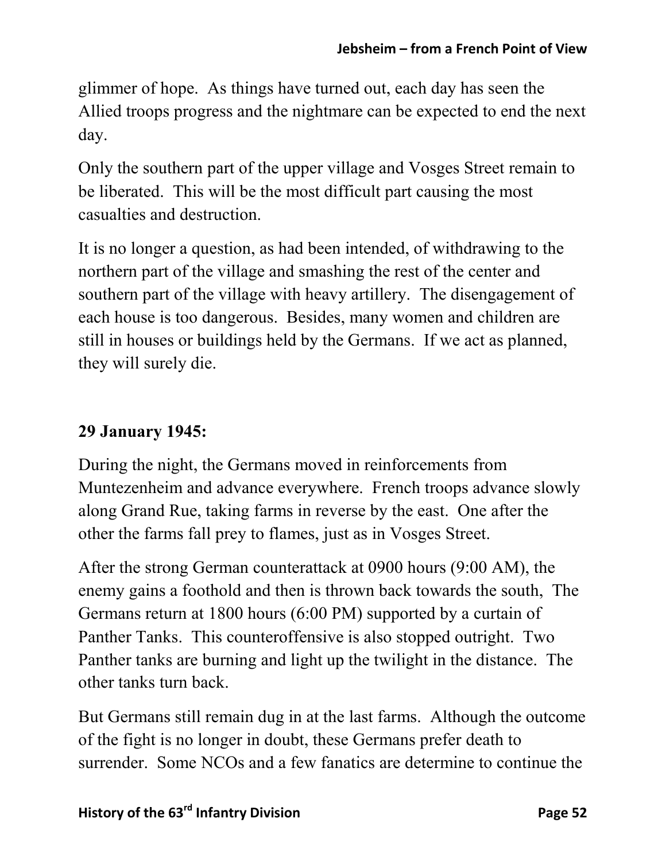glimmer of hope. As things have turned out, each day has seen the Allied troops progress and the nightmare can be expected to end the next day.

Only the southern part of the upper village and Vosges Street remain to be liberated. This will be the most difficult part causing the most casualties and destruction.

It is no longer a question, as had been intended, of withdrawing to the northern part of the village and smashing the rest of the center and southern part of the village with heavy artillery. The disengagement of each house is too dangerous. Besides, many women and children are still in houses or buildings held by the Germans. If we act as planned, they will surely die.

## **29 January 1945:**

During the night, the Germans moved in reinforcements from Muntezenheim and advance everywhere. French troops advance slowly along Grand Rue, taking farms in reverse by the east. One after the other the farms fall prey to flames, just as in Vosges Street.

After the strong German counterattack at 0900 hours (9:00 AM), the enemy gains a foothold and then is thrown back towards the south, The Germans return at 1800 hours (6:00 PM) supported by a curtain of Panther Tanks. This counteroffensive is also stopped outright. Two Panther tanks are burning and light up the twilight in the distance. The other tanks turn back.

But Germans still remain dug in at the last farms. Although the outcome of the fight is no longer in doubt, these Germans prefer death to surrender. Some NCOs and a few fanatics are determine to continue the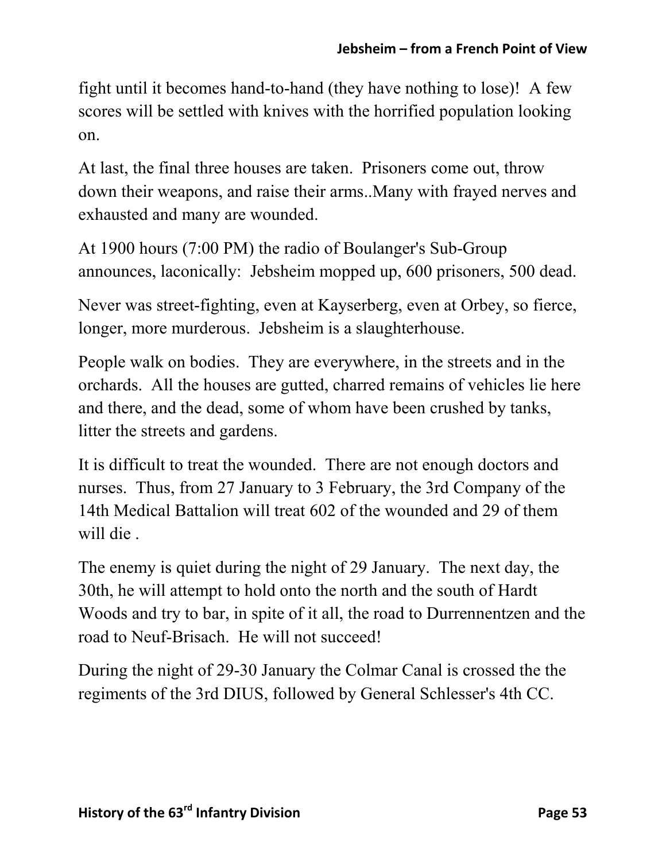fight until it becomes hand-to-hand (they have nothing to lose)! A few scores will be settled with knives with the horrified population looking on.

At last, the final three houses are taken. Prisoners come out, throw down their weapons, and raise their arms..Many with frayed nerves and exhausted and many are wounded.

At 1900 hours (7:00 PM) the radio of Boulanger's Sub-Group announces, laconically: Jebsheim mopped up, 600 prisoners, 500 dead.

Never was street-fighting, even at Kayserberg, even at Orbey, so fierce, longer, more murderous. Jebsheim is a slaughterhouse.

People walk on bodies. They are everywhere, in the streets and in the orchards. All the houses are gutted, charred remains of vehicles lie here and there, and the dead, some of whom have been crushed by tanks, litter the streets and gardens.

It is difficult to treat the wounded. There are not enough doctors and nurses. Thus, from 27 January to 3 February, the 3rd Company of the 14th Medical Battalion will treat 602 of the wounded and 29 of them will die .

The enemy is quiet during the night of 29 January. The next day, the 30th, he will attempt to hold onto the north and the south of Hardt Woods and try to bar, in spite of it all, the road to Durrennentzen and the road to Neuf-Brisach. He will not succeed!

During the night of 29-30 January the Colmar Canal is crossed the the regiments of the 3rd DIUS, followed by General Schlesser's 4th CC.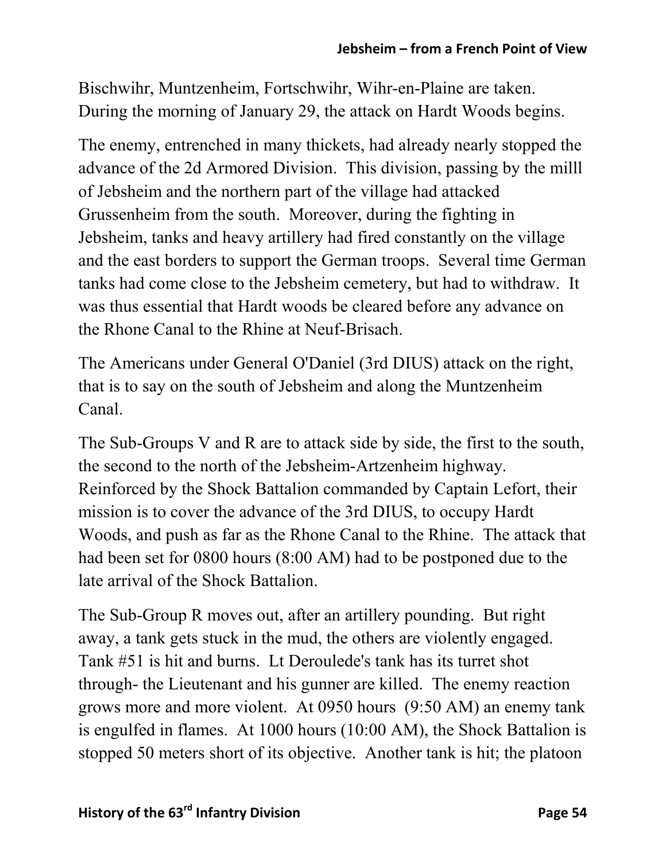Bischwihr, Muntzenheim, Fortschwihr, Wihr-en-Plaine are taken. During the morning of January 29, the attack on Hardt Woods begins.

The enemy, entrenched in many thickets, had already nearly stopped the advance of the 2d Armored Division. This division, passing by the milll of Jebsheim and the northern part of the village had attacked Grussenheim from the south. Moreover, during the fighting in Jebsheim, tanks and heavy artillery had fired constantly on the village and the east borders to support the German troops. Several time German tanks had come close to the Jebsheim cemetery, but had to withdraw. It was thus essential that Hardt woods be cleared before any advance on the Rhone Canal to the Rhine at Neuf-Brisach.

The Americans under General O'Daniel (3rd DIUS) attack on the right, that is to say on the south of Jebsheim and along the Muntzenheim Canal.

The Sub-Groups V and R are to attack side by side, the first to the south, the second to the north of the Jebsheim-Artzenheim highway. Reinforced by the Shock Battalion commanded by Captain Lefort, their mission is to cover the advance of the 3rd DIUS, to occupy Hardt Woods, and push as far as the Rhone Canal to the Rhine. The attack that had been set for 0800 hours (8:00 AM) had to be postponed due to the late arrival of the Shock Battalion.

The Sub-Group R moves out, after an artillery pounding. But right away, a tank gets stuck in the mud, the others are violently engaged. Tank #51 is hit and burns. Lt Deroulede's tank has its turret shot through- the Lieutenant and his gunner are killed. The enemy reaction grows more and more violent. At 0950 hours (9:50 AM) an enemy tank is engulfed in flames. At 1000 hours (10:00 AM), the Shock Battalion is stopped 50 meters short of its objective. Another tank is hit; the platoon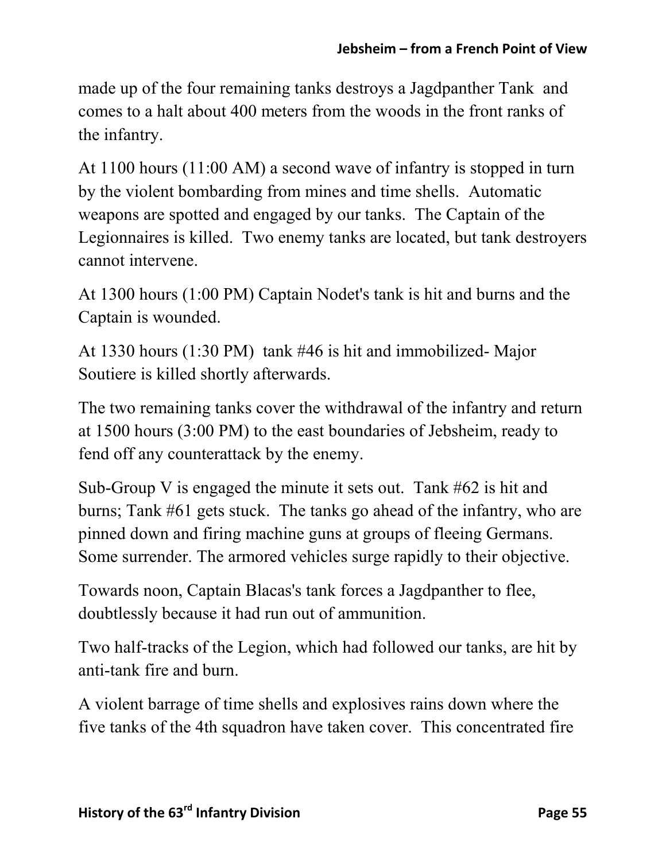made up of the four remaining tanks destroys a Jagdpanther Tank and comes to a halt about 400 meters from the woods in the front ranks of the infantry.

At 1100 hours (11:00 AM) a second wave of infantry is stopped in turn by the violent bombarding from mines and time shells. Automatic weapons are spotted and engaged by our tanks. The Captain of the Legionnaires is killed. Two enemy tanks are located, but tank destroyers cannot intervene.

At 1300 hours (1:00 PM) Captain Nodet's tank is hit and burns and the Captain is wounded.

At 1330 hours (1:30 PM) tank #46 is hit and immobilized- Major Soutiere is killed shortly afterwards.

The two remaining tanks cover the withdrawal of the infantry and return at 1500 hours (3:00 PM) to the east boundaries of Jebsheim, ready to fend off any counterattack by the enemy.

Sub-Group V is engaged the minute it sets out. Tank #62 is hit and burns; Tank #61 gets stuck. The tanks go ahead of the infantry, who are pinned down and firing machine guns at groups of fleeing Germans. Some surrender. The armored vehicles surge rapidly to their objective.

Towards noon, Captain Blacas's tank forces a Jagdpanther to flee, doubtlessly because it had run out of ammunition.

Two half-tracks of the Legion, which had followed our tanks, are hit by anti-tank fire and burn.

A violent barrage of time shells and explosives rains down where the five tanks of the 4th squadron have taken cover. This concentrated fire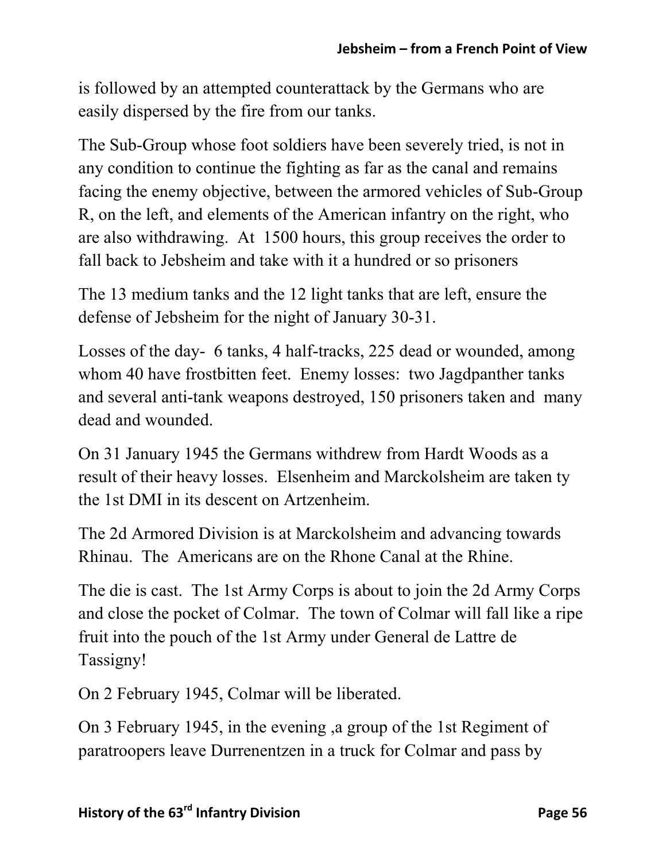is followed by an attempted counterattack by the Germans who are easily dispersed by the fire from our tanks.

The Sub-Group whose foot soldiers have been severely tried, is not in any condition to continue the fighting as far as the canal and remains facing the enemy objective, between the armored vehicles of Sub-Group R, on the left, and elements of the American infantry on the right, who are also withdrawing. At 1500 hours, this group receives the order to fall back to Jebsheim and take with it a hundred or so prisoners

The 13 medium tanks and the 12 light tanks that are left, ensure the defense of Jebsheim for the night of January 30-31.

Losses of the day- 6 tanks, 4 half-tracks, 225 dead or wounded, among whom 40 have frostbitten feet. Enemy losses: two Jagdpanther tanks and several anti-tank weapons destroyed, 150 prisoners taken and many dead and wounded.

On 31 January 1945 the Germans withdrew from Hardt Woods as a result of their heavy losses. Elsenheim and Marckolsheim are taken ty the 1st DMI in its descent on Artzenheim.

The 2d Armored Division is at Marckolsheim and advancing towards Rhinau. The Americans are on the Rhone Canal at the Rhine.

The die is cast. The 1st Army Corps is about to join the 2d Army Corps and close the pocket of Colmar. The town of Colmar will fall like a ripe fruit into the pouch of the 1st Army under General de Lattre de Tassigny!

On 2 February 1945, Colmar will be liberated.

On 3 February 1945, in the evening ,a group of the 1st Regiment of paratroopers leave Durrenentzen in a truck for Colmar and pass by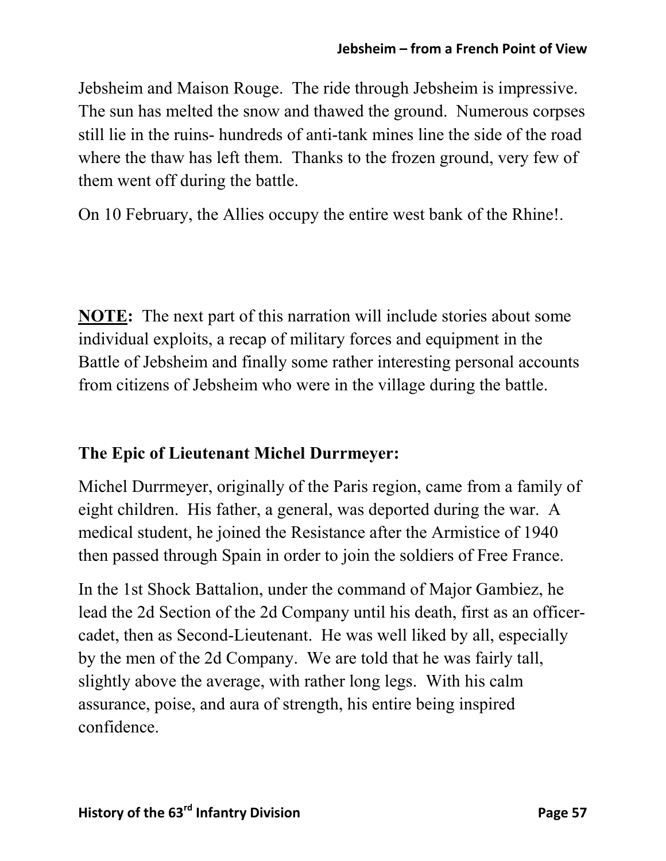Jebsheim and Maison Rouge. The ride through Jebsheim is impressive. The sun has melted the snow and thawed the ground. Numerous corpses still lie in the ruins- hundreds of anti-tank mines line the side of the road where the thaw has left them. Thanks to the frozen ground, very few of them went off during the battle.

On 10 February, the Allies occupy the entire west bank of the Rhine!.

**NOTE:** The next part of this narration will include stories about some individual exploits, a recap of military forces and equipment in the Battle of Jebsheim and finally some rather interesting personal accounts from citizens of Jebsheim who were in the village during the battle.

#### **The Epic of Lieutenant Michel Durrmeyer:**

Michel Durrmeyer, originally of the Paris region, came from a family of eight children. His father, a general, was deported during the war. A medical student, he joined the Resistance after the Armistice of 1940 then passed through Spain in order to join the soldiers of Free France.

In the 1st Shock Battalion, under the command of Major Gambiez, he lead the 2d Section of the 2d Company until his death, first as an officercadet, then as Second-Lieutenant. He was well liked by all, especially by the men of the 2d Company. We are told that he was fairly tall, slightly above the average, with rather long legs. With his calm assurance, poise, and aura of strength, his entire being inspired confidence.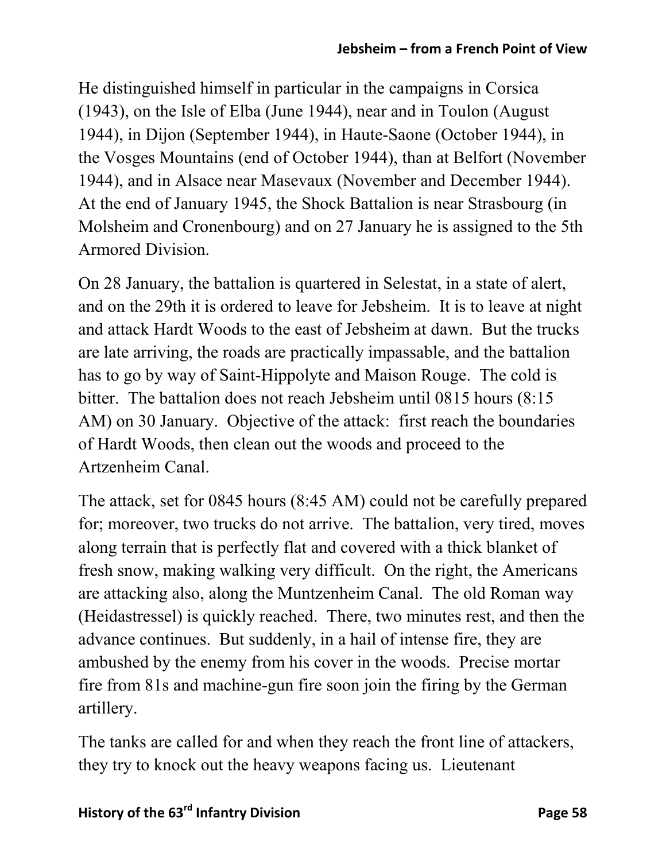He distinguished himself in particular in the campaigns in Corsica (1943), on the Isle of Elba (June 1944), near and in Toulon (August 1944), in Dijon (September 1944), in Haute-Saone (October 1944), in the Vosges Mountains (end of October 1944), than at Belfort (November 1944), and in Alsace near Masevaux (November and December 1944). At the end of January 1945, the Shock Battalion is near Strasbourg (in Molsheim and Cronenbourg) and on 27 January he is assigned to the 5th Armored Division.

On 28 January, the battalion is quartered in Selestat, in a state of alert, and on the 29th it is ordered to leave for Jebsheim. It is to leave at night and attack Hardt Woods to the east of Jebsheim at dawn. But the trucks are late arriving, the roads are practically impassable, and the battalion has to go by way of Saint-Hippolyte and Maison Rouge. The cold is bitter. The battalion does not reach Jebsheim until 0815 hours (8:15 AM) on 30 January. Objective of the attack: first reach the boundaries of Hardt Woods, then clean out the woods and proceed to the Artzenheim Canal.

The attack, set for 0845 hours (8:45 AM) could not be carefully prepared for; moreover, two trucks do not arrive. The battalion, very tired, moves along terrain that is perfectly flat and covered with a thick blanket of fresh snow, making walking very difficult. On the right, the Americans are attacking also, along the Muntzenheim Canal. The old Roman way (Heidastressel) is quickly reached. There, two minutes rest, and then the advance continues. But suddenly, in a hail of intense fire, they are ambushed by the enemy from his cover in the woods. Precise mortar fire from 81s and machine-gun fire soon join the firing by the German artillery.

The tanks are called for and when they reach the front line of attackers, they try to knock out the heavy weapons facing us. Lieutenant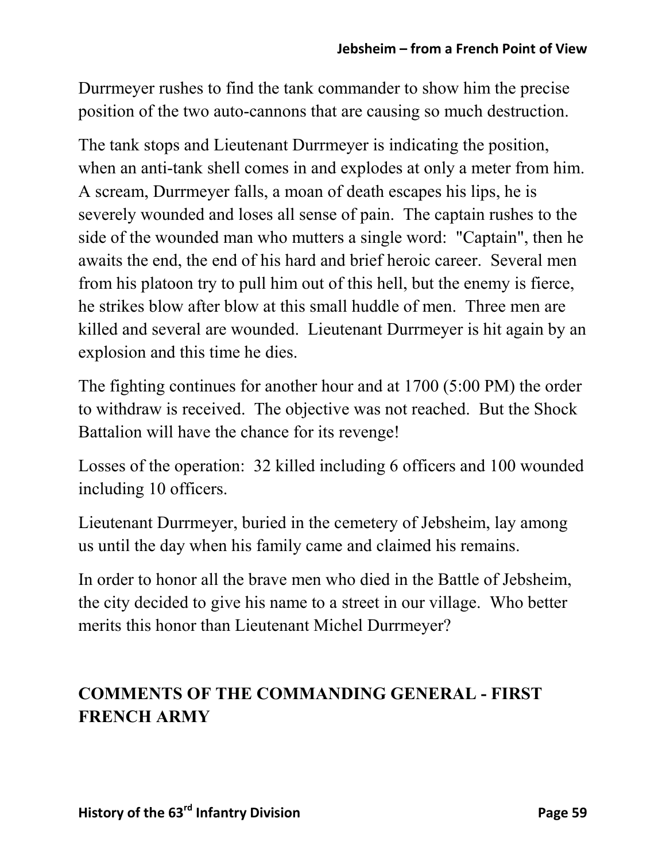Durrmeyer rushes to find the tank commander to show him the precise position of the two auto-cannons that are causing so much destruction.

The tank stops and Lieutenant Durrmeyer is indicating the position, when an anti-tank shell comes in and explodes at only a meter from him. A scream, Durrmeyer falls, a moan of death escapes his lips, he is severely wounded and loses all sense of pain. The captain rushes to the side of the wounded man who mutters a single word: "Captain", then he awaits the end, the end of his hard and brief heroic career. Several men from his platoon try to pull him out of this hell, but the enemy is fierce, he strikes blow after blow at this small huddle of men. Three men are killed and several are wounded. Lieutenant Durrmeyer is hit again by an explosion and this time he dies.

The fighting continues for another hour and at 1700 (5:00 PM) the order to withdraw is received. The objective was not reached. But the Shock Battalion will have the chance for its revenge!

Losses of the operation: 32 killed including 6 officers and 100 wounded including 10 officers.

Lieutenant Durrmeyer, buried in the cemetery of Jebsheim, lay among us until the day when his family came and claimed his remains.

In order to honor all the brave men who died in the Battle of Jebsheim, the city decided to give his name to a street in our village. Who better merits this honor than Lieutenant Michel Durrmeyer?

# **COMMENTS OF THE COMMANDING GENERAL - FIRST FRENCH ARMY**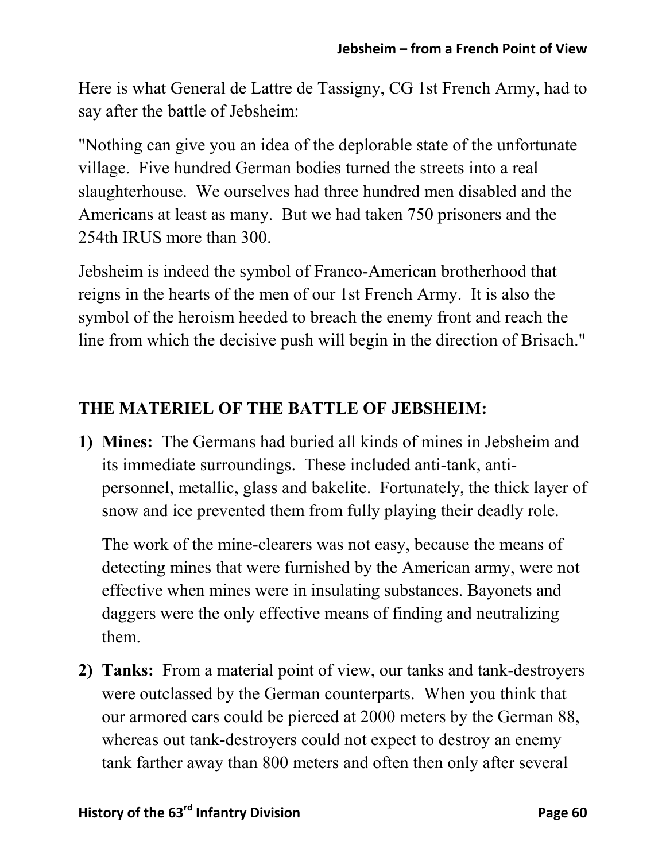Here is what General de Lattre de Tassigny, CG 1st French Army, had to say after the battle of Jebsheim:

"Nothing can give you an idea of the deplorable state of the unfortunate village. Five hundred German bodies turned the streets into a real slaughterhouse. We ourselves had three hundred men disabled and the Americans at least as many. But we had taken 750 prisoners and the 254th IRUS more than 300.

Jebsheim is indeed the symbol of Franco-American brotherhood that reigns in the hearts of the men of our 1st French Army. It is also the symbol of the heroism heeded to breach the enemy front and reach the line from which the decisive push will begin in the direction of Brisach."

## **THE MATERIEL OF THE BATTLE OF JEBSHEIM:**

**1) Mines:** The Germans had buried all kinds of mines in Jebsheim and its immediate surroundings. These included anti-tank, antipersonnel, metallic, glass and bakelite. Fortunately, the thick layer of snow and ice prevented them from fully playing their deadly role.

The work of the mine-clearers was not easy, because the means of detecting mines that were furnished by the American army, were not effective when mines were in insulating substances. Bayonets and daggers were the only effective means of finding and neutralizing them.

**2) Tanks:** From a material point of view, our tanks and tank-destroyers were outclassed by the German counterparts. When you think that our armored cars could be pierced at 2000 meters by the German 88, whereas out tank-destroyers could not expect to destroy an enemy tank farther away than 800 meters and often then only after several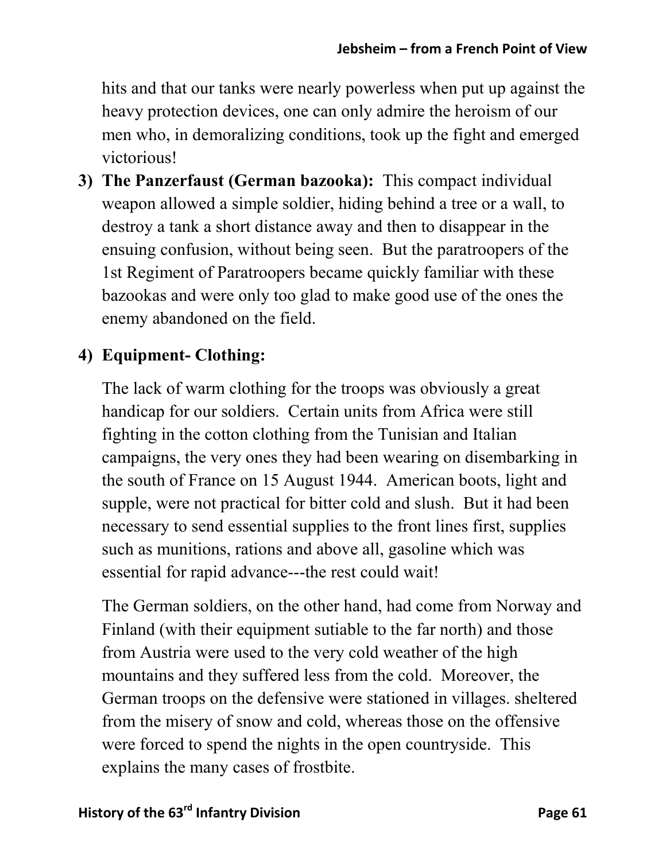hits and that our tanks were nearly powerless when put up against the heavy protection devices, one can only admire the heroism of our men who, in demoralizing conditions, took up the fight and emerged victorious!

**3) The Panzerfaust (German bazooka):** This compact individual weapon allowed a simple soldier, hiding behind a tree or a wall, to destroy a tank a short distance away and then to disappear in the ensuing confusion, without being seen. But the paratroopers of the 1st Regiment of Paratroopers became quickly familiar with these bazookas and were only too glad to make good use of the ones the enemy abandoned on the field.

## **4) Equipment- Clothing:**

The lack of warm clothing for the troops was obviously a great handicap for our soldiers. Certain units from Africa were still fighting in the cotton clothing from the Tunisian and Italian campaigns, the very ones they had been wearing on disembarking in the south of France on 15 August 1944. American boots, light and supple, were not practical for bitter cold and slush. But it had been necessary to send essential supplies to the front lines first, supplies such as munitions, rations and above all, gasoline which was essential for rapid advance---the rest could wait!

The German soldiers, on the other hand, had come from Norway and Finland (with their equipment sutiable to the far north) and those from Austria were used to the very cold weather of the high mountains and they suffered less from the cold. Moreover, the German troops on the defensive were stationed in villages. sheltered from the misery of snow and cold, whereas those on the offensive were forced to spend the nights in the open countryside. This explains the many cases of frostbite.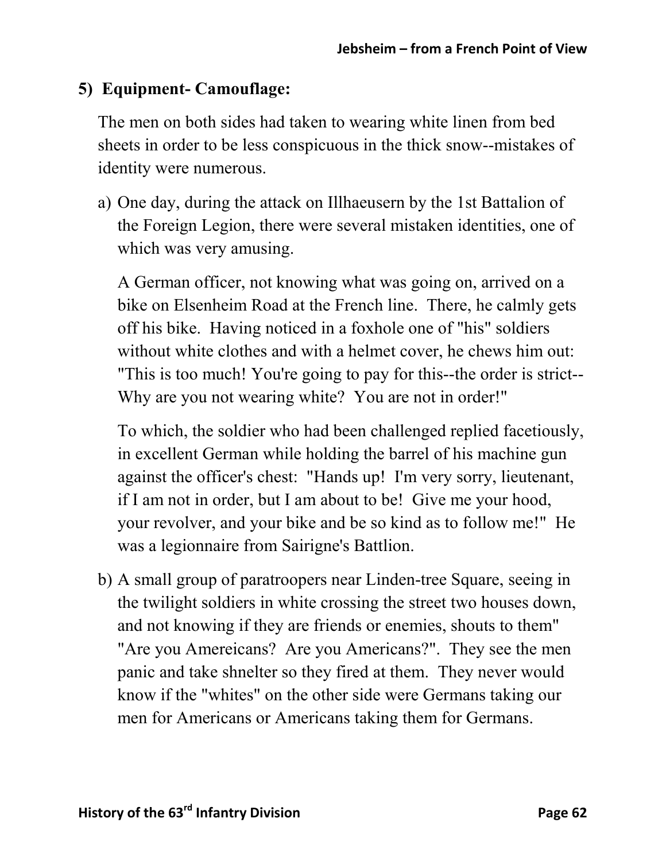## **5) Equipment- Camouflage:**

The men on both sides had taken to wearing white linen from bed sheets in order to be less conspicuous in the thick snow--mistakes of identity were numerous.

a) One day, during the attack on Illhaeusern by the 1st Battalion of the Foreign Legion, there were several mistaken identities, one of which was very amusing.

A German officer, not knowing what was going on, arrived on a bike on Elsenheim Road at the French line. There, he calmly gets off his bike. Having noticed in a foxhole one of "his" soldiers without white clothes and with a helmet cover, he chews him out: "This is too much! You're going to pay for this--the order is strict-- Why are you not wearing white? You are not in order!"

To which, the soldier who had been challenged replied facetiously, in excellent German while holding the barrel of his machine gun against the officer's chest: "Hands up! I'm very sorry, lieutenant, if I am not in order, but I am about to be! Give me your hood, your revolver, and your bike and be so kind as to follow me!" He was a legionnaire from Sairigne's Battlion.

b) A small group of paratroopers near Linden-tree Square, seeing in the twilight soldiers in white crossing the street two houses down, and not knowing if they are friends or enemies, shouts to them" "Are you Amereicans? Are you Americans?". They see the men panic and take shnelter so they fired at them. They never would know if the "whites" on the other side were Germans taking our men for Americans or Americans taking them for Germans.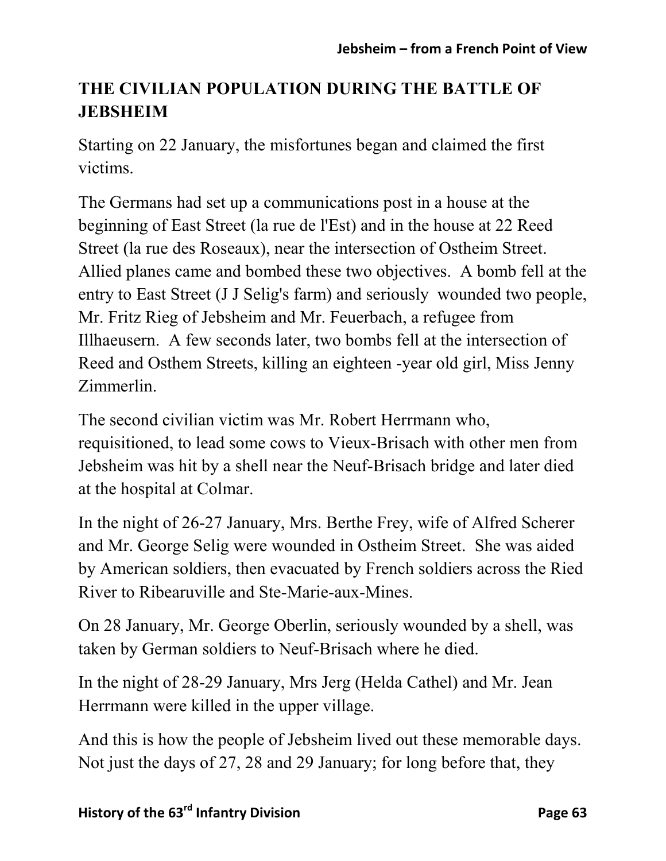## **THE CIVILIAN POPULATION DURING THE BATTLE OF JEBSHEIM**

Starting on 22 January, the misfortunes began and claimed the first victims.

The Germans had set up a communications post in a house at the beginning of East Street (la rue de l'Est) and in the house at 22 Reed Street (la rue des Roseaux), near the intersection of Ostheim Street. Allied planes came and bombed these two objectives. A bomb fell at the entry to East Street (J J Selig's farm) and seriously wounded two people, Mr. Fritz Rieg of Jebsheim and Mr. Feuerbach, a refugee from Illhaeusern. A few seconds later, two bombs fell at the intersection of Reed and Osthem Streets, killing an eighteen -year old girl, Miss Jenny Zimmerlin.

The second civilian victim was Mr. Robert Herrmann who, requisitioned, to lead some cows to Vieux-Brisach with other men from Jebsheim was hit by a shell near the Neuf-Brisach bridge and later died at the hospital at Colmar.

In the night of 26-27 January, Mrs. Berthe Frey, wife of Alfred Scherer and Mr. George Selig were wounded in Ostheim Street. She was aided by American soldiers, then evacuated by French soldiers across the Ried River to Ribearuville and Ste-Marie-aux-Mines.

On 28 January, Mr. George Oberlin, seriously wounded by a shell, was taken by German soldiers to Neuf-Brisach where he died.

In the night of 28-29 January, Mrs Jerg (Helda Cathel) and Mr. Jean Herrmann were killed in the upper village.

And this is how the people of Jebsheim lived out these memorable days. Not just the days of 27, 28 and 29 January; for long before that, they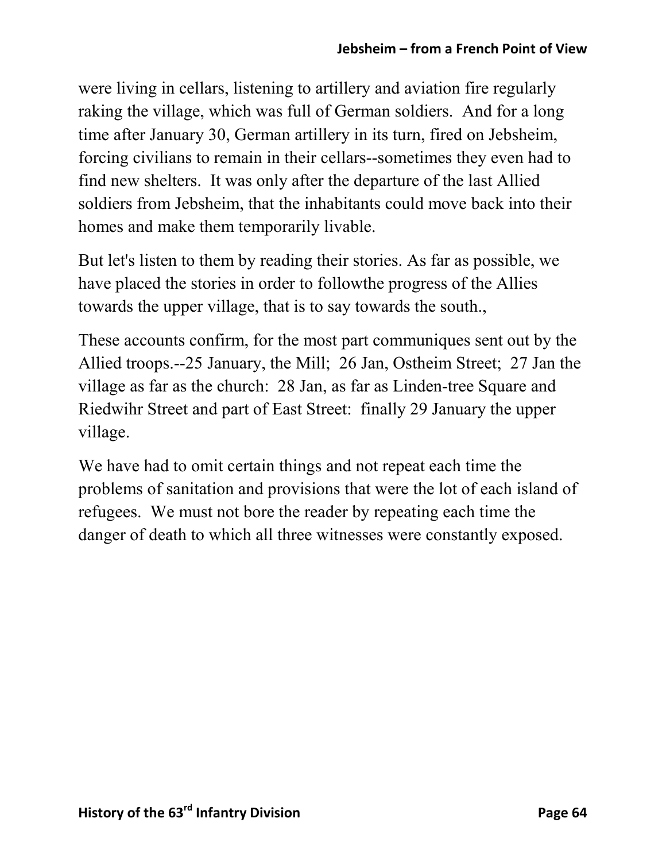were living in cellars, listening to artillery and aviation fire regularly raking the village, which was full of German soldiers. And for a long time after January 30, German artillery in its turn, fired on Jebsheim, forcing civilians to remain in their cellars--sometimes they even had to find new shelters. It was only after the departure of the last Allied soldiers from Jebsheim, that the inhabitants could move back into their homes and make them temporarily livable.

But let's listen to them by reading their stories. As far as possible, we have placed the stories in order to followthe progress of the Allies towards the upper village, that is to say towards the south.,

These accounts confirm, for the most part communiques sent out by the Allied troops.--25 January, the Mill; 26 Jan, Ostheim Street; 27 Jan the village as far as the church: 28 Jan, as far as Linden-tree Square and Riedwihr Street and part of East Street: finally 29 January the upper village.

We have had to omit certain things and not repeat each time the problems of sanitation and provisions that were the lot of each island of refugees. We must not bore the reader by repeating each time the danger of death to which all three witnesses were constantly exposed.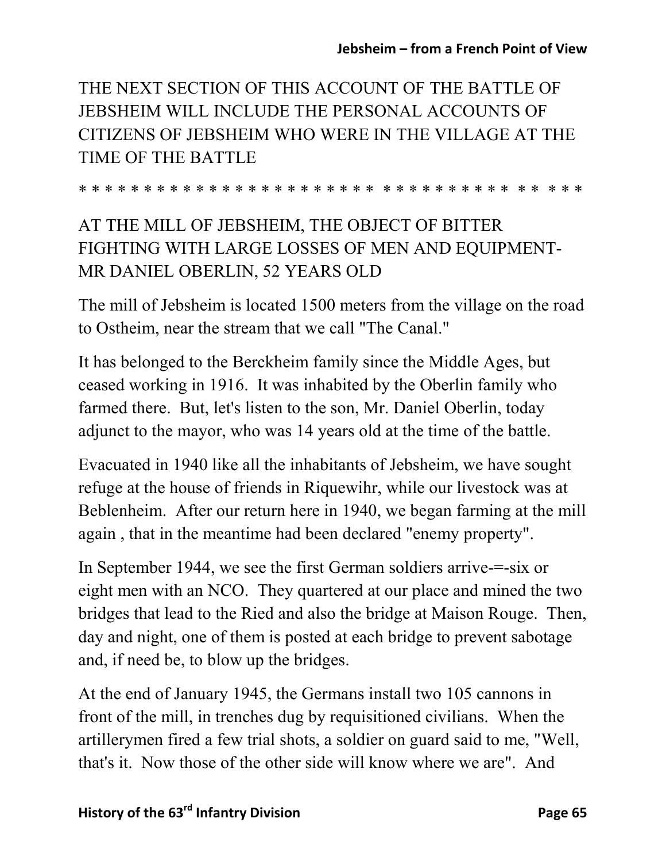THE NEXT SECTION OF THIS ACCOUNT OF THE BATTLE OF JEBSHEIM WILL INCLUDE THE PERSONAL ACCOUNTS OF CITIZENS OF JEBSHEIM WHO WERE IN THE VILLAGE AT THE TIME OF THE BATTLE

\* \* \* \* \* \* \* \* \* \* \* \* \* \* \* \* \* \* \* \* \* \* \* \* \* \* \* \* \* \* \* \* \* \* \* \* \* \*

## AT THE MILL OF JEBSHEIM, THE OBJECT OF BITTER FIGHTING WITH LARGE LOSSES OF MEN AND EQUIPMENT-MR DANIEL OBERLIN, 52 YEARS OLD

The mill of Jebsheim is located 1500 meters from the village on the road to Ostheim, near the stream that we call "The Canal."

It has belonged to the Berckheim family since the Middle Ages, but ceased working in 1916. It was inhabited by the Oberlin family who farmed there. But, let's listen to the son, Mr. Daniel Oberlin, today adjunct to the mayor, who was 14 years old at the time of the battle.

Evacuated in 1940 like all the inhabitants of Jebsheim, we have sought refuge at the house of friends in Riquewihr, while our livestock was at Beblenheim. After our return here in 1940, we began farming at the mill again , that in the meantime had been declared "enemy property".

In September 1944, we see the first German soldiers arrive-=-six or eight men with an NCO. They quartered at our place and mined the two bridges that lead to the Ried and also the bridge at Maison Rouge. Then, day and night, one of them is posted at each bridge to prevent sabotage and, if need be, to blow up the bridges.

At the end of January 1945, the Germans install two 105 cannons in front of the mill, in trenches dug by requisitioned civilians. When the artillerymen fired a few trial shots, a soldier on guard said to me, "Well, that's it. Now those of the other side will know where we are". And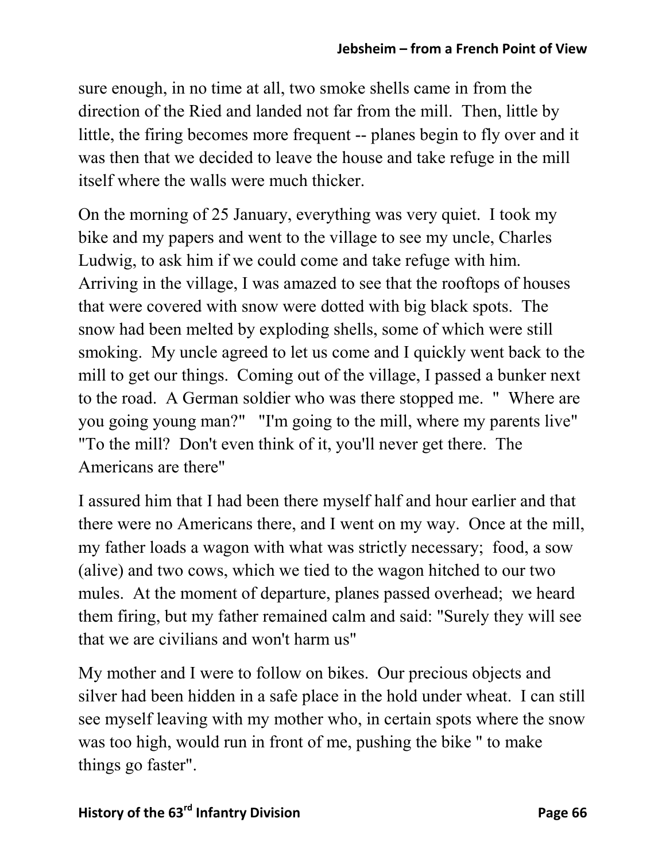sure enough, in no time at all, two smoke shells came in from the direction of the Ried and landed not far from the mill. Then, little by little, the firing becomes more frequent -- planes begin to fly over and it was then that we decided to leave the house and take refuge in the mill itself where the walls were much thicker.

On the morning of 25 January, everything was very quiet. I took my bike and my papers and went to the village to see my uncle, Charles Ludwig, to ask him if we could come and take refuge with him. Arriving in the village, I was amazed to see that the rooftops of houses that were covered with snow were dotted with big black spots. The snow had been melted by exploding shells, some of which were still smoking. My uncle agreed to let us come and I quickly went back to the mill to get our things. Coming out of the village, I passed a bunker next to the road. A German soldier who was there stopped me. " Where are you going young man?" "I'm going to the mill, where my parents live" "To the mill? Don't even think of it, you'll never get there. The Americans are there"

I assured him that I had been there myself half and hour earlier and that there were no Americans there, and I went on my way. Once at the mill, my father loads a wagon with what was strictly necessary; food, a sow (alive) and two cows, which we tied to the wagon hitched to our two mules. At the moment of departure, planes passed overhead; we heard them firing, but my father remained calm and said: "Surely they will see that we are civilians and won't harm us"

My mother and I were to follow on bikes. Our precious objects and silver had been hidden in a safe place in the hold under wheat. I can still see myself leaving with my mother who, in certain spots where the snow was too high, would run in front of me, pushing the bike " to make things go faster".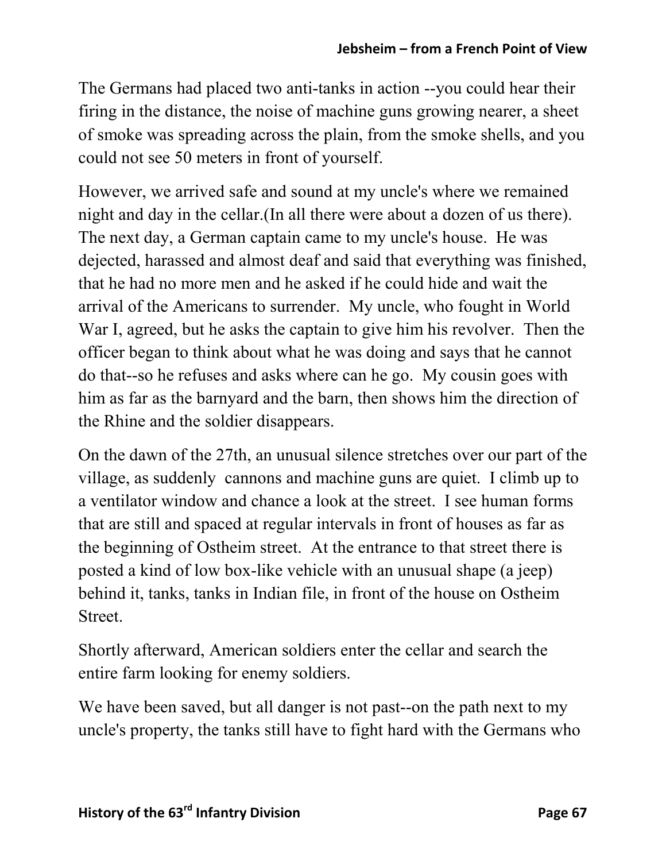The Germans had placed two anti-tanks in action --you could hear their firing in the distance, the noise of machine guns growing nearer, a sheet of smoke was spreading across the plain, from the smoke shells, and you could not see 50 meters in front of yourself.

However, we arrived safe and sound at my uncle's where we remained night and day in the cellar.(In all there were about a dozen of us there). The next day, a German captain came to my uncle's house. He was dejected, harassed and almost deaf and said that everything was finished, that he had no more men and he asked if he could hide and wait the arrival of the Americans to surrender. My uncle, who fought in World War I, agreed, but he asks the captain to give him his revolver. Then the officer began to think about what he was doing and says that he cannot do that--so he refuses and asks where can he go. My cousin goes with him as far as the barnyard and the barn, then shows him the direction of the Rhine and the soldier disappears.

On the dawn of the 27th, an unusual silence stretches over our part of the village, as suddenly cannons and machine guns are quiet. I climb up to a ventilator window and chance a look at the street. I see human forms that are still and spaced at regular intervals in front of houses as far as the beginning of Ostheim street. At the entrance to that street there is posted a kind of low box-like vehicle with an unusual shape (a jeep) behind it, tanks, tanks in Indian file, in front of the house on Ostheim Street.

Shortly afterward, American soldiers enter the cellar and search the entire farm looking for enemy soldiers.

We have been saved, but all danger is not past--on the path next to my uncle's property, the tanks still have to fight hard with the Germans who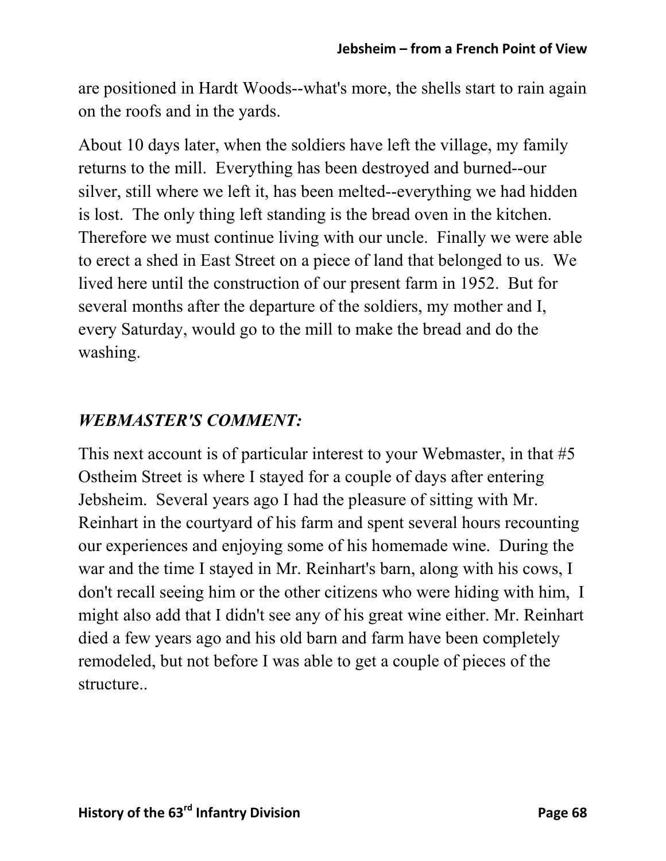are positioned in Hardt Woods--what's more, the shells start to rain again on the roofs and in the yards.

About 10 days later, when the soldiers have left the village, my family returns to the mill. Everything has been destroyed and burned--our silver, still where we left it, has been melted--everything we had hidden is lost. The only thing left standing is the bread oven in the kitchen. Therefore we must continue living with our uncle. Finally we were able to erect a shed in East Street on a piece of land that belonged to us. We lived here until the construction of our present farm in 1952. But for several months after the departure of the soldiers, my mother and I, every Saturday, would go to the mill to make the bread and do the washing.

#### *WEBMASTER'S COMMENT:*

This next account is of particular interest to your Webmaster, in that #5 Ostheim Street is where I stayed for a couple of days after entering Jebsheim. Several years ago I had the pleasure of sitting with Mr. Reinhart in the courtyard of his farm and spent several hours recounting our experiences and enjoying some of his homemade wine. During the war and the time I stayed in Mr. Reinhart's barn, along with his cows, I don't recall seeing him or the other citizens who were hiding with him, I might also add that I didn't see any of his great wine either. Mr. Reinhart died a few years ago and his old barn and farm have been completely remodeled, but not before I was able to get a couple of pieces of the structure..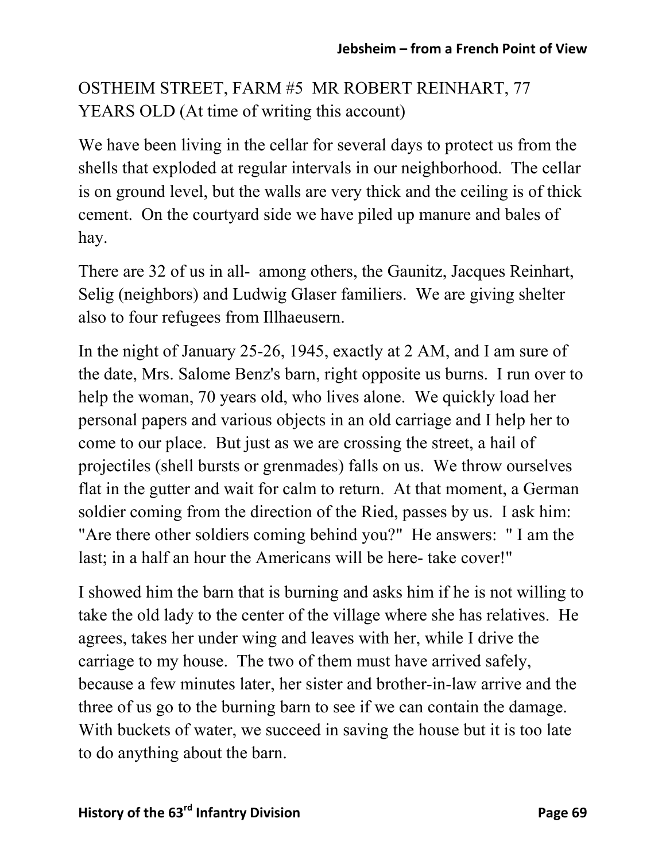OSTHEIM STREET, FARM #5 MR ROBERT REINHART, 77 YEARS OLD (At time of writing this account)

We have been living in the cellar for several days to protect us from the shells that exploded at regular intervals in our neighborhood. The cellar is on ground level, but the walls are very thick and the ceiling is of thick cement. On the courtyard side we have piled up manure and bales of hay.

There are 32 of us in all- among others, the Gaunitz, Jacques Reinhart, Selig (neighbors) and Ludwig Glaser familiers. We are giving shelter also to four refugees from Illhaeusern.

In the night of January 25-26, 1945, exactly at 2 AM, and I am sure of the date, Mrs. Salome Benz's barn, right opposite us burns. I run over to help the woman, 70 years old, who lives alone. We quickly load her personal papers and various objects in an old carriage and I help her to come to our place. But just as we are crossing the street, a hail of projectiles (shell bursts or grenmades) falls on us. We throw ourselves flat in the gutter and wait for calm to return. At that moment, a German soldier coming from the direction of the Ried, passes by us. I ask him: "Are there other soldiers coming behind you?" He answers: " I am the last; in a half an hour the Americans will be here- take cover!"

I showed him the barn that is burning and asks him if he is not willing to take the old lady to the center of the village where she has relatives. He agrees, takes her under wing and leaves with her, while I drive the carriage to my house. The two of them must have arrived safely, because a few minutes later, her sister and brother-in-law arrive and the three of us go to the burning barn to see if we can contain the damage. With buckets of water, we succeed in saving the house but it is too late to do anything about the barn.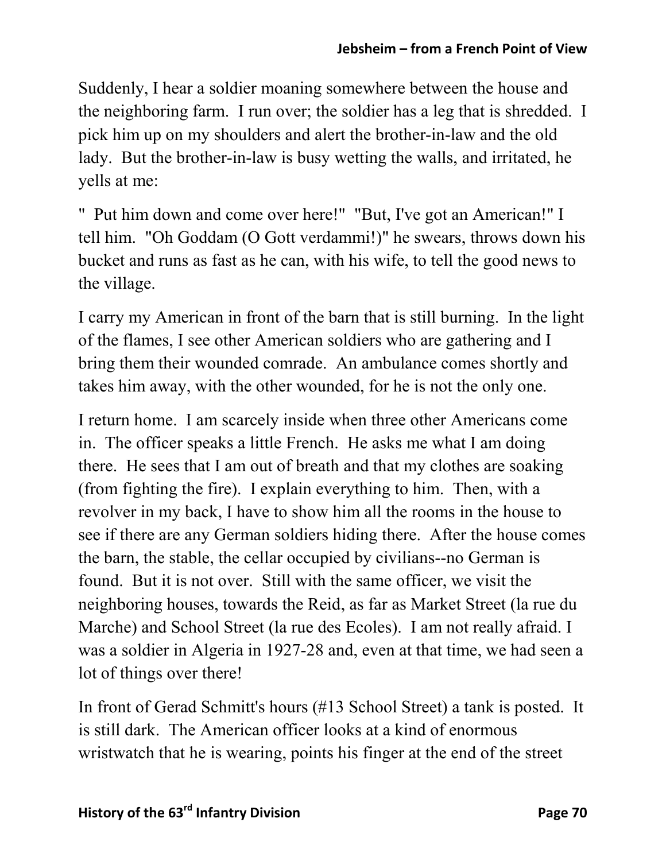Suddenly, I hear a soldier moaning somewhere between the house and the neighboring farm. I run over; the soldier has a leg that is shredded. I pick him up on my shoulders and alert the brother-in-law and the old lady. But the brother-in-law is busy wetting the walls, and irritated, he yells at me:

" Put him down and come over here!" "But, I've got an American!" I tell him. "Oh Goddam (O Gott verdammi!)" he swears, throws down his bucket and runs as fast as he can, with his wife, to tell the good news to the village.

I carry my American in front of the barn that is still burning. In the light of the flames, I see other American soldiers who are gathering and I bring them their wounded comrade. An ambulance comes shortly and takes him away, with the other wounded, for he is not the only one.

I return home. I am scarcely inside when three other Americans come in. The officer speaks a little French. He asks me what I am doing there. He sees that I am out of breath and that my clothes are soaking (from fighting the fire). I explain everything to him. Then, with a revolver in my back, I have to show him all the rooms in the house to see if there are any German soldiers hiding there. After the house comes the barn, the stable, the cellar occupied by civilians--no German is found. But it is not over. Still with the same officer, we visit the neighboring houses, towards the Reid, as far as Market Street (la rue du Marche) and School Street (la rue des Ecoles). I am not really afraid. I was a soldier in Algeria in 1927-28 and, even at that time, we had seen a lot of things over there!

In front of Gerad Schmitt's hours (#13 School Street) a tank is posted. It is still dark. The American officer looks at a kind of enormous wristwatch that he is wearing, points his finger at the end of the street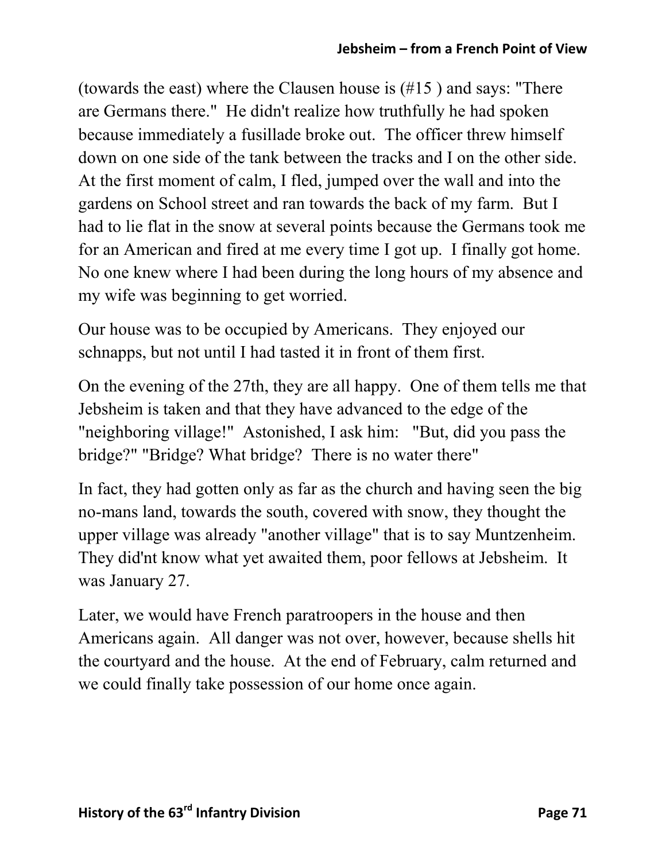(towards the east) where the Clausen house is (#15 ) and says: "There are Germans there." He didn't realize how truthfully he had spoken because immediately a fusillade broke out. The officer threw himself down on one side of the tank between the tracks and I on the other side. At the first moment of calm, I fled, jumped over the wall and into the gardens on School street and ran towards the back of my farm. But I had to lie flat in the snow at several points because the Germans took me for an American and fired at me every time I got up. I finally got home. No one knew where I had been during the long hours of my absence and my wife was beginning to get worried.

Our house was to be occupied by Americans. They enjoyed our schnapps, but not until I had tasted it in front of them first.

On the evening of the 27th, they are all happy. One of them tells me that Jebsheim is taken and that they have advanced to the edge of the "neighboring village!" Astonished, I ask him: "But, did you pass the bridge?" "Bridge? What bridge? There is no water there"

In fact, they had gotten only as far as the church and having seen the big no-mans land, towards the south, covered with snow, they thought the upper village was already "another village" that is to say Muntzenheim. They did'nt know what yet awaited them, poor fellows at Jebsheim. It was January 27.

Later, we would have French paratroopers in the house and then Americans again. All danger was not over, however, because shells hit the courtyard and the house. At the end of February, calm returned and we could finally take possession of our home once again.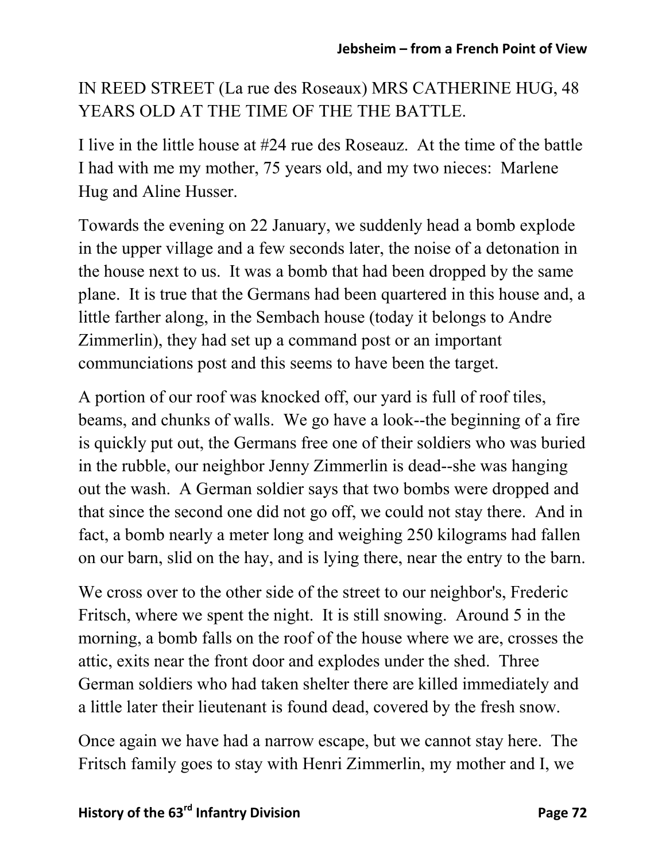IN REED STREET (La rue des Roseaux) MRS CATHERINE HUG, 48 YEARS OLD AT THE TIME OF THE THE BATTLE.

I live in the little house at #24 rue des Roseauz. At the time of the battle I had with me my mother, 75 years old, and my two nieces: Marlene Hug and Aline Husser.

Towards the evening on 22 January, we suddenly head a bomb explode in the upper village and a few seconds later, the noise of a detonation in the house next to us. It was a bomb that had been dropped by the same plane. It is true that the Germans had been quartered in this house and, a little farther along, in the Sembach house (today it belongs to Andre Zimmerlin), they had set up a command post or an important communciations post and this seems to have been the target.

A portion of our roof was knocked off, our yard is full of roof tiles, beams, and chunks of walls. We go have a look--the beginning of a fire is quickly put out, the Germans free one of their soldiers who was buried in the rubble, our neighbor Jenny Zimmerlin is dead--she was hanging out the wash. A German soldier says that two bombs were dropped and that since the second one did not go off, we could not stay there. And in fact, a bomb nearly a meter long and weighing 250 kilograms had fallen on our barn, slid on the hay, and is lying there, near the entry to the barn.

We cross over to the other side of the street to our neighbor's, Frederic Fritsch, where we spent the night. It is still snowing. Around 5 in the morning, a bomb falls on the roof of the house where we are, crosses the attic, exits near the front door and explodes under the shed. Three German soldiers who had taken shelter there are killed immediately and a little later their lieutenant is found dead, covered by the fresh snow.

Once again we have had a narrow escape, but we cannot stay here. The Fritsch family goes to stay with Henri Zimmerlin, my mother and I, we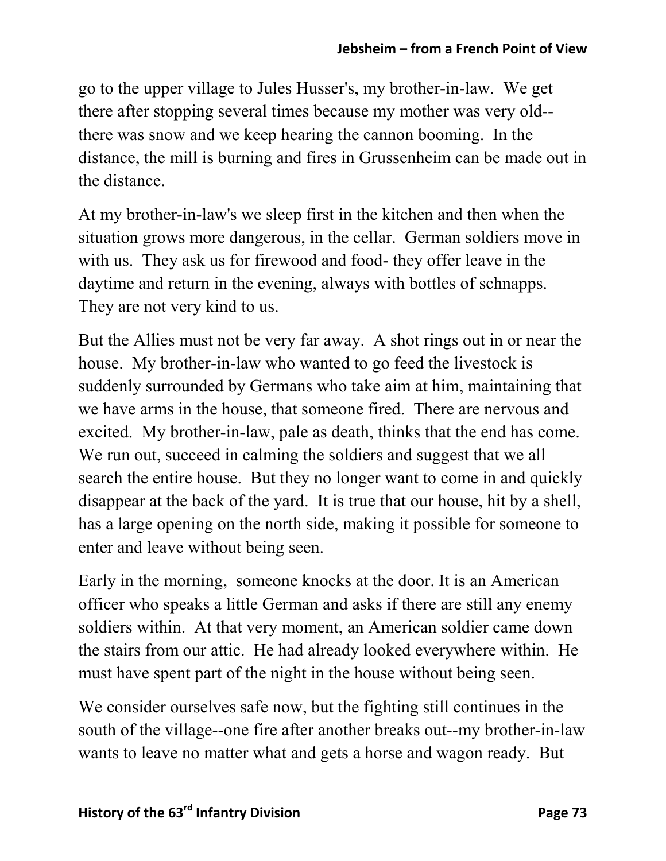go to the upper village to Jules Husser's, my brother-in-law. We get there after stopping several times because my mother was very old- there was snow and we keep hearing the cannon booming. In the distance, the mill is burning and fires in Grussenheim can be made out in the distance.

At my brother-in-law's we sleep first in the kitchen and then when the situation grows more dangerous, in the cellar. German soldiers move in with us. They ask us for firewood and food- they offer leave in the daytime and return in the evening, always with bottles of schnapps. They are not very kind to us.

But the Allies must not be very far away. A shot rings out in or near the house. My brother-in-law who wanted to go feed the livestock is suddenly surrounded by Germans who take aim at him, maintaining that we have arms in the house, that someone fired. There are nervous and excited. My brother-in-law, pale as death, thinks that the end has come. We run out, succeed in calming the soldiers and suggest that we all search the entire house. But they no longer want to come in and quickly disappear at the back of the yard. It is true that our house, hit by a shell, has a large opening on the north side, making it possible for someone to enter and leave without being seen.

Early in the morning, someone knocks at the door. It is an American officer who speaks a little German and asks if there are still any enemy soldiers within. At that very moment, an American soldier came down the stairs from our attic. He had already looked everywhere within. He must have spent part of the night in the house without being seen.

We consider ourselves safe now, but the fighting still continues in the south of the village--one fire after another breaks out--my brother-in-law wants to leave no matter what and gets a horse and wagon ready. But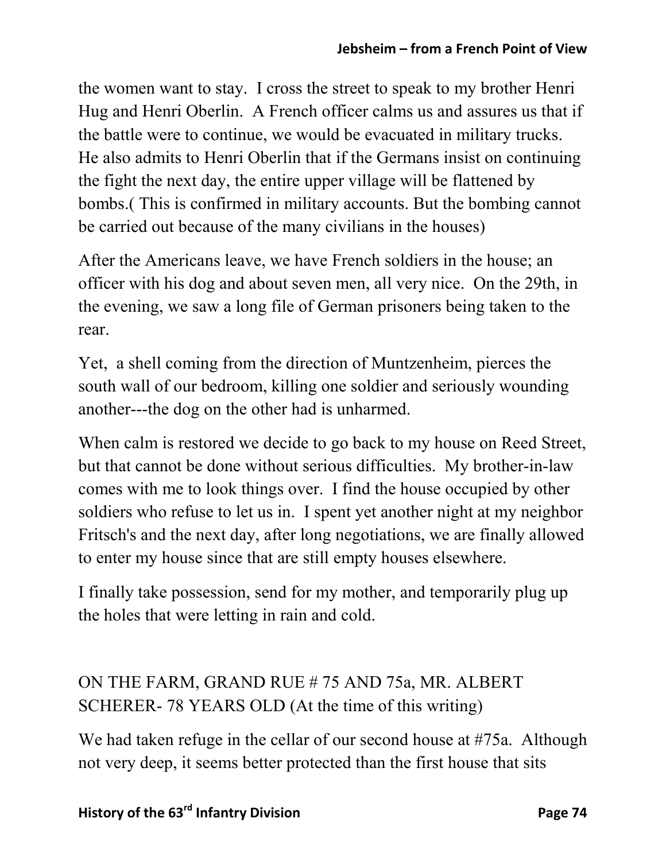the women want to stay. I cross the street to speak to my brother Henri Hug and Henri Oberlin. A French officer calms us and assures us that if the battle were to continue, we would be evacuated in military trucks. He also admits to Henri Oberlin that if the Germans insist on continuing the fight the next day, the entire upper village will be flattened by bombs.( This is confirmed in military accounts. But the bombing cannot be carried out because of the many civilians in the houses)

After the Americans leave, we have French soldiers in the house; an officer with his dog and about seven men, all very nice. On the 29th, in the evening, we saw a long file of German prisoners being taken to the rear.

Yet, a shell coming from the direction of Muntzenheim, pierces the south wall of our bedroom, killing one soldier and seriously wounding another---the dog on the other had is unharmed.

When calm is restored we decide to go back to my house on Reed Street, but that cannot be done without serious difficulties. My brother-in-law comes with me to look things over. I find the house occupied by other soldiers who refuse to let us in. I spent yet another night at my neighbor Fritsch's and the next day, after long negotiations, we are finally allowed to enter my house since that are still empty houses elsewhere.

I finally take possession, send for my mother, and temporarily plug up the holes that were letting in rain and cold.

# ON THE FARM, GRAND RUE # 75 AND 75a, MR. ALBERT SCHERER- 78 YEARS OLD (At the time of this writing)

We had taken refuge in the cellar of our second house at #75a. Although not very deep, it seems better protected than the first house that sits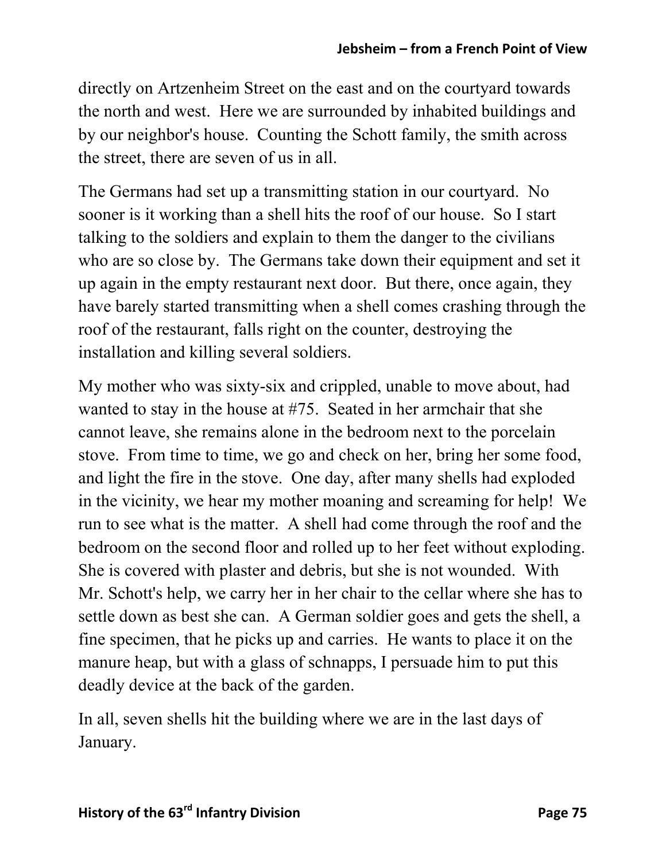directly on Artzenheim Street on the east and on the courtyard towards the north and west. Here we are surrounded by inhabited buildings and by our neighbor's house. Counting the Schott family, the smith across the street, there are seven of us in all.

The Germans had set up a transmitting station in our courtyard. No sooner is it working than a shell hits the roof of our house. So I start talking to the soldiers and explain to them the danger to the civilians who are so close by. The Germans take down their equipment and set it up again in the empty restaurant next door. But there, once again, they have barely started transmitting when a shell comes crashing through the roof of the restaurant, falls right on the counter, destroying the installation and killing several soldiers.

My mother who was sixty-six and crippled, unable to move about, had wanted to stay in the house at #75. Seated in her armchair that she cannot leave, she remains alone in the bedroom next to the porcelain stove. From time to time, we go and check on her, bring her some food, and light the fire in the stove. One day, after many shells had exploded in the vicinity, we hear my mother moaning and screaming for help! We run to see what is the matter. A shell had come through the roof and the bedroom on the second floor and rolled up to her feet without exploding. She is covered with plaster and debris, but she is not wounded. With Mr. Schott's help, we carry her in her chair to the cellar where she has to settle down as best she can. A German soldier goes and gets the shell, a fine specimen, that he picks up and carries. He wants to place it on the manure heap, but with a glass of schnapps, I persuade him to put this deadly device at the back of the garden.

In all, seven shells hit the building where we are in the last days of January.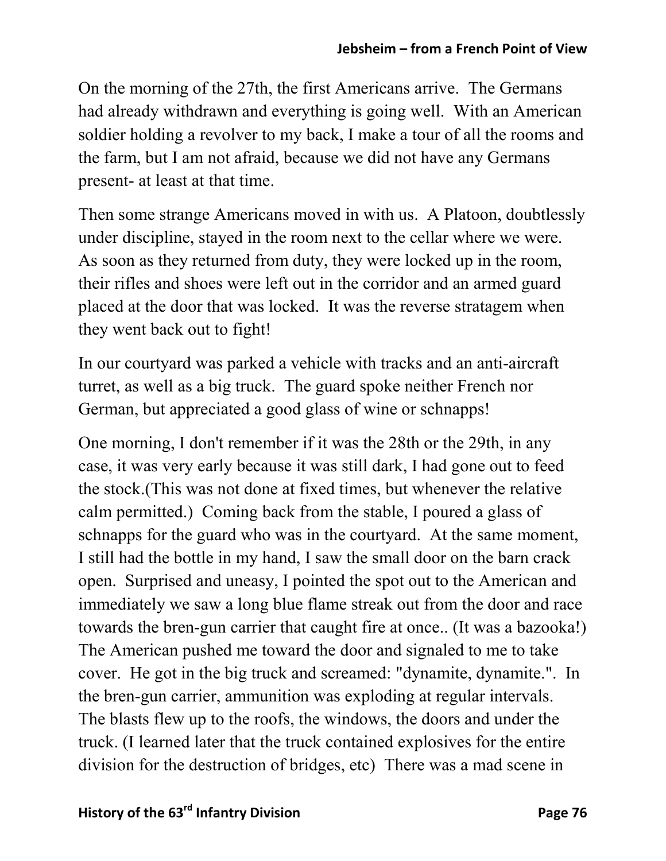On the morning of the 27th, the first Americans arrive. The Germans had already withdrawn and everything is going well. With an American soldier holding a revolver to my back, I make a tour of all the rooms and the farm, but I am not afraid, because we did not have any Germans present- at least at that time.

Then some strange Americans moved in with us. A Platoon, doubtlessly under discipline, stayed in the room next to the cellar where we were. As soon as they returned from duty, they were locked up in the room, their rifles and shoes were left out in the corridor and an armed guard placed at the door that was locked. It was the reverse stratagem when they went back out to fight!

In our courtyard was parked a vehicle with tracks and an anti-aircraft turret, as well as a big truck. The guard spoke neither French nor German, but appreciated a good glass of wine or schnapps!

One morning, I don't remember if it was the 28th or the 29th, in any case, it was very early because it was still dark, I had gone out to feed the stock.(This was not done at fixed times, but whenever the relative calm permitted.) Coming back from the stable, I poured a glass of schnapps for the guard who was in the courtyard. At the same moment, I still had the bottle in my hand, I saw the small door on the barn crack open. Surprised and uneasy, I pointed the spot out to the American and immediately we saw a long blue flame streak out from the door and race towards the bren-gun carrier that caught fire at once.. (It was a bazooka!) The American pushed me toward the door and signaled to me to take cover. He got in the big truck and screamed: "dynamite, dynamite.". In the bren-gun carrier, ammunition was exploding at regular intervals. The blasts flew up to the roofs, the windows, the doors and under the truck. (I learned later that the truck contained explosives for the entire division for the destruction of bridges, etc) There was a mad scene in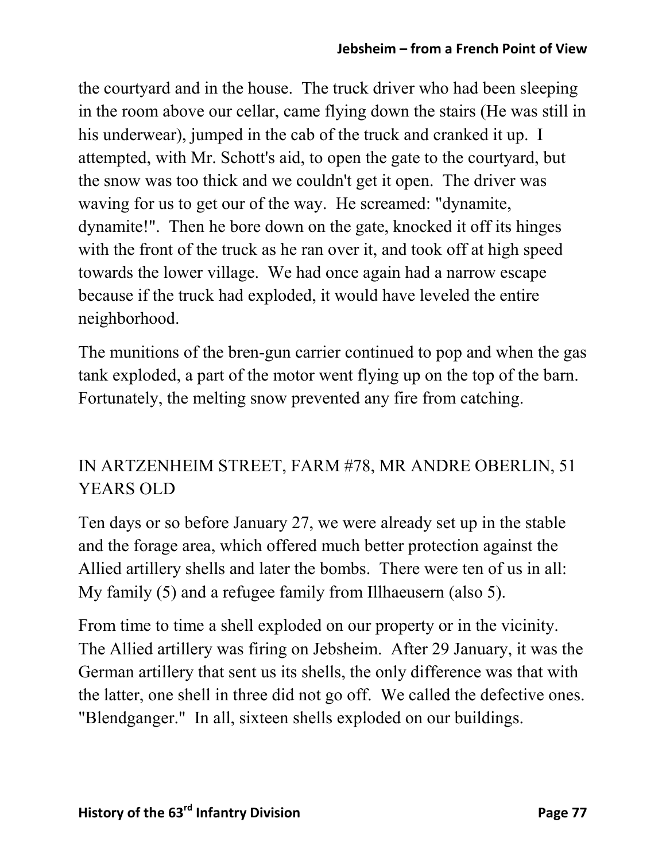the courtyard and in the house. The truck driver who had been sleeping in the room above our cellar, came flying down the stairs (He was still in his underwear), jumped in the cab of the truck and cranked it up. I attempted, with Mr. Schott's aid, to open the gate to the courtyard, but the snow was too thick and we couldn't get it open. The driver was waving for us to get our of the way. He screamed: "dynamite, dynamite!". Then he bore down on the gate, knocked it off its hinges with the front of the truck as he ran over it, and took off at high speed towards the lower village. We had once again had a narrow escape because if the truck had exploded, it would have leveled the entire neighborhood.

The munitions of the bren-gun carrier continued to pop and when the gas tank exploded, a part of the motor went flying up on the top of the barn. Fortunately, the melting snow prevented any fire from catching.

## IN ARTZENHEIM STREET, FARM #78, MR ANDRE OBERLIN, 51 YEARS OLD

Ten days or so before January 27, we were already set up in the stable and the forage area, which offered much better protection against the Allied artillery shells and later the bombs. There were ten of us in all: My family (5) and a refugee family from Illhaeusern (also 5).

From time to time a shell exploded on our property or in the vicinity. The Allied artillery was firing on Jebsheim. After 29 January, it was the German artillery that sent us its shells, the only difference was that with the latter, one shell in three did not go off. We called the defective ones. "Blendganger." In all, sixteen shells exploded on our buildings.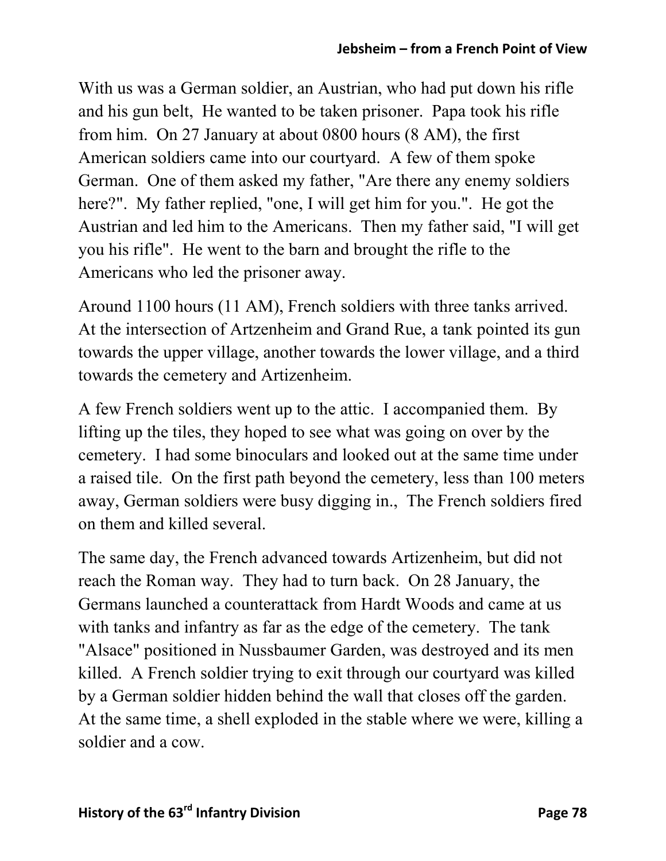With us was a German soldier, an Austrian, who had put down his rifle and his gun belt, He wanted to be taken prisoner. Papa took his rifle from him. On 27 January at about 0800 hours (8 AM), the first American soldiers came into our courtyard. A few of them spoke German. One of them asked my father, "Are there any enemy soldiers here?". My father replied, "one, I will get him for you.". He got the Austrian and led him to the Americans. Then my father said, "I will get you his rifle". He went to the barn and brought the rifle to the Americans who led the prisoner away.

Around 1100 hours (11 AM), French soldiers with three tanks arrived. At the intersection of Artzenheim and Grand Rue, a tank pointed its gun towards the upper village, another towards the lower village, and a third towards the cemetery and Artizenheim.

A few French soldiers went up to the attic. I accompanied them. By lifting up the tiles, they hoped to see what was going on over by the cemetery. I had some binoculars and looked out at the same time under a raised tile. On the first path beyond the cemetery, less than 100 meters away, German soldiers were busy digging in., The French soldiers fired on them and killed several.

The same day, the French advanced towards Artizenheim, but did not reach the Roman way. They had to turn back. On 28 January, the Germans launched a counterattack from Hardt Woods and came at us with tanks and infantry as far as the edge of the cemetery. The tank "Alsace" positioned in Nussbaumer Garden, was destroyed and its men killed. A French soldier trying to exit through our courtyard was killed by a German soldier hidden behind the wall that closes off the garden. At the same time, a shell exploded in the stable where we were, killing a soldier and a cow.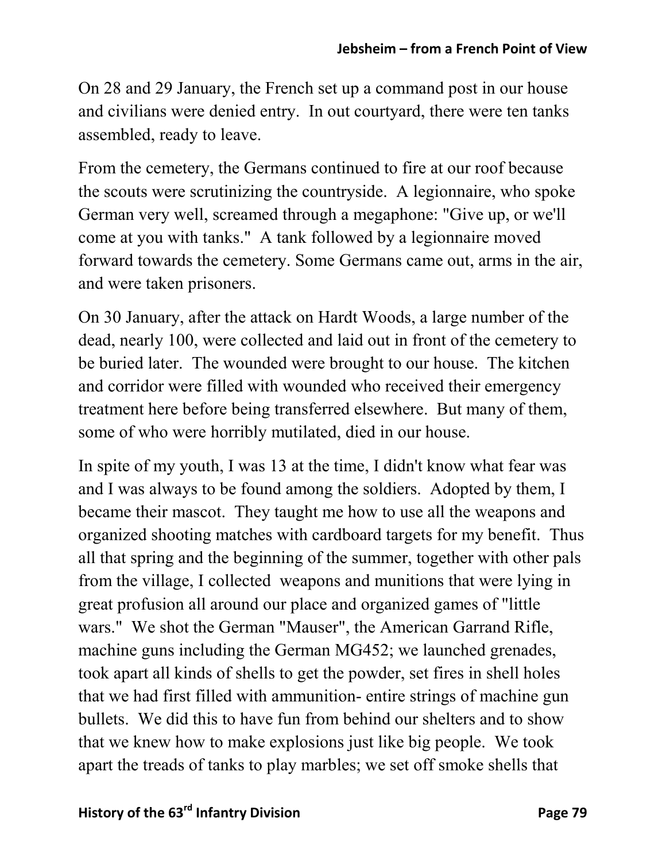On 28 and 29 January, the French set up a command post in our house and civilians were denied entry. In out courtyard, there were ten tanks assembled, ready to leave.

From the cemetery, the Germans continued to fire at our roof because the scouts were scrutinizing the countryside. A legionnaire, who spoke German very well, screamed through a megaphone: "Give up, or we'll come at you with tanks." A tank followed by a legionnaire moved forward towards the cemetery. Some Germans came out, arms in the air, and were taken prisoners.

On 30 January, after the attack on Hardt Woods, a large number of the dead, nearly 100, were collected and laid out in front of the cemetery to be buried later. The wounded were brought to our house. The kitchen and corridor were filled with wounded who received their emergency treatment here before being transferred elsewhere. But many of them, some of who were horribly mutilated, died in our house.

In spite of my youth, I was 13 at the time, I didn't know what fear was and I was always to be found among the soldiers. Adopted by them, I became their mascot. They taught me how to use all the weapons and organized shooting matches with cardboard targets for my benefit. Thus all that spring and the beginning of the summer, together with other pals from the village, I collected weapons and munitions that were lying in great profusion all around our place and organized games of "little wars." We shot the German "Mauser", the American Garrand Rifle, machine guns including the German MG452; we launched grenades, took apart all kinds of shells to get the powder, set fires in shell holes that we had first filled with ammunition- entire strings of machine gun bullets. We did this to have fun from behind our shelters and to show that we knew how to make explosions just like big people. We took apart the treads of tanks to play marbles; we set off smoke shells that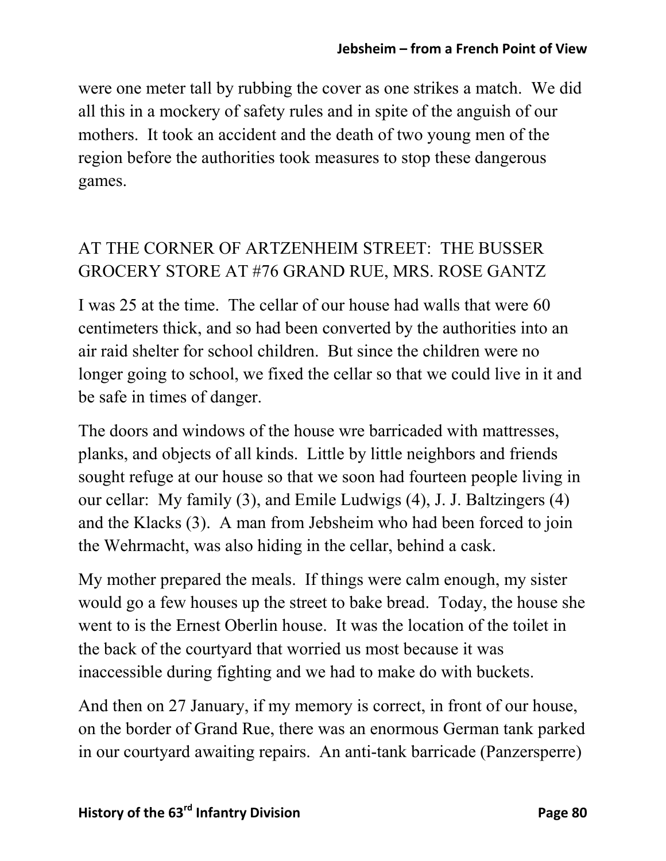were one meter tall by rubbing the cover as one strikes a match. We did all this in a mockery of safety rules and in spite of the anguish of our mothers. It took an accident and the death of two young men of the region before the authorities took measures to stop these dangerous games.

## AT THE CORNER OF ARTZENHEIM STREET: THE BUSSER GROCERY STORE AT #76 GRAND RUE, MRS. ROSE GANTZ

I was 25 at the time. The cellar of our house had walls that were 60 centimeters thick, and so had been converted by the authorities into an air raid shelter for school children. But since the children were no longer going to school, we fixed the cellar so that we could live in it and be safe in times of danger.

The doors and windows of the house wre barricaded with mattresses, planks, and objects of all kinds. Little by little neighbors and friends sought refuge at our house so that we soon had fourteen people living in our cellar: My family (3), and Emile Ludwigs (4), J. J. Baltzingers (4) and the Klacks (3). A man from Jebsheim who had been forced to join the Wehrmacht, was also hiding in the cellar, behind a cask.

My mother prepared the meals. If things were calm enough, my sister would go a few houses up the street to bake bread. Today, the house she went to is the Ernest Oberlin house. It was the location of the toilet in the back of the courtyard that worried us most because it was inaccessible during fighting and we had to make do with buckets.

And then on 27 January, if my memory is correct, in front of our house, on the border of Grand Rue, there was an enormous German tank parked in our courtyard awaiting repairs. An anti-tank barricade (Panzersperre)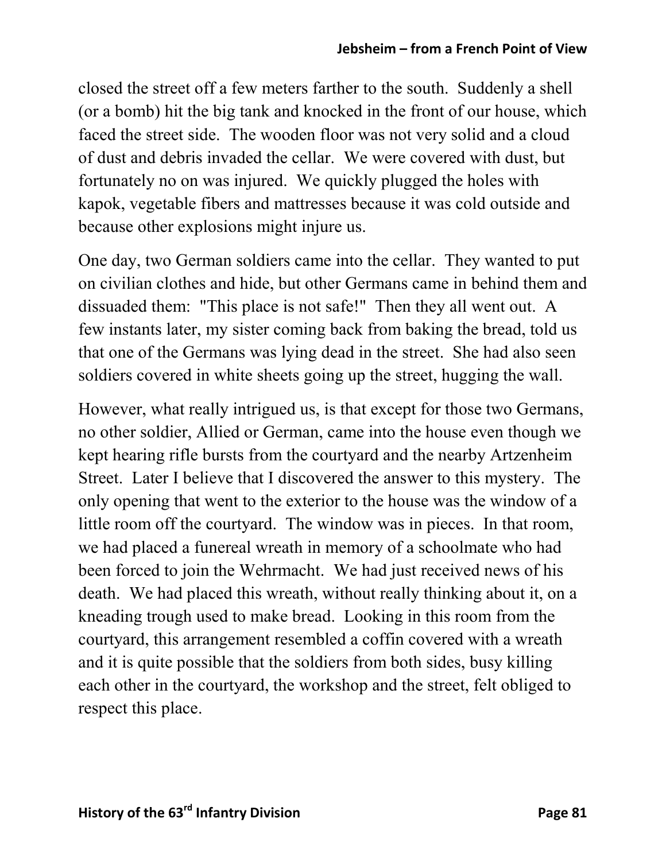closed the street off a few meters farther to the south. Suddenly a shell (or a bomb) hit the big tank and knocked in the front of our house, which faced the street side. The wooden floor was not very solid and a cloud of dust and debris invaded the cellar. We were covered with dust, but fortunately no on was injured. We quickly plugged the holes with kapok, vegetable fibers and mattresses because it was cold outside and because other explosions might injure us.

One day, two German soldiers came into the cellar. They wanted to put on civilian clothes and hide, but other Germans came in behind them and dissuaded them: "This place is not safe!" Then they all went out. A few instants later, my sister coming back from baking the bread, told us that one of the Germans was lying dead in the street. She had also seen soldiers covered in white sheets going up the street, hugging the wall.

However, what really intrigued us, is that except for those two Germans, no other soldier, Allied or German, came into the house even though we kept hearing rifle bursts from the courtyard and the nearby Artzenheim Street. Later I believe that I discovered the answer to this mystery. The only opening that went to the exterior to the house was the window of a little room off the courtyard. The window was in pieces. In that room, we had placed a funereal wreath in memory of a schoolmate who had been forced to join the Wehrmacht. We had just received news of his death. We had placed this wreath, without really thinking about it, on a kneading trough used to make bread. Looking in this room from the courtyard, this arrangement resembled a coffin covered with a wreath and it is quite possible that the soldiers from both sides, busy killing each other in the courtyard, the workshop and the street, felt obliged to respect this place.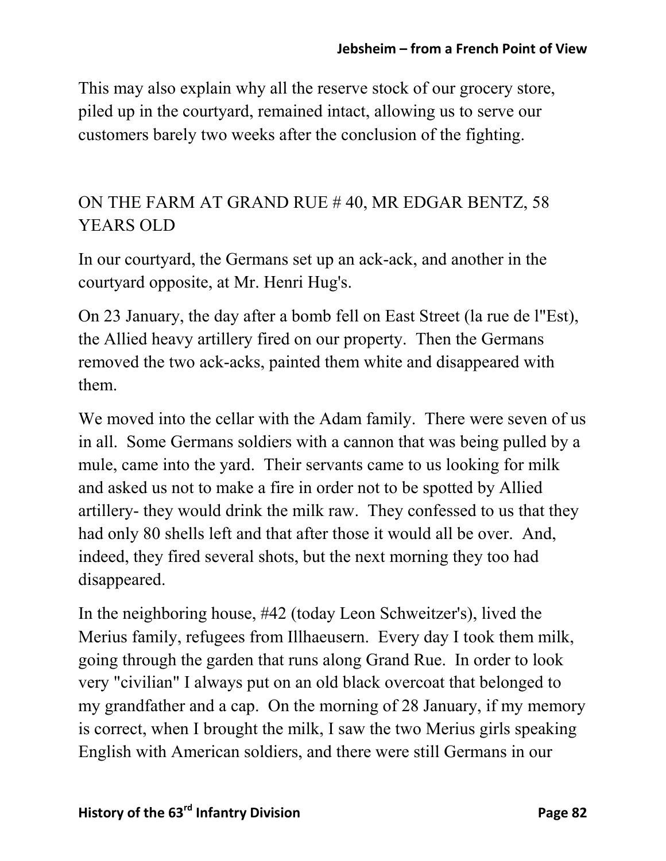This may also explain why all the reserve stock of our grocery store, piled up in the courtyard, remained intact, allowing us to serve our customers barely two weeks after the conclusion of the fighting.

### ON THE FARM AT GRAND RUE # 40, MR EDGAR BENTZ, 58 YEARS OLD

In our courtyard, the Germans set up an ack-ack, and another in the courtyard opposite, at Mr. Henri Hug's.

On 23 January, the day after a bomb fell on East Street (la rue de l"Est), the Allied heavy artillery fired on our property. Then the Germans removed the two ack-acks, painted them white and disappeared with them.

We moved into the cellar with the Adam family. There were seven of us in all. Some Germans soldiers with a cannon that was being pulled by a mule, came into the yard. Their servants came to us looking for milk and asked us not to make a fire in order not to be spotted by Allied artillery- they would drink the milk raw. They confessed to us that they had only 80 shells left and that after those it would all be over. And, indeed, they fired several shots, but the next morning they too had disappeared.

In the neighboring house, #42 (today Leon Schweitzer's), lived the Merius family, refugees from Illhaeusern. Every day I took them milk, going through the garden that runs along Grand Rue. In order to look very "civilian" I always put on an old black overcoat that belonged to my grandfather and a cap. On the morning of 28 January, if my memory is correct, when I brought the milk, I saw the two Merius girls speaking English with American soldiers, and there were still Germans in our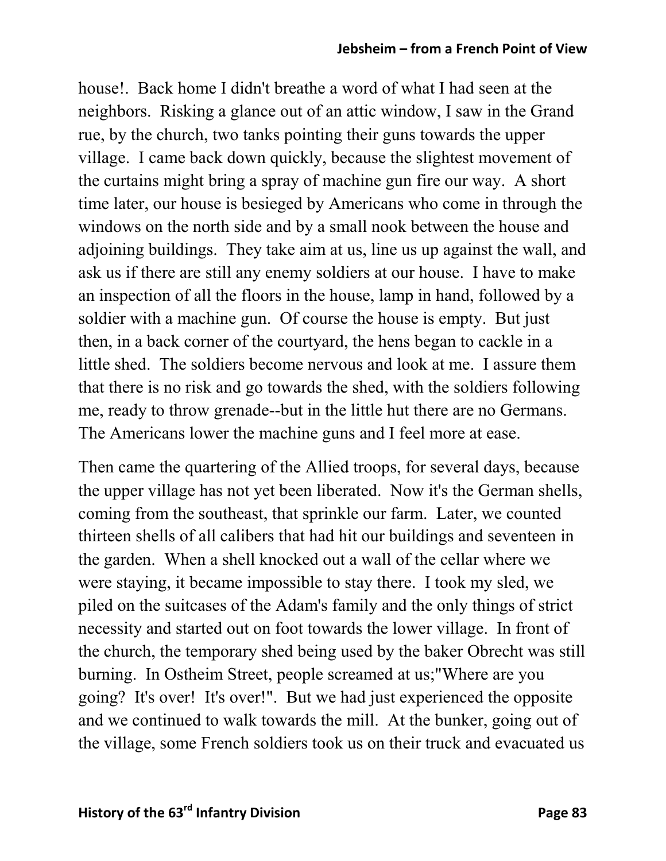#### **Jebsheim – from a French Point of View**

house!. Back home I didn't breathe a word of what I had seen at the neighbors. Risking a glance out of an attic window, I saw in the Grand rue, by the church, two tanks pointing their guns towards the upper village. I came back down quickly, because the slightest movement of the curtains might bring a spray of machine gun fire our way. A short time later, our house is besieged by Americans who come in through the windows on the north side and by a small nook between the house and adjoining buildings. They take aim at us, line us up against the wall, and ask us if there are still any enemy soldiers at our house. I have to make an inspection of all the floors in the house, lamp in hand, followed by a soldier with a machine gun. Of course the house is empty. But just then, in a back corner of the courtyard, the hens began to cackle in a little shed. The soldiers become nervous and look at me. I assure them that there is no risk and go towards the shed, with the soldiers following me, ready to throw grenade--but in the little hut there are no Germans. The Americans lower the machine guns and I feel more at ease.

Then came the quartering of the Allied troops, for several days, because the upper village has not yet been liberated. Now it's the German shells, coming from the southeast, that sprinkle our farm. Later, we counted thirteen shells of all calibers that had hit our buildings and seventeen in the garden. When a shell knocked out a wall of the cellar where we were staying, it became impossible to stay there. I took my sled, we piled on the suitcases of the Adam's family and the only things of strict necessity and started out on foot towards the lower village. In front of the church, the temporary shed being used by the baker Obrecht was still burning. In Ostheim Street, people screamed at us;"Where are you going? It's over! It's over!". But we had just experienced the opposite and we continued to walk towards the mill. At the bunker, going out of the village, some French soldiers took us on their truck and evacuated us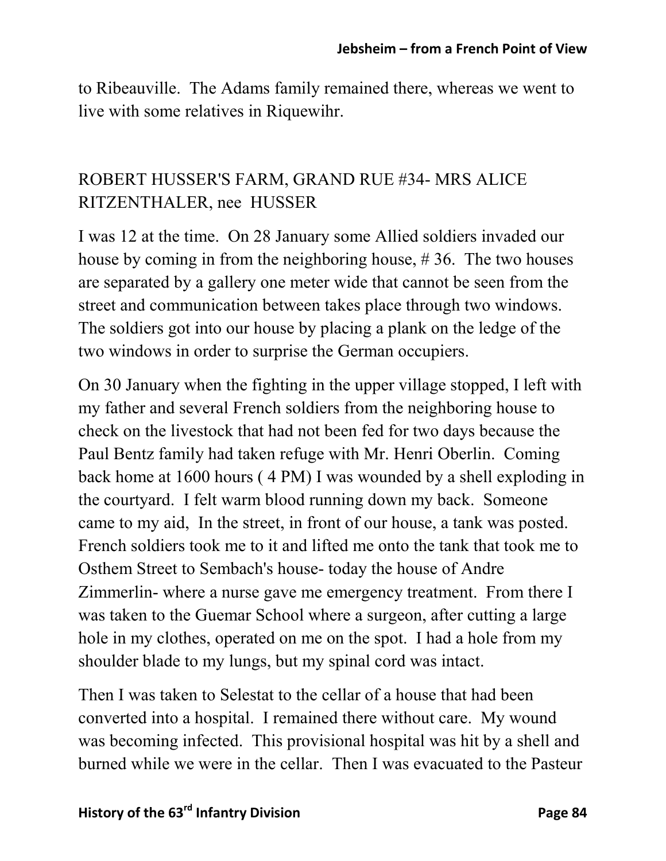to Ribeauville. The Adams family remained there, whereas we went to live with some relatives in Riquewihr.

### ROBERT HUSSER'S FARM, GRAND RUE #34- MRS ALICE RITZENTHALER, nee HUSSER

I was 12 at the time. On 28 January some Allied soldiers invaded our house by coming in from the neighboring house, # 36. The two houses are separated by a gallery one meter wide that cannot be seen from the street and communication between takes place through two windows. The soldiers got into our house by placing a plank on the ledge of the two windows in order to surprise the German occupiers.

On 30 January when the fighting in the upper village stopped, I left with my father and several French soldiers from the neighboring house to check on the livestock that had not been fed for two days because the Paul Bentz family had taken refuge with Mr. Henri Oberlin. Coming back home at 1600 hours ( 4 PM) I was wounded by a shell exploding in the courtyard. I felt warm blood running down my back. Someone came to my aid, In the street, in front of our house, a tank was posted. French soldiers took me to it and lifted me onto the tank that took me to Osthem Street to Sembach's house- today the house of Andre Zimmerlin- where a nurse gave me emergency treatment. From there I was taken to the Guemar School where a surgeon, after cutting a large hole in my clothes, operated on me on the spot. I had a hole from my shoulder blade to my lungs, but my spinal cord was intact.

Then I was taken to Selestat to the cellar of a house that had been converted into a hospital. I remained there without care. My wound was becoming infected. This provisional hospital was hit by a shell and burned while we were in the cellar. Then I was evacuated to the Pasteur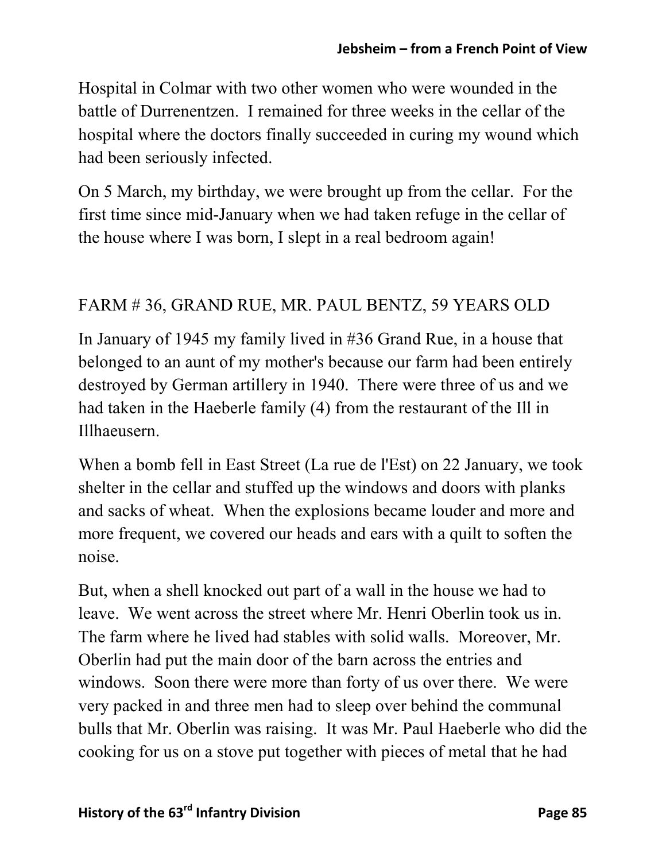Hospital in Colmar with two other women who were wounded in the battle of Durrenentzen. I remained for three weeks in the cellar of the hospital where the doctors finally succeeded in curing my wound which had been seriously infected.

On 5 March, my birthday, we were brought up from the cellar. For the first time since mid-January when we had taken refuge in the cellar of the house where I was born, I slept in a real bedroom again!

### FARM # 36, GRAND RUE, MR. PAUL BENTZ, 59 YEARS OLD

In January of 1945 my family lived in #36 Grand Rue, in a house that belonged to an aunt of my mother's because our farm had been entirely destroyed by German artillery in 1940. There were three of us and we had taken in the Haeberle family (4) from the restaurant of the Ill in Illhaeusern.

When a bomb fell in East Street (La rue de l'Est) on 22 January, we took shelter in the cellar and stuffed up the windows and doors with planks and sacks of wheat. When the explosions became louder and more and more frequent, we covered our heads and ears with a quilt to soften the noise.

But, when a shell knocked out part of a wall in the house we had to leave. We went across the street where Mr. Henri Oberlin took us in. The farm where he lived had stables with solid walls. Moreover, Mr. Oberlin had put the main door of the barn across the entries and windows. Soon there were more than forty of us over there. We were very packed in and three men had to sleep over behind the communal bulls that Mr. Oberlin was raising. It was Mr. Paul Haeberle who did the cooking for us on a stove put together with pieces of metal that he had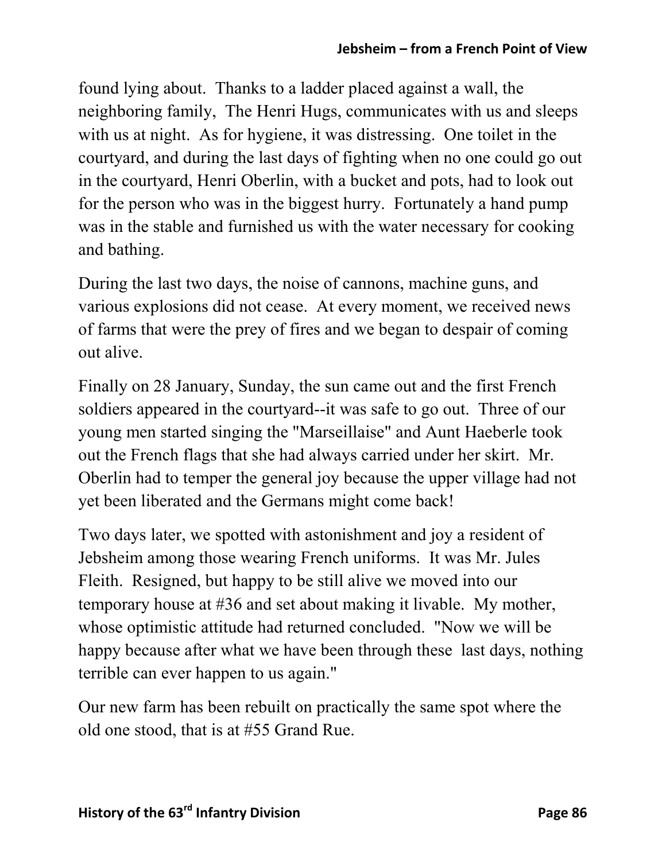found lying about. Thanks to a ladder placed against a wall, the neighboring family, The Henri Hugs, communicates with us and sleeps with us at night. As for hygiene, it was distressing. One toilet in the courtyard, and during the last days of fighting when no one could go out in the courtyard, Henri Oberlin, with a bucket and pots, had to look out for the person who was in the biggest hurry. Fortunately a hand pump was in the stable and furnished us with the water necessary for cooking and bathing.

During the last two days, the noise of cannons, machine guns, and various explosions did not cease. At every moment, we received news of farms that were the prey of fires and we began to despair of coming out alive.

Finally on 28 January, Sunday, the sun came out and the first French soldiers appeared in the courtyard--it was safe to go out. Three of our young men started singing the "Marseillaise" and Aunt Haeberle took out the French flags that she had always carried under her skirt. Mr. Oberlin had to temper the general joy because the upper village had not yet been liberated and the Germans might come back!

Two days later, we spotted with astonishment and joy a resident of Jebsheim among those wearing French uniforms. It was Mr. Jules Fleith. Resigned, but happy to be still alive we moved into our temporary house at #36 and set about making it livable. My mother, whose optimistic attitude had returned concluded. "Now we will be happy because after what we have been through these last days, nothing terrible can ever happen to us again."

Our new farm has been rebuilt on practically the same spot where the old one stood, that is at #55 Grand Rue.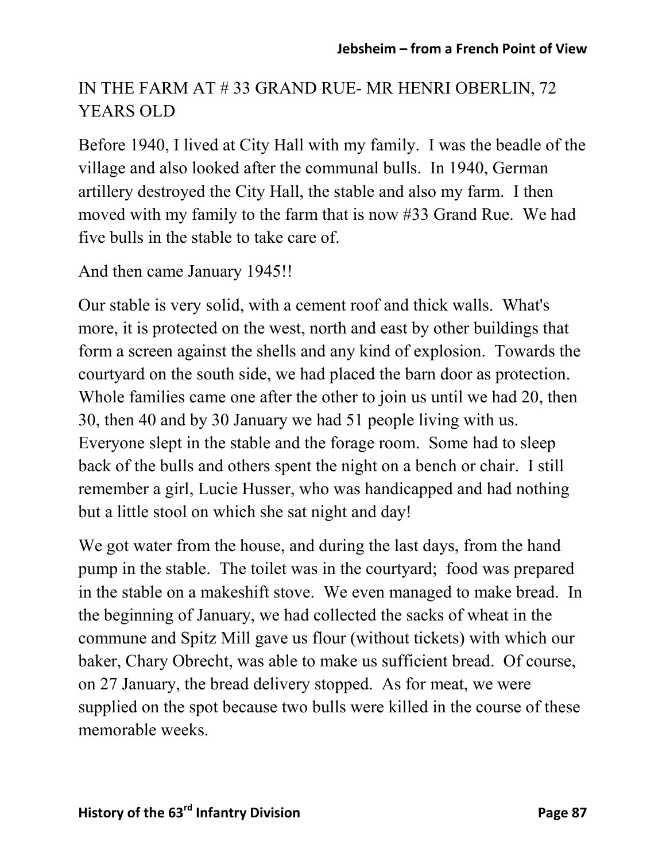## IN THE FARM AT # 33 GRAND RUE- MR HENRI OBERLIN, 72 YEARS OLD

Before 1940, I lived at City Hall with my family. I was the beadle of the village and also looked after the communal bulls. In 1940, German artillery destroyed the City Hall, the stable and also my farm. I then moved with my family to the farm that is now #33 Grand Rue. We had five bulls in the stable to take care of.

And then came January 1945!!

Our stable is very solid, with a cement roof and thick walls. What's more, it is protected on the west, north and east by other buildings that form a screen against the shells and any kind of explosion. Towards the courtyard on the south side, we had placed the barn door as protection. Whole families came one after the other to join us until we had 20, then 30, then 40 and by 30 January we had 51 people living with us. Everyone slept in the stable and the forage room. Some had to sleep back of the bulls and others spent the night on a bench or chair. I still remember a girl, Lucie Husser, who was handicapped and had nothing but a little stool on which she sat night and day!

We got water from the house, and during the last days, from the hand pump in the stable. The toilet was in the courtyard; food was prepared in the stable on a makeshift stove. We even managed to make bread. In the beginning of January, we had collected the sacks of wheat in the commune and Spitz Mill gave us flour (without tickets) with which our baker, Chary Obrecht, was able to make us sufficient bread. Of course, on 27 January, the bread delivery stopped. As for meat, we were supplied on the spot because two bulls were killed in the course of these memorable weeks.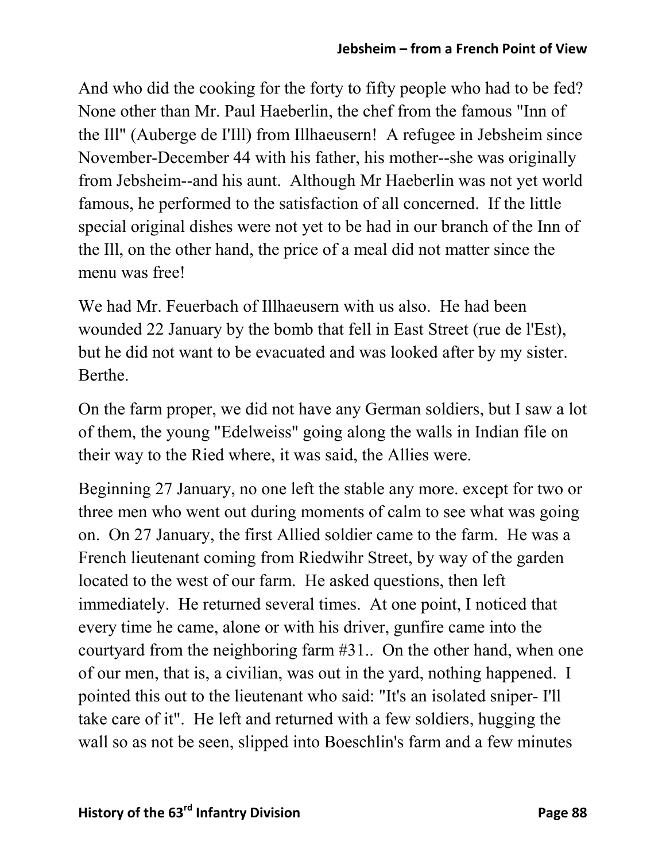And who did the cooking for the forty to fifty people who had to be fed? None other than Mr. Paul Haeberlin, the chef from the famous "Inn of the Ill" (Auberge de I'Ill) from Illhaeusern! A refugee in Jebsheim since November-December 44 with his father, his mother--she was originally from Jebsheim--and his aunt. Although Mr Haeberlin was not yet world famous, he performed to the satisfaction of all concerned. If the little special original dishes were not yet to be had in our branch of the Inn of the Ill, on the other hand, the price of a meal did not matter since the menu was free!

We had Mr. Feuerbach of Illhaeusern with us also. He had been wounded 22 January by the bomb that fell in East Street (rue de l'Est), but he did not want to be evacuated and was looked after by my sister. Berthe.

On the farm proper, we did not have any German soldiers, but I saw a lot of them, the young "Edelweiss" going along the walls in Indian file on their way to the Ried where, it was said, the Allies were.

Beginning 27 January, no one left the stable any more. except for two or three men who went out during moments of calm to see what was going on. On 27 January, the first Allied soldier came to the farm. He was a French lieutenant coming from Riedwihr Street, by way of the garden located to the west of our farm. He asked questions, then left immediately. He returned several times. At one point, I noticed that every time he came, alone or with his driver, gunfire came into the courtyard from the neighboring farm #31.. On the other hand, when one of our men, that is, a civilian, was out in the yard, nothing happened. I pointed this out to the lieutenant who said: "It's an isolated sniper- I'll take care of it". He left and returned with a few soldiers, hugging the wall so as not be seen, slipped into Boeschlin's farm and a few minutes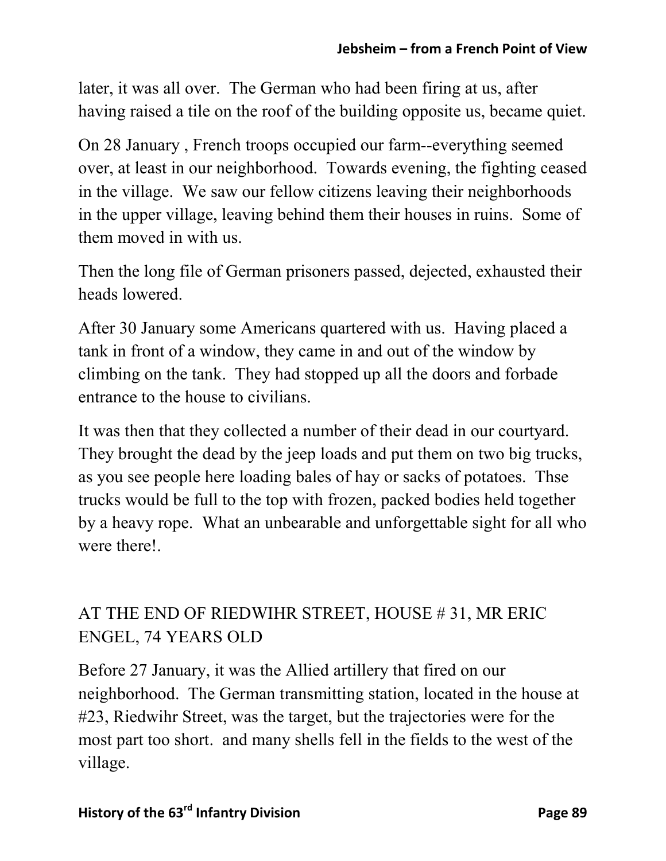later, it was all over. The German who had been firing at us, after having raised a tile on the roof of the building opposite us, became quiet.

On 28 January , French troops occupied our farm--everything seemed over, at least in our neighborhood. Towards evening, the fighting ceased in the village. We saw our fellow citizens leaving their neighborhoods in the upper village, leaving behind them their houses in ruins. Some of them moved in with us.

Then the long file of German prisoners passed, dejected, exhausted their heads lowered.

After 30 January some Americans quartered with us. Having placed a tank in front of a window, they came in and out of the window by climbing on the tank. They had stopped up all the doors and forbade entrance to the house to civilians.

It was then that they collected a number of their dead in our courtyard. They brought the dead by the jeep loads and put them on two big trucks, as you see people here loading bales of hay or sacks of potatoes. Thse trucks would be full to the top with frozen, packed bodies held together by a heavy rope. What an unbearable and unforgettable sight for all who were there!

# AT THE END OF RIEDWIHR STREET, HOUSE # 31, MR ERIC ENGEL, 74 YEARS OLD

Before 27 January, it was the Allied artillery that fired on our neighborhood. The German transmitting station, located in the house at #23, Riedwihr Street, was the target, but the trajectories were for the most part too short. and many shells fell in the fields to the west of the village.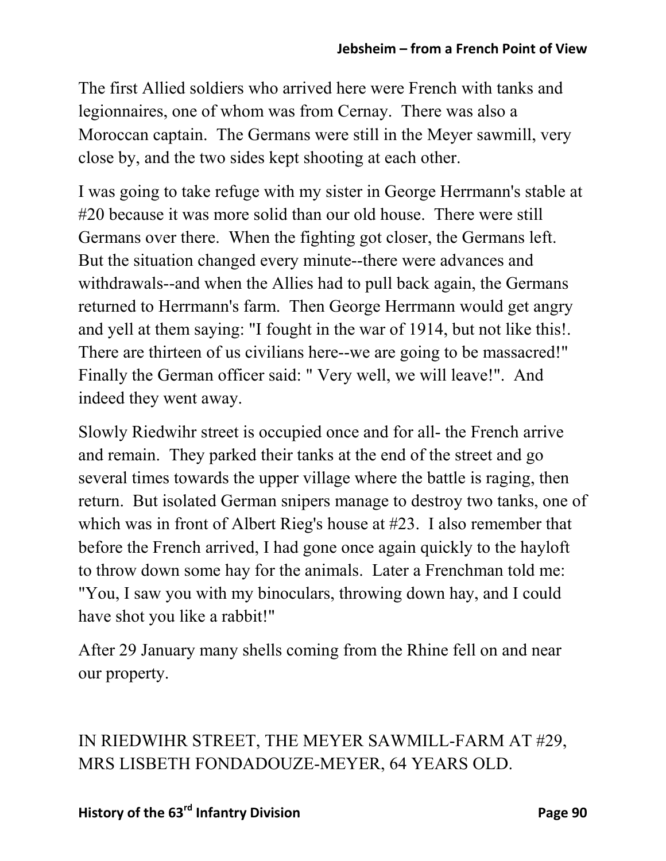The first Allied soldiers who arrived here were French with tanks and legionnaires, one of whom was from Cernay. There was also a Moroccan captain. The Germans were still in the Meyer sawmill, very close by, and the two sides kept shooting at each other.

I was going to take refuge with my sister in George Herrmann's stable at #20 because it was more solid than our old house. There were still Germans over there. When the fighting got closer, the Germans left. But the situation changed every minute--there were advances and withdrawals--and when the Allies had to pull back again, the Germans returned to Herrmann's farm. Then George Herrmann would get angry and yell at them saying: "I fought in the war of 1914, but not like this!. There are thirteen of us civilians here--we are going to be massacred!" Finally the German officer said: " Very well, we will leave!". And indeed they went away.

Slowly Riedwihr street is occupied once and for all- the French arrive and remain. They parked their tanks at the end of the street and go several times towards the upper village where the battle is raging, then return. But isolated German snipers manage to destroy two tanks, one of which was in front of Albert Rieg's house at #23. I also remember that before the French arrived, I had gone once again quickly to the hayloft to throw down some hay for the animals. Later a Frenchman told me: "You, I saw you with my binoculars, throwing down hay, and I could have shot you like a rabbit!"

After 29 January many shells coming from the Rhine fell on and near our property.

IN RIEDWIHR STREET, THE MEYER SAWMILL-FARM AT #29, MRS LISBETH FONDADOUZE-MEYER, 64 YEARS OLD.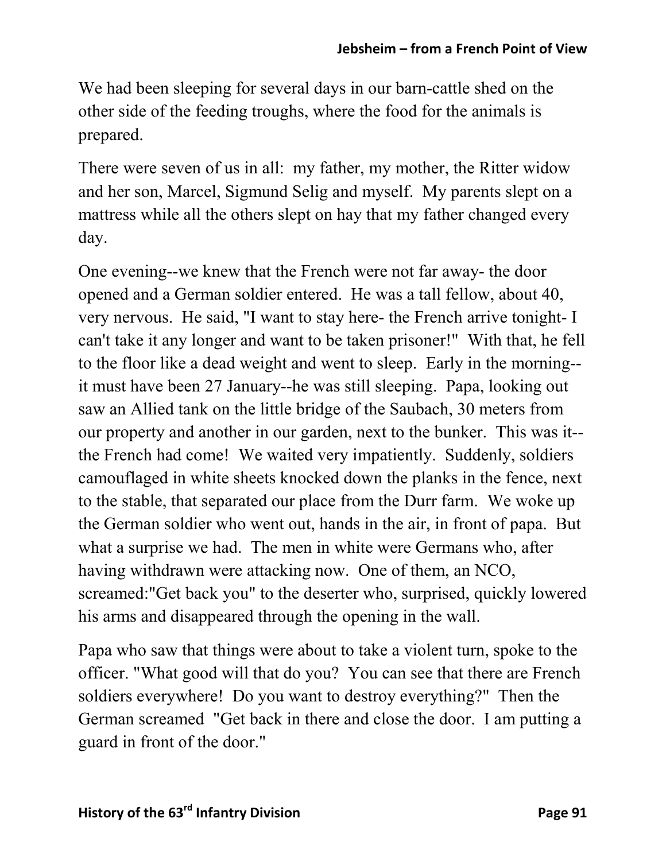We had been sleeping for several days in our barn-cattle shed on the other side of the feeding troughs, where the food for the animals is prepared.

There were seven of us in all: my father, my mother, the Ritter widow and her son, Marcel, Sigmund Selig and myself. My parents slept on a mattress while all the others slept on hay that my father changed every day.

One evening--we knew that the French were not far away- the door opened and a German soldier entered. He was a tall fellow, about 40, very nervous. He said, "I want to stay here- the French arrive tonight- I can't take it any longer and want to be taken prisoner!" With that, he fell to the floor like a dead weight and went to sleep. Early in the morning- it must have been 27 January--he was still sleeping. Papa, looking out saw an Allied tank on the little bridge of the Saubach, 30 meters from our property and another in our garden, next to the bunker. This was it- the French had come! We waited very impatiently. Suddenly, soldiers camouflaged in white sheets knocked down the planks in the fence, next to the stable, that separated our place from the Durr farm. We woke up the German soldier who went out, hands in the air, in front of papa. But what a surprise we had. The men in white were Germans who, after having withdrawn were attacking now. One of them, an NCO, screamed:"Get back you" to the deserter who, surprised, quickly lowered his arms and disappeared through the opening in the wall.

Papa who saw that things were about to take a violent turn, spoke to the officer. "What good will that do you? You can see that there are French soldiers everywhere! Do you want to destroy everything?" Then the German screamed "Get back in there and close the door. I am putting a guard in front of the door."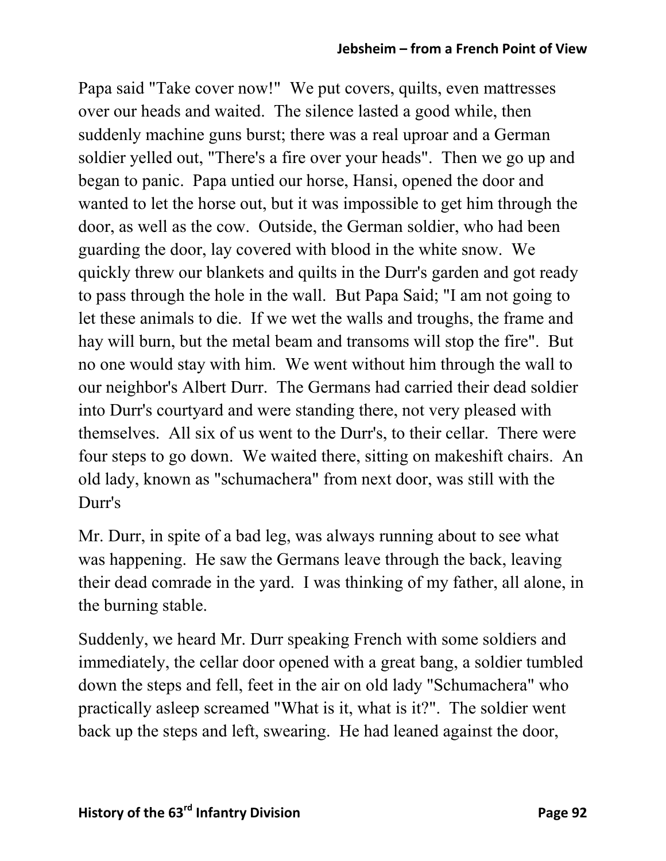#### **Jebsheim – from a French Point of View**

Papa said "Take cover now!" We put covers, quilts, even mattresses over our heads and waited. The silence lasted a good while, then suddenly machine guns burst; there was a real uproar and a German soldier yelled out, "There's a fire over your heads". Then we go up and began to panic. Papa untied our horse, Hansi, opened the door and wanted to let the horse out, but it was impossible to get him through the door, as well as the cow. Outside, the German soldier, who had been guarding the door, lay covered with blood in the white snow. We quickly threw our blankets and quilts in the Durr's garden and got ready to pass through the hole in the wall. But Papa Said; "I am not going to let these animals to die. If we wet the walls and troughs, the frame and hay will burn, but the metal beam and transoms will stop the fire". But no one would stay with him. We went without him through the wall to our neighbor's Albert Durr. The Germans had carried their dead soldier into Durr's courtyard and were standing there, not very pleased with themselves. All six of us went to the Durr's, to their cellar. There were four steps to go down. We waited there, sitting on makeshift chairs. An old lady, known as "schumachera" from next door, was still with the Durr's

Mr. Durr, in spite of a bad leg, was always running about to see what was happening. He saw the Germans leave through the back, leaving their dead comrade in the yard. I was thinking of my father, all alone, in the burning stable.

Suddenly, we heard Mr. Durr speaking French with some soldiers and immediately, the cellar door opened with a great bang, a soldier tumbled down the steps and fell, feet in the air on old lady "Schumachera" who practically asleep screamed "What is it, what is it?". The soldier went back up the steps and left, swearing. He had leaned against the door,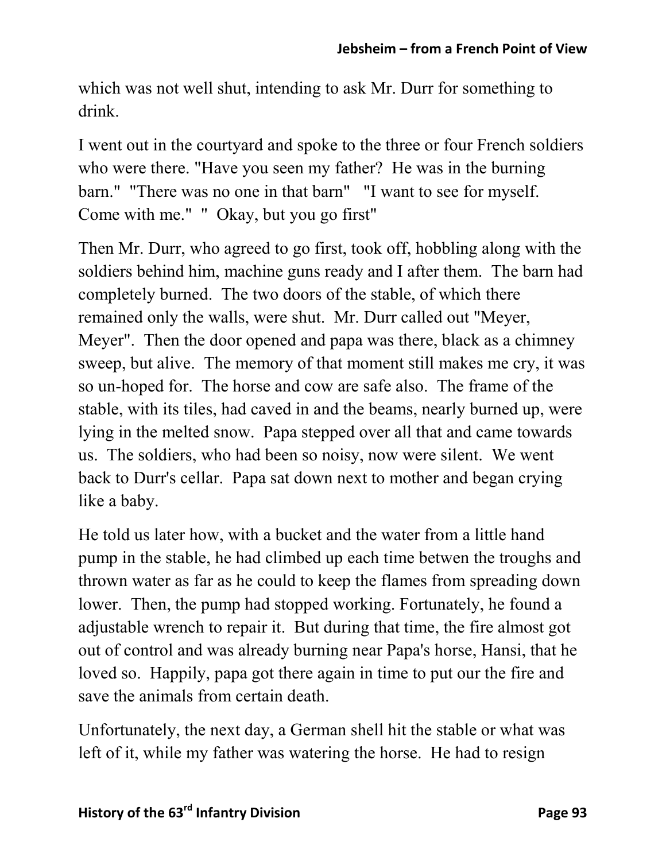which was not well shut, intending to ask Mr. Durr for something to drink.

I went out in the courtyard and spoke to the three or four French soldiers who were there. "Have you seen my father? He was in the burning barn." "There was no one in that barn" "I want to see for myself. Come with me." " Okay, but you go first"

Then Mr. Durr, who agreed to go first, took off, hobbling along with the soldiers behind him, machine guns ready and I after them. The barn had completely burned. The two doors of the stable, of which there remained only the walls, were shut. Mr. Durr called out "Meyer, Meyer". Then the door opened and papa was there, black as a chimney sweep, but alive. The memory of that moment still makes me cry, it was so un-hoped for. The horse and cow are safe also. The frame of the stable, with its tiles, had caved in and the beams, nearly burned up, were lying in the melted snow. Papa stepped over all that and came towards us. The soldiers, who had been so noisy, now were silent. We went back to Durr's cellar. Papa sat down next to mother and began crying like a baby.

He told us later how, with a bucket and the water from a little hand pump in the stable, he had climbed up each time betwen the troughs and thrown water as far as he could to keep the flames from spreading down lower. Then, the pump had stopped working. Fortunately, he found a adjustable wrench to repair it. But during that time, the fire almost got out of control and was already burning near Papa's horse, Hansi, that he loved so. Happily, papa got there again in time to put our the fire and save the animals from certain death.

Unfortunately, the next day, a German shell hit the stable or what was left of it, while my father was watering the horse. He had to resign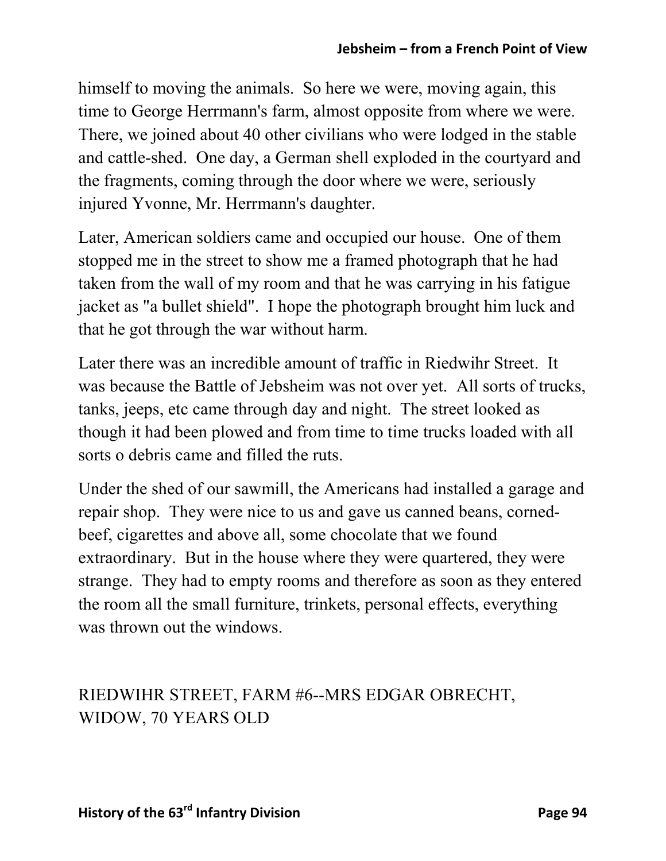himself to moving the animals. So here we were, moving again, this time to George Herrmann's farm, almost opposite from where we were. There, we joined about 40 other civilians who were lodged in the stable and cattle-shed. One day, a German shell exploded in the courtyard and the fragments, coming through the door where we were, seriously injured Yvonne, Mr. Herrmann's daughter.

Later, American soldiers came and occupied our house. One of them stopped me in the street to show me a framed photograph that he had taken from the wall of my room and that he was carrying in his fatigue jacket as "a bullet shield". I hope the photograph brought him luck and that he got through the war without harm.

Later there was an incredible amount of traffic in Riedwihr Street. It was because the Battle of Jebsheim was not over yet. All sorts of trucks, tanks, jeeps, etc came through day and night. The street looked as though it had been plowed and from time to time trucks loaded with all sorts o debris came and filled the ruts.

Under the shed of our sawmill, the Americans had installed a garage and repair shop. They were nice to us and gave us canned beans, cornedbeef, cigarettes and above all, some chocolate that we found extraordinary. But in the house where they were quartered, they were strange. They had to empty rooms and therefore as soon as they entered the room all the small furniture, trinkets, personal effects, everything was thrown out the windows.

### RIEDWIHR STREET, FARM #6--MRS EDGAR OBRECHT, WIDOW, 70 YEARS OLD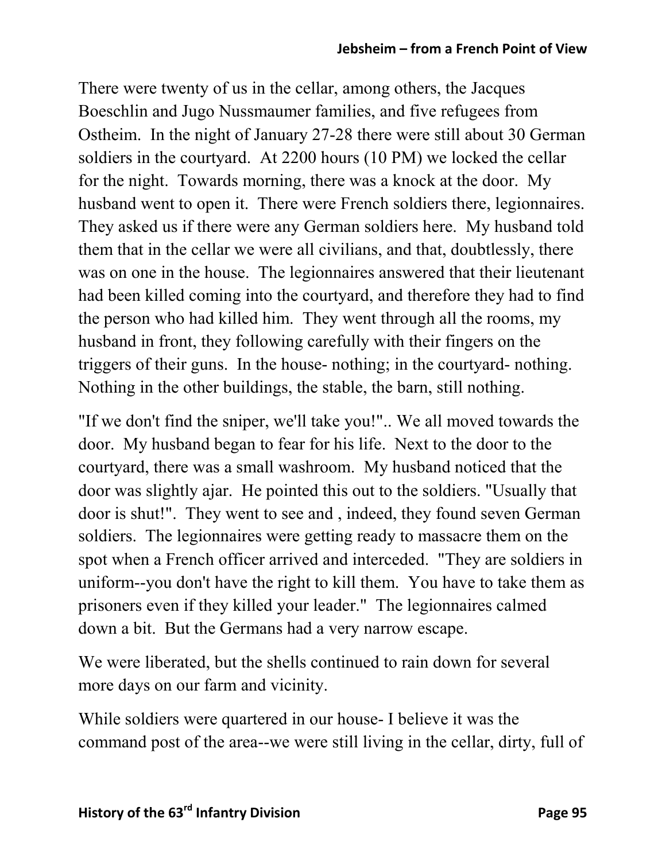There were twenty of us in the cellar, among others, the Jacques Boeschlin and Jugo Nussmaumer families, and five refugees from Ostheim. In the night of January 27-28 there were still about 30 German soldiers in the courtyard. At 2200 hours (10 PM) we locked the cellar for the night. Towards morning, there was a knock at the door. My husband went to open it. There were French soldiers there, legionnaires. They asked us if there were any German soldiers here. My husband told them that in the cellar we were all civilians, and that, doubtlessly, there was on one in the house. The legionnaires answered that their lieutenant had been killed coming into the courtyard, and therefore they had to find the person who had killed him. They went through all the rooms, my husband in front, they following carefully with their fingers on the triggers of their guns. In the house- nothing; in the courtyard- nothing. Nothing in the other buildings, the stable, the barn, still nothing.

"If we don't find the sniper, we'll take you!".. We all moved towards the door. My husband began to fear for his life. Next to the door to the courtyard, there was a small washroom. My husband noticed that the door was slightly ajar. He pointed this out to the soldiers. "Usually that door is shut!". They went to see and , indeed, they found seven German soldiers. The legionnaires were getting ready to massacre them on the spot when a French officer arrived and interceded. "They are soldiers in uniform--you don't have the right to kill them. You have to take them as prisoners even if they killed your leader." The legionnaires calmed down a bit. But the Germans had a very narrow escape.

We were liberated, but the shells continued to rain down for several more days on our farm and vicinity.

While soldiers were quartered in our house- I believe it was the command post of the area--we were still living in the cellar, dirty, full of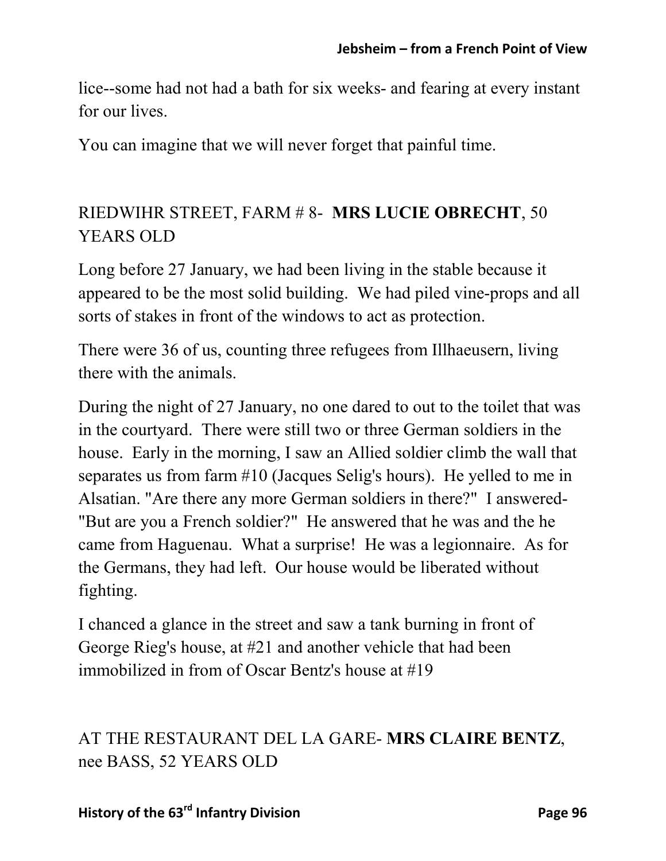lice--some had not had a bath for six weeks- and fearing at every instant for our lives.

You can imagine that we will never forget that painful time.

### RIEDWIHR STREET, FARM # 8- **MRS LUCIE OBRECHT**, 50 YEARS OLD

Long before 27 January, we had been living in the stable because it appeared to be the most solid building. We had piled vine-props and all sorts of stakes in front of the windows to act as protection.

There were 36 of us, counting three refugees from Illhaeusern, living there with the animals.

During the night of 27 January, no one dared to out to the toilet that was in the courtyard. There were still two or three German soldiers in the house. Early in the morning, I saw an Allied soldier climb the wall that separates us from farm #10 (Jacques Selig's hours). He yelled to me in Alsatian. "Are there any more German soldiers in there?" I answered- "But are you a French soldier?" He answered that he was and the he came from Haguenau. What a surprise! He was a legionnaire. As for the Germans, they had left. Our house would be liberated without fighting.

I chanced a glance in the street and saw a tank burning in front of George Rieg's house, at #21 and another vehicle that had been immobilized in from of Oscar Bentz's house at #19

## AT THE RESTAURANT DEL LA GARE- **MRS CLAIRE BENTZ**, nee BASS, 52 YEARS OLD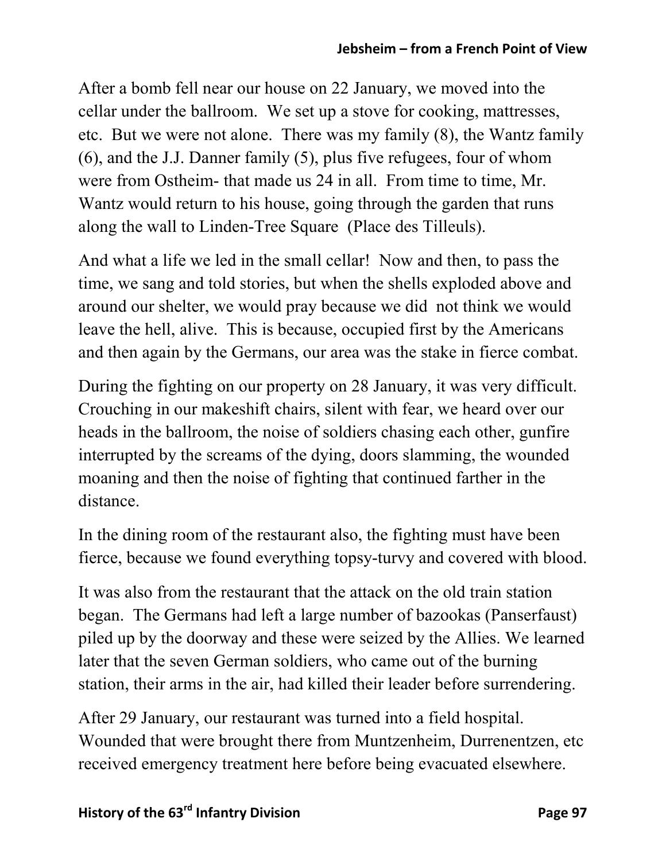After a bomb fell near our house on 22 January, we moved into the cellar under the ballroom. We set up a stove for cooking, mattresses, etc. But we were not alone. There was my family (8), the Wantz family (6), and the J.J. Danner family (5), plus five refugees, four of whom were from Ostheim- that made us 24 in all. From time to time, Mr. Wantz would return to his house, going through the garden that runs along the wall to Linden-Tree Square (Place des Tilleuls).

And what a life we led in the small cellar! Now and then, to pass the time, we sang and told stories, but when the shells exploded above and around our shelter, we would pray because we did not think we would leave the hell, alive. This is because, occupied first by the Americans and then again by the Germans, our area was the stake in fierce combat.

During the fighting on our property on 28 January, it was very difficult. Crouching in our makeshift chairs, silent with fear, we heard over our heads in the ballroom, the noise of soldiers chasing each other, gunfire interrupted by the screams of the dying, doors slamming, the wounded moaning and then the noise of fighting that continued farther in the distance.

In the dining room of the restaurant also, the fighting must have been fierce, because we found everything topsy-turvy and covered with blood.

It was also from the restaurant that the attack on the old train station began. The Germans had left a large number of bazookas (Panserfaust) piled up by the doorway and these were seized by the Allies. We learned later that the seven German soldiers, who came out of the burning station, their arms in the air, had killed their leader before surrendering.

After 29 January, our restaurant was turned into a field hospital. Wounded that were brought there from Muntzenheim, Durrenentzen, etc received emergency treatment here before being evacuated elsewhere.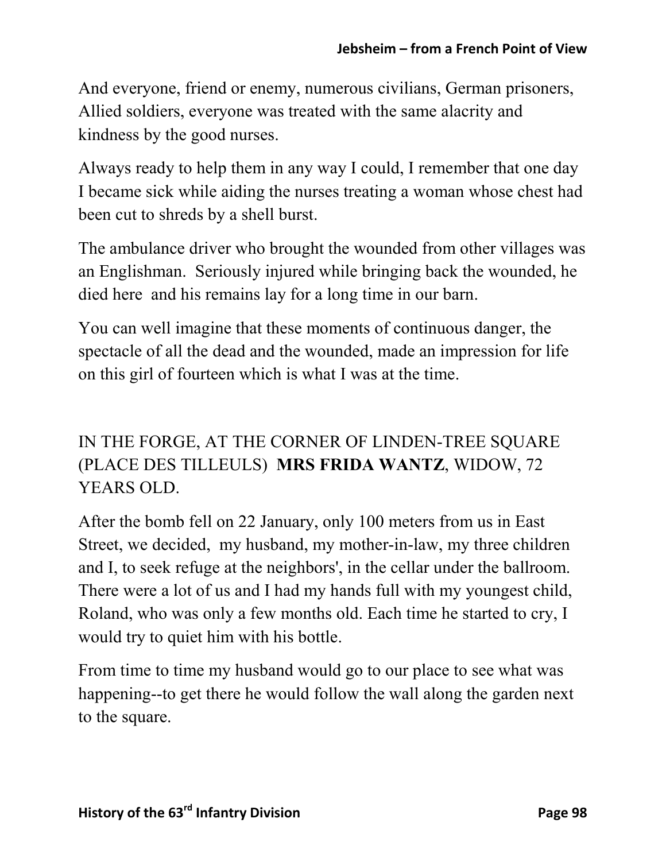And everyone, friend or enemy, numerous civilians, German prisoners, Allied soldiers, everyone was treated with the same alacrity and kindness by the good nurses.

Always ready to help them in any way I could, I remember that one day I became sick while aiding the nurses treating a woman whose chest had been cut to shreds by a shell burst.

The ambulance driver who brought the wounded from other villages was an Englishman. Seriously injured while bringing back the wounded, he died here and his remains lay for a long time in our barn.

You can well imagine that these moments of continuous danger, the spectacle of all the dead and the wounded, made an impression for life on this girl of fourteen which is what I was at the time.

# IN THE FORGE, AT THE CORNER OF LINDEN-TREE SQUARE (PLACE DES TILLEULS) **MRS FRIDA WANTZ**, WIDOW, 72 YEARS OLD.

After the bomb fell on 22 January, only 100 meters from us in East Street, we decided, my husband, my mother-in-law, my three children and I, to seek refuge at the neighbors', in the cellar under the ballroom. There were a lot of us and I had my hands full with my youngest child, Roland, who was only a few months old. Each time he started to cry, I would try to quiet him with his bottle.

From time to time my husband would go to our place to see what was happening--to get there he would follow the wall along the garden next to the square.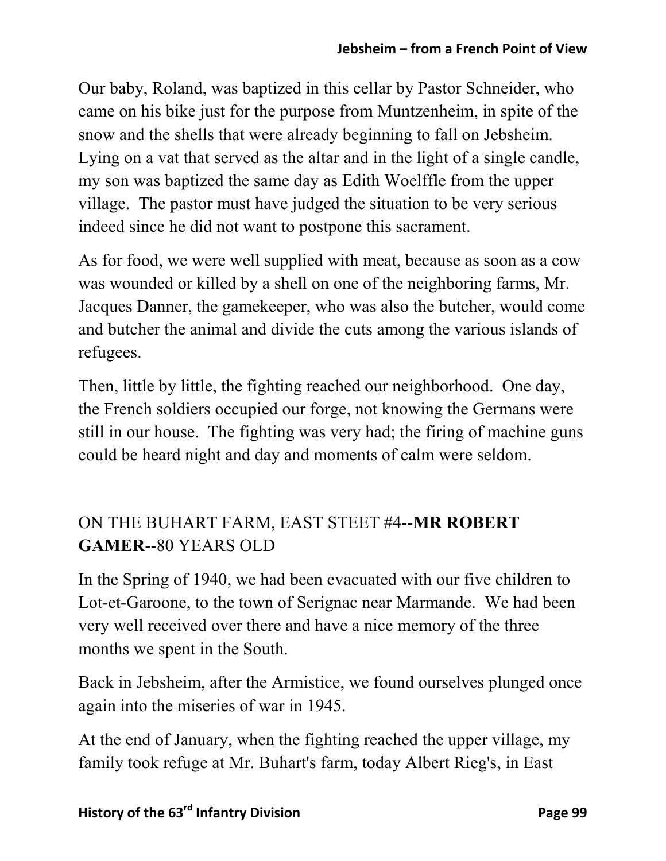Our baby, Roland, was baptized in this cellar by Pastor Schneider, who came on his bike just for the purpose from Muntzenheim, in spite of the snow and the shells that were already beginning to fall on Jebsheim. Lying on a vat that served as the altar and in the light of a single candle, my son was baptized the same day as Edith Woelffle from the upper village. The pastor must have judged the situation to be very serious indeed since he did not want to postpone this sacrament.

As for food, we were well supplied with meat, because as soon as a cow was wounded or killed by a shell on one of the neighboring farms, Mr. Jacques Danner, the gamekeeper, who was also the butcher, would come and butcher the animal and divide the cuts among the various islands of refugees.

Then, little by little, the fighting reached our neighborhood. One day, the French soldiers occupied our forge, not knowing the Germans were still in our house. The fighting was very had; the firing of machine guns could be heard night and day and moments of calm were seldom.

## ON THE BUHART FARM, EAST STEET #4--**MR ROBERT GAMER**--80 YEARS OLD

In the Spring of 1940, we had been evacuated with our five children to Lot-et-Garoone, to the town of Serignac near Marmande. We had been very well received over there and have a nice memory of the three months we spent in the South.

Back in Jebsheim, after the Armistice, we found ourselves plunged once again into the miseries of war in 1945.

At the end of January, when the fighting reached the upper village, my family took refuge at Mr. Buhart's farm, today Albert Rieg's, in East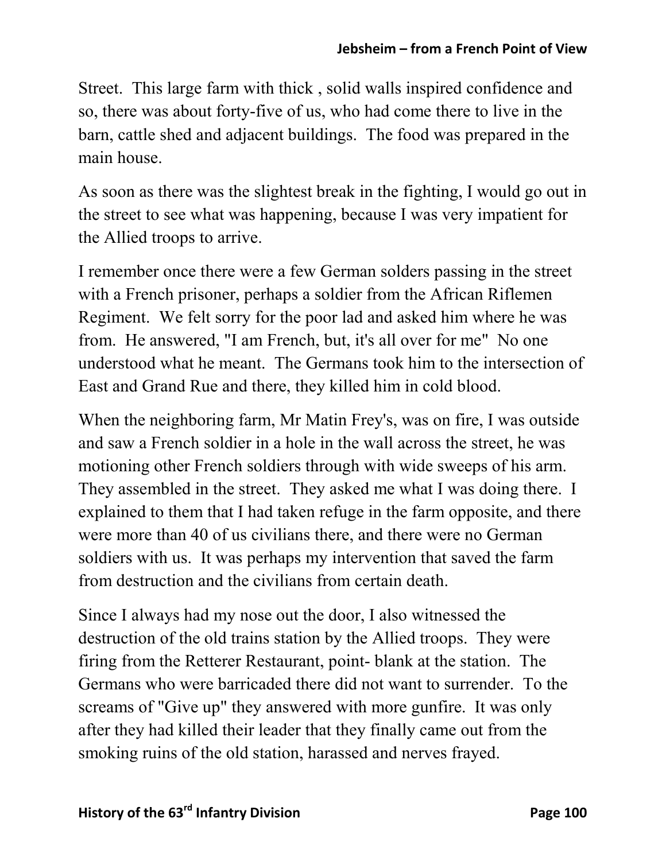Street. This large farm with thick , solid walls inspired confidence and so, there was about forty-five of us, who had come there to live in the barn, cattle shed and adjacent buildings. The food was prepared in the main house.

As soon as there was the slightest break in the fighting, I would go out in the street to see what was happening, because I was very impatient for the Allied troops to arrive.

I remember once there were a few German solders passing in the street with a French prisoner, perhaps a soldier from the African Riflemen Regiment. We felt sorry for the poor lad and asked him where he was from. He answered, "I am French, but, it's all over for me" No one understood what he meant. The Germans took him to the intersection of East and Grand Rue and there, they killed him in cold blood.

When the neighboring farm, Mr Matin Frey's, was on fire, I was outside and saw a French soldier in a hole in the wall across the street, he was motioning other French soldiers through with wide sweeps of his arm. They assembled in the street. They asked me what I was doing there. I explained to them that I had taken refuge in the farm opposite, and there were more than 40 of us civilians there, and there were no German soldiers with us. It was perhaps my intervention that saved the farm from destruction and the civilians from certain death.

Since I always had my nose out the door, I also witnessed the destruction of the old trains station by the Allied troops. They were firing from the Retterer Restaurant, point- blank at the station. The Germans who were barricaded there did not want to surrender. To the screams of "Give up" they answered with more gunfire. It was only after they had killed their leader that they finally came out from the smoking ruins of the old station, harassed and nerves frayed.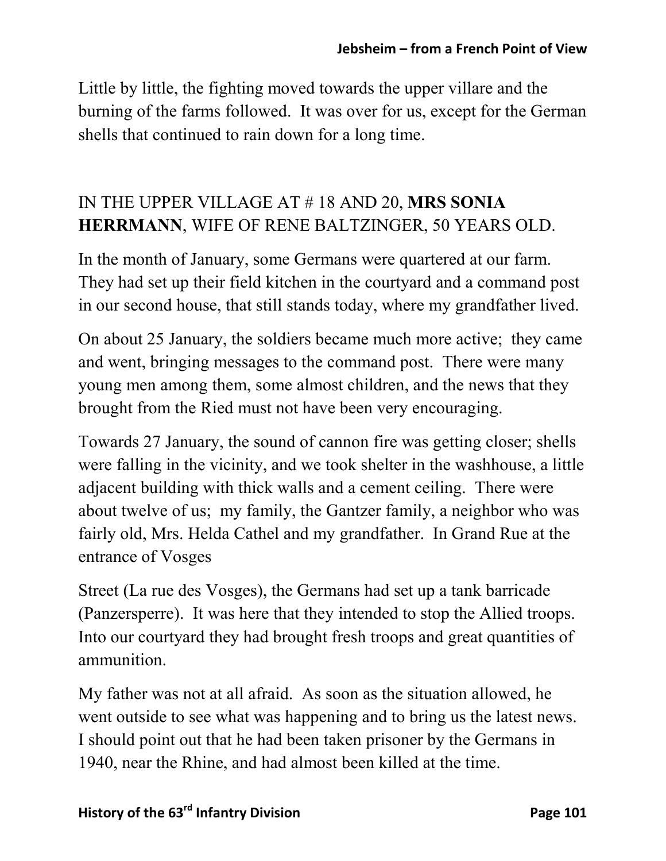Little by little, the fighting moved towards the upper villare and the burning of the farms followed. It was over for us, except for the German shells that continued to rain down for a long time.

### IN THE UPPER VILLAGE AT # 18 AND 20, **MRS SONIA HERRMANN**, WIFE OF RENE BALTZINGER, 50 YEARS OLD.

In the month of January, some Germans were quartered at our farm. They had set up their field kitchen in the courtyard and a command post in our second house, that still stands today, where my grandfather lived.

On about 25 January, the soldiers became much more active; they came and went, bringing messages to the command post. There were many young men among them, some almost children, and the news that they brought from the Ried must not have been very encouraging.

Towards 27 January, the sound of cannon fire was getting closer; shells were falling in the vicinity, and we took shelter in the washhouse, a little adjacent building with thick walls and a cement ceiling. There were about twelve of us; my family, the Gantzer family, a neighbor who was fairly old, Mrs. Helda Cathel and my grandfather. In Grand Rue at the entrance of Vosges

Street (La rue des Vosges), the Germans had set up a tank barricade (Panzersperre). It was here that they intended to stop the Allied troops. Into our courtyard they had brought fresh troops and great quantities of ammunition.

My father was not at all afraid. As soon as the situation allowed, he went outside to see what was happening and to bring us the latest news. I should point out that he had been taken prisoner by the Germans in 1940, near the Rhine, and had almost been killed at the time.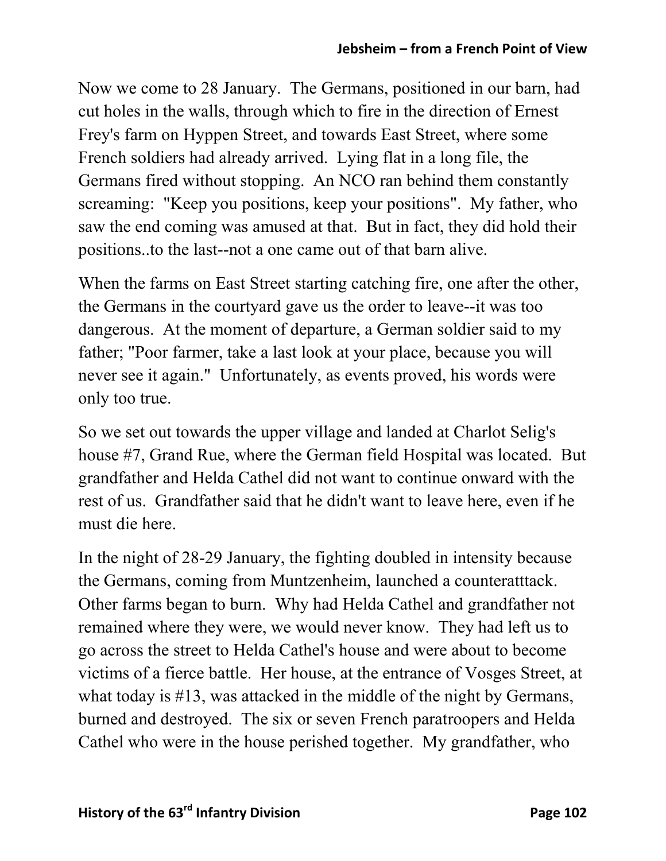Now we come to 28 January. The Germans, positioned in our barn, had cut holes in the walls, through which to fire in the direction of Ernest Frey's farm on Hyppen Street, and towards East Street, where some French soldiers had already arrived. Lying flat in a long file, the Germans fired without stopping. An NCO ran behind them constantly screaming: "Keep you positions, keep your positions". My father, who saw the end coming was amused at that. But in fact, they did hold their positions..to the last--not a one came out of that barn alive.

When the farms on East Street starting catching fire, one after the other, the Germans in the courtyard gave us the order to leave--it was too dangerous. At the moment of departure, a German soldier said to my father; "Poor farmer, take a last look at your place, because you will never see it again." Unfortunately, as events proved, his words were only too true.

So we set out towards the upper village and landed at Charlot Selig's house #7, Grand Rue, where the German field Hospital was located. But grandfather and Helda Cathel did not want to continue onward with the rest of us. Grandfather said that he didn't want to leave here, even if he must die here.

In the night of 28-29 January, the fighting doubled in intensity because the Germans, coming from Muntzenheim, launched a counteratttack. Other farms began to burn. Why had Helda Cathel and grandfather not remained where they were, we would never know. They had left us to go across the street to Helda Cathel's house and were about to become victims of a fierce battle. Her house, at the entrance of Vosges Street, at what today is #13, was attacked in the middle of the night by Germans, burned and destroyed. The six or seven French paratroopers and Helda Cathel who were in the house perished together. My grandfather, who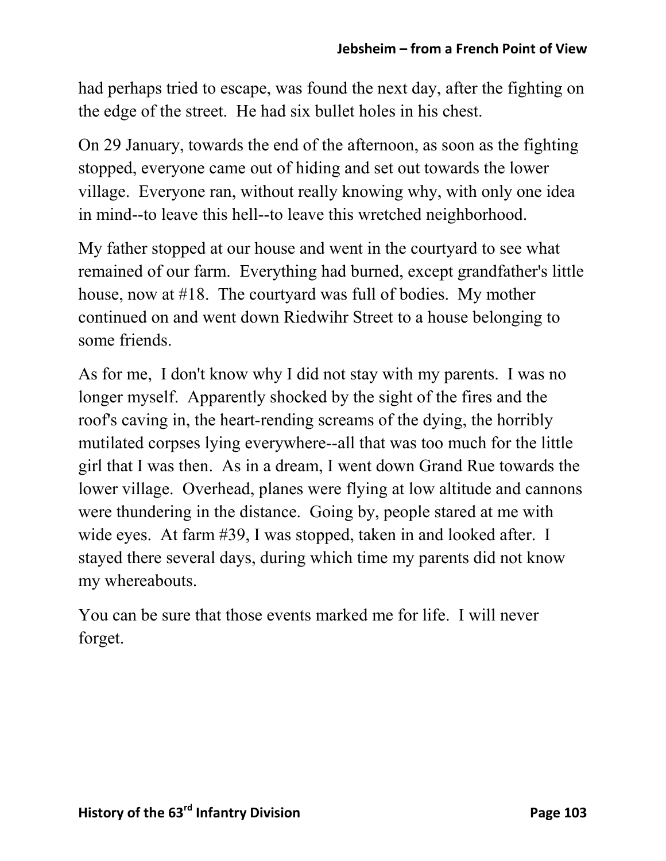had perhaps tried to escape, was found the next day, after the fighting on the edge of the street. He had six bullet holes in his chest.

On 29 January, towards the end of the afternoon, as soon as the fighting stopped, everyone came out of hiding and set out towards the lower village. Everyone ran, without really knowing why, with only one idea in mind--to leave this hell--to leave this wretched neighborhood.

My father stopped at our house and went in the courtyard to see what remained of our farm. Everything had burned, except grandfather's little house, now at #18. The courtyard was full of bodies. My mother continued on and went down Riedwihr Street to a house belonging to some friends.

As for me, I don't know why I did not stay with my parents. I was no longer myself. Apparently shocked by the sight of the fires and the roof's caving in, the heart-rending screams of the dying, the horribly mutilated corpses lying everywhere--all that was too much for the little girl that I was then. As in a dream, I went down Grand Rue towards the lower village. Overhead, planes were flying at low altitude and cannons were thundering in the distance. Going by, people stared at me with wide eyes. At farm #39, I was stopped, taken in and looked after. I stayed there several days, during which time my parents did not know my whereabouts.

You can be sure that those events marked me for life. I will never forget.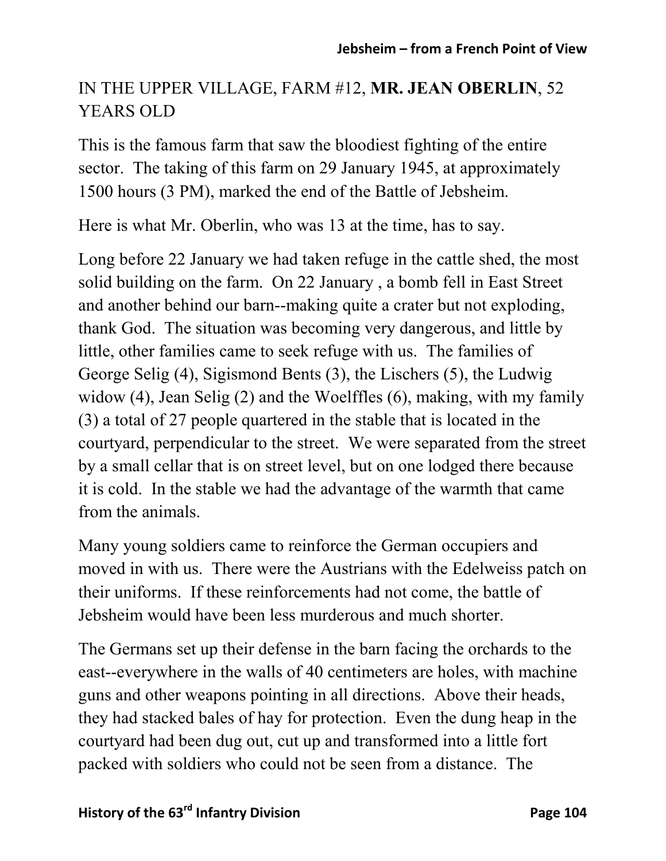## IN THE UPPER VILLAGE, FARM #12, **MR. JEAN OBERLIN**, 52 YEARS OLD

This is the famous farm that saw the bloodiest fighting of the entire sector. The taking of this farm on 29 January 1945, at approximately 1500 hours (3 PM), marked the end of the Battle of Jebsheim.

Here is what Mr. Oberlin, who was 13 at the time, has to say.

Long before 22 January we had taken refuge in the cattle shed, the most solid building on the farm. On 22 January , a bomb fell in East Street and another behind our barn--making quite a crater but not exploding, thank God. The situation was becoming very dangerous, and little by little, other families came to seek refuge with us. The families of George Selig (4), Sigismond Bents (3), the Lischers (5), the Ludwig widow (4), Jean Selig (2) and the Woelffles (6), making, with my family (3) a total of 27 people quartered in the stable that is located in the courtyard, perpendicular to the street. We were separated from the street by a small cellar that is on street level, but on one lodged there because it is cold. In the stable we had the advantage of the warmth that came from the animals.

Many young soldiers came to reinforce the German occupiers and moved in with us. There were the Austrians with the Edelweiss patch on their uniforms. If these reinforcements had not come, the battle of Jebsheim would have been less murderous and much shorter.

The Germans set up their defense in the barn facing the orchards to the east--everywhere in the walls of 40 centimeters are holes, with machine guns and other weapons pointing in all directions. Above their heads, they had stacked bales of hay for protection. Even the dung heap in the courtyard had been dug out, cut up and transformed into a little fort packed with soldiers who could not be seen from a distance. The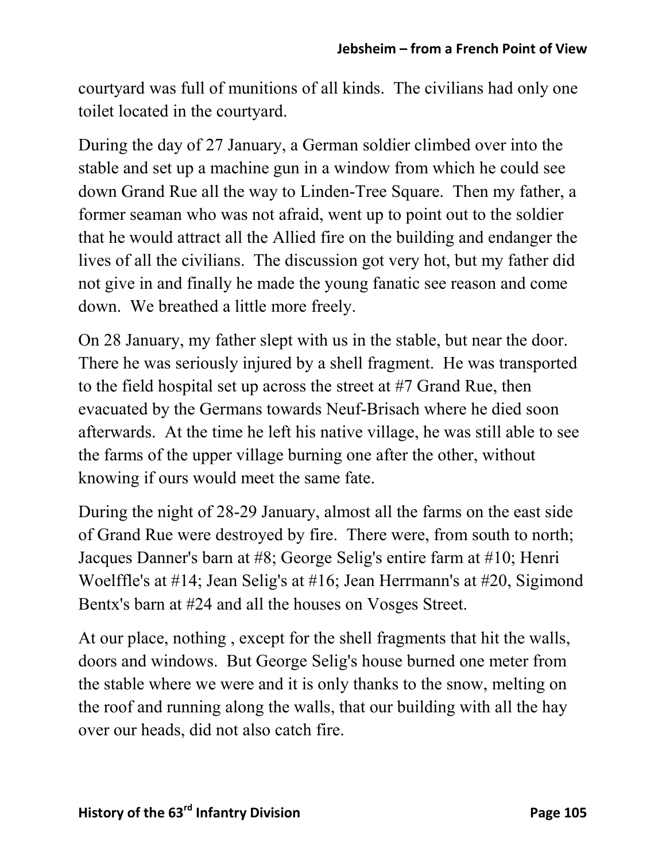courtyard was full of munitions of all kinds. The civilians had only one toilet located in the courtyard.

During the day of 27 January, a German soldier climbed over into the stable and set up a machine gun in a window from which he could see down Grand Rue all the way to Linden-Tree Square. Then my father, a former seaman who was not afraid, went up to point out to the soldier that he would attract all the Allied fire on the building and endanger the lives of all the civilians. The discussion got very hot, but my father did not give in and finally he made the young fanatic see reason and come down. We breathed a little more freely.

On 28 January, my father slept with us in the stable, but near the door. There he was seriously injured by a shell fragment. He was transported to the field hospital set up across the street at #7 Grand Rue, then evacuated by the Germans towards Neuf-Brisach where he died soon afterwards. At the time he left his native village, he was still able to see the farms of the upper village burning one after the other, without knowing if ours would meet the same fate.

During the night of 28-29 January, almost all the farms on the east side of Grand Rue were destroyed by fire. There were, from south to north; Jacques Danner's barn at #8; George Selig's entire farm at #10; Henri Woelffle's at #14; Jean Selig's at #16; Jean Herrmann's at #20, Sigimond Bentx's barn at #24 and all the houses on Vosges Street.

At our place, nothing , except for the shell fragments that hit the walls, doors and windows. But George Selig's house burned one meter from the stable where we were and it is only thanks to the snow, melting on the roof and running along the walls, that our building with all the hay over our heads, did not also catch fire.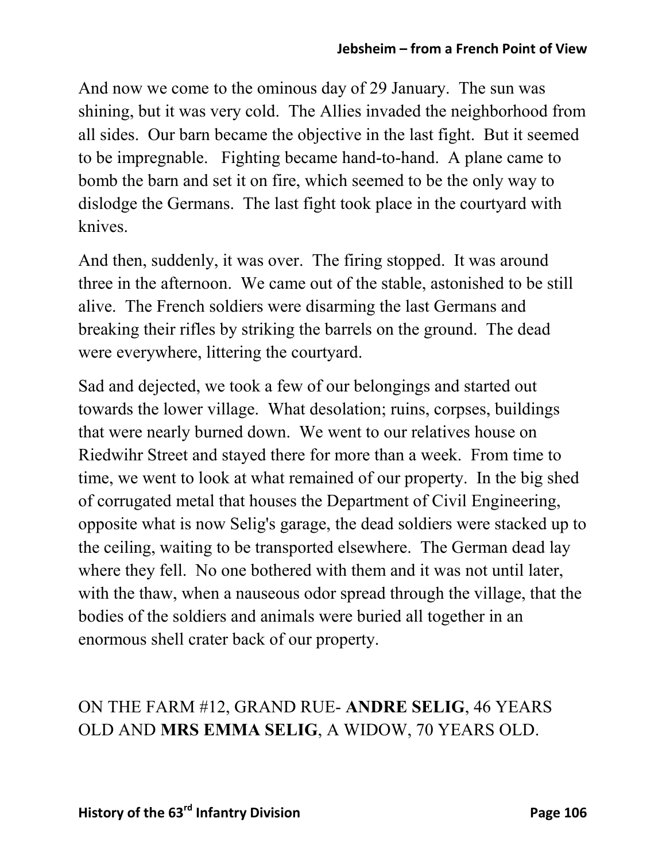And now we come to the ominous day of 29 January. The sun was shining, but it was very cold. The Allies invaded the neighborhood from all sides. Our barn became the objective in the last fight. But it seemed to be impregnable. Fighting became hand-to-hand. A plane came to bomb the barn and set it on fire, which seemed to be the only way to dislodge the Germans. The last fight took place in the courtyard with knives.

And then, suddenly, it was over. The firing stopped. It was around three in the afternoon. We came out of the stable, astonished to be still alive. The French soldiers were disarming the last Germans and breaking their rifles by striking the barrels on the ground. The dead were everywhere, littering the courtyard.

Sad and dejected, we took a few of our belongings and started out towards the lower village. What desolation; ruins, corpses, buildings that were nearly burned down. We went to our relatives house on Riedwihr Street and stayed there for more than a week. From time to time, we went to look at what remained of our property. In the big shed of corrugated metal that houses the Department of Civil Engineering, opposite what is now Selig's garage, the dead soldiers were stacked up to the ceiling, waiting to be transported elsewhere. The German dead lay where they fell. No one bothered with them and it was not until later, with the thaw, when a nauseous odor spread through the village, that the bodies of the soldiers and animals were buried all together in an enormous shell crater back of our property.

### ON THE FARM #12, GRAND RUE- **ANDRE SELIG**, 46 YEARS OLD AND **MRS EMMA SELIG**, A WIDOW, 70 YEARS OLD.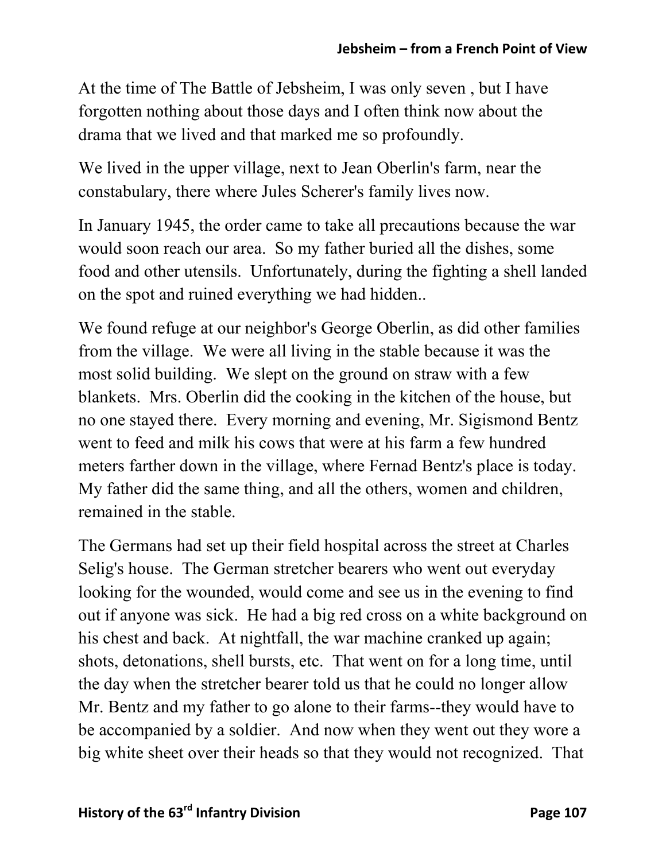At the time of The Battle of Jebsheim, I was only seven , but I have forgotten nothing about those days and I often think now about the drama that we lived and that marked me so profoundly.

We lived in the upper village, next to Jean Oberlin's farm, near the constabulary, there where Jules Scherer's family lives now.

In January 1945, the order came to take all precautions because the war would soon reach our area. So my father buried all the dishes, some food and other utensils. Unfortunately, during the fighting a shell landed on the spot and ruined everything we had hidden..

We found refuge at our neighbor's George Oberlin, as did other families from the village. We were all living in the stable because it was the most solid building. We slept on the ground on straw with a few blankets. Mrs. Oberlin did the cooking in the kitchen of the house, but no one stayed there. Every morning and evening, Mr. Sigismond Bentz went to feed and milk his cows that were at his farm a few hundred meters farther down in the village, where Fernad Bentz's place is today. My father did the same thing, and all the others, women and children, remained in the stable.

The Germans had set up their field hospital across the street at Charles Selig's house. The German stretcher bearers who went out everyday looking for the wounded, would come and see us in the evening to find out if anyone was sick. He had a big red cross on a white background on his chest and back. At nightfall, the war machine cranked up again; shots, detonations, shell bursts, etc. That went on for a long time, until the day when the stretcher bearer told us that he could no longer allow Mr. Bentz and my father to go alone to their farms--they would have to be accompanied by a soldier. And now when they went out they wore a big white sheet over their heads so that they would not recognized. That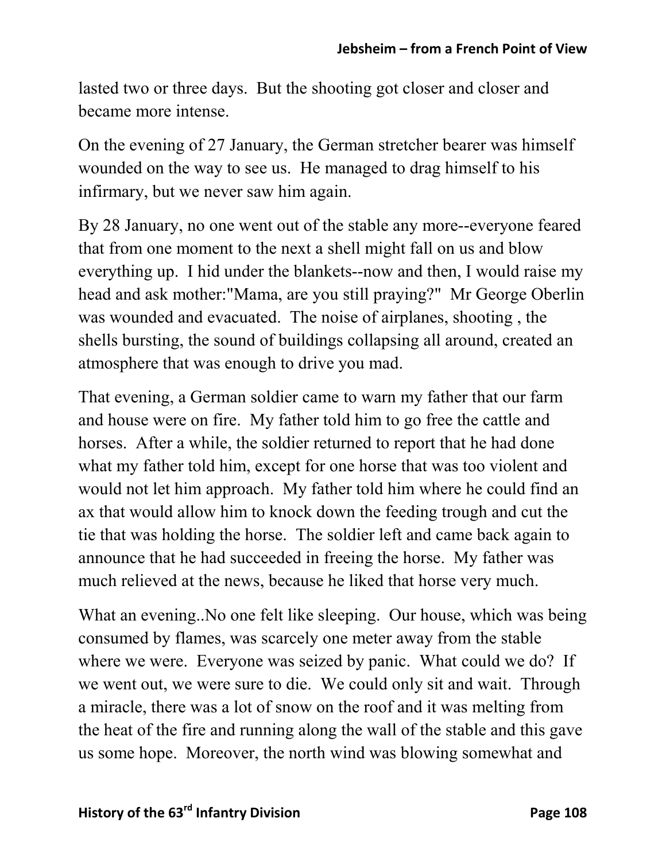lasted two or three days. But the shooting got closer and closer and became more intense.

On the evening of 27 January, the German stretcher bearer was himself wounded on the way to see us. He managed to drag himself to his infirmary, but we never saw him again.

By 28 January, no one went out of the stable any more--everyone feared that from one moment to the next a shell might fall on us and blow everything up. I hid under the blankets--now and then, I would raise my head and ask mother:"Mama, are you still praying?" Mr George Oberlin was wounded and evacuated. The noise of airplanes, shooting , the shells bursting, the sound of buildings collapsing all around, created an atmosphere that was enough to drive you mad.

That evening, a German soldier came to warn my father that our farm and house were on fire. My father told him to go free the cattle and horses. After a while, the soldier returned to report that he had done what my father told him, except for one horse that was too violent and would not let him approach. My father told him where he could find an ax that would allow him to knock down the feeding trough and cut the tie that was holding the horse. The soldier left and came back again to announce that he had succeeded in freeing the horse. My father was much relieved at the news, because he liked that horse very much.

What an evening..No one felt like sleeping. Our house, which was being consumed by flames, was scarcely one meter away from the stable where we were. Everyone was seized by panic. What could we do? If we went out, we were sure to die. We could only sit and wait. Through a miracle, there was a lot of snow on the roof and it was melting from the heat of the fire and running along the wall of the stable and this gave us some hope. Moreover, the north wind was blowing somewhat and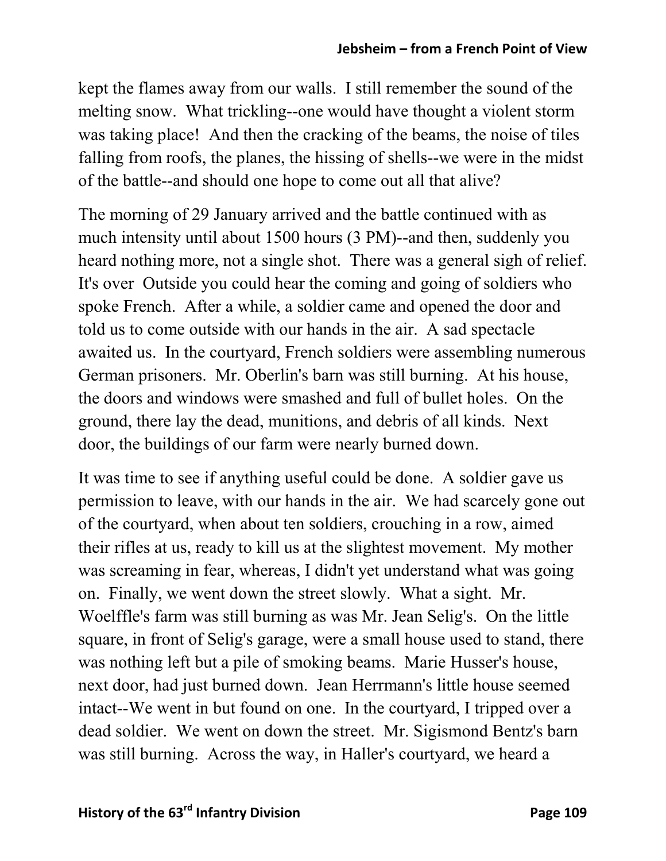kept the flames away from our walls. I still remember the sound of the melting snow. What trickling--one would have thought a violent storm was taking place! And then the cracking of the beams, the noise of tiles falling from roofs, the planes, the hissing of shells--we were in the midst of the battle--and should one hope to come out all that alive?

The morning of 29 January arrived and the battle continued with as much intensity until about 1500 hours (3 PM)--and then, suddenly you heard nothing more, not a single shot. There was a general sigh of relief. It's over Outside you could hear the coming and going of soldiers who spoke French. After a while, a soldier came and opened the door and told us to come outside with our hands in the air. A sad spectacle awaited us. In the courtyard, French soldiers were assembling numerous German prisoners. Mr. Oberlin's barn was still burning. At his house, the doors and windows were smashed and full of bullet holes. On the ground, there lay the dead, munitions, and debris of all kinds. Next door, the buildings of our farm were nearly burned down.

It was time to see if anything useful could be done. A soldier gave us permission to leave, with our hands in the air. We had scarcely gone out of the courtyard, when about ten soldiers, crouching in a row, aimed their rifles at us, ready to kill us at the slightest movement. My mother was screaming in fear, whereas, I didn't yet understand what was going on. Finally, we went down the street slowly. What a sight. Mr. Woelffle's farm was still burning as was Mr. Jean Selig's. On the little square, in front of Selig's garage, were a small house used to stand, there was nothing left but a pile of smoking beams. Marie Husser's house, next door, had just burned down. Jean Herrmann's little house seemed intact--We went in but found on one. In the courtyard, I tripped over a dead soldier. We went on down the street. Mr. Sigismond Bentz's barn was still burning. Across the way, in Haller's courtyard, we heard a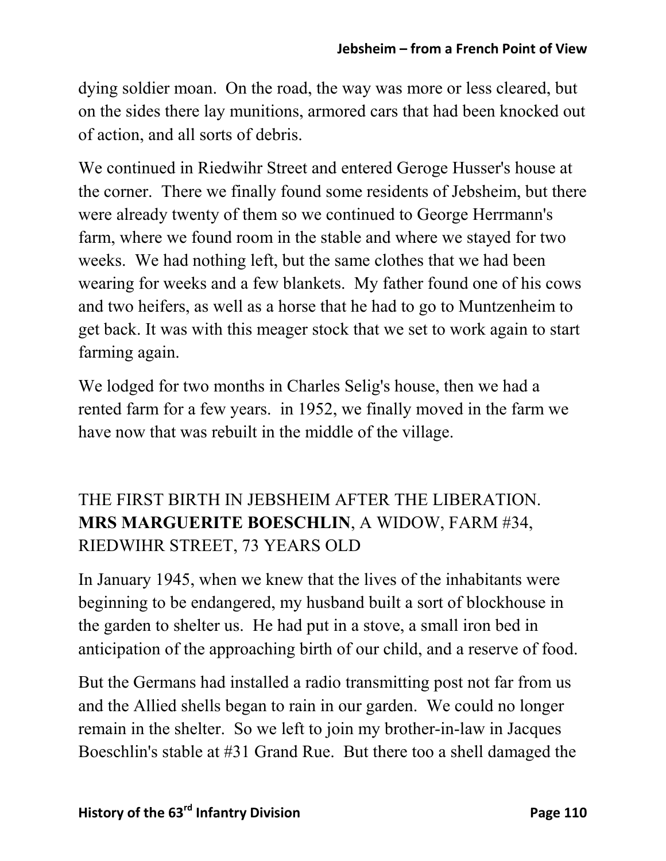dying soldier moan. On the road, the way was more or less cleared, but on the sides there lay munitions, armored cars that had been knocked out of action, and all sorts of debris.

We continued in Riedwihr Street and entered Geroge Husser's house at the corner. There we finally found some residents of Jebsheim, but there were already twenty of them so we continued to George Herrmann's farm, where we found room in the stable and where we stayed for two weeks. We had nothing left, but the same clothes that we had been wearing for weeks and a few blankets. My father found one of his cows and two heifers, as well as a horse that he had to go to Muntzenheim to get back. It was with this meager stock that we set to work again to start farming again.

We lodged for two months in Charles Selig's house, then we had a rented farm for a few years. in 1952, we finally moved in the farm we have now that was rebuilt in the middle of the village.

# THE FIRST BIRTH IN JEBSHEIM AFTER THE LIBERATION. **MRS MARGUERITE BOESCHLIN**, A WIDOW, FARM #34, RIEDWIHR STREET, 73 YEARS OLD

In January 1945, when we knew that the lives of the inhabitants were beginning to be endangered, my husband built a sort of blockhouse in the garden to shelter us. He had put in a stove, a small iron bed in anticipation of the approaching birth of our child, and a reserve of food.

But the Germans had installed a radio transmitting post not far from us and the Allied shells began to rain in our garden. We could no longer remain in the shelter. So we left to join my brother-in-law in Jacques Boeschlin's stable at #31 Grand Rue. But there too a shell damaged the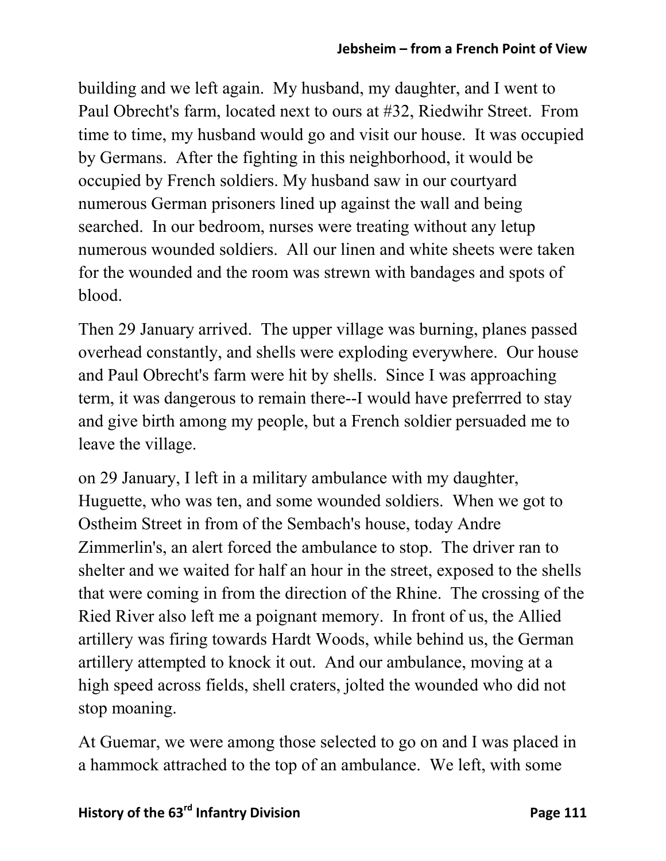building and we left again. My husband, my daughter, and I went to Paul Obrecht's farm, located next to ours at #32, Riedwihr Street. From time to time, my husband would go and visit our house. It was occupied by Germans. After the fighting in this neighborhood, it would be occupied by French soldiers. My husband saw in our courtyard numerous German prisoners lined up against the wall and being searched. In our bedroom, nurses were treating without any letup numerous wounded soldiers. All our linen and white sheets were taken for the wounded and the room was strewn with bandages and spots of blood.

Then 29 January arrived. The upper village was burning, planes passed overhead constantly, and shells were exploding everywhere. Our house and Paul Obrecht's farm were hit by shells. Since I was approaching term, it was dangerous to remain there--I would have preferrred to stay and give birth among my people, but a French soldier persuaded me to leave the village.

on 29 January, I left in a military ambulance with my daughter, Huguette, who was ten, and some wounded soldiers. When we got to Ostheim Street in from of the Sembach's house, today Andre Zimmerlin's, an alert forced the ambulance to stop. The driver ran to shelter and we waited for half an hour in the street, exposed to the shells that were coming in from the direction of the Rhine. The crossing of the Ried River also left me a poignant memory. In front of us, the Allied artillery was firing towards Hardt Woods, while behind us, the German artillery attempted to knock it out. And our ambulance, moving at a high speed across fields, shell craters, jolted the wounded who did not stop moaning.

At Guemar, we were among those selected to go on and I was placed in a hammock attrached to the top of an ambulance. We left, with some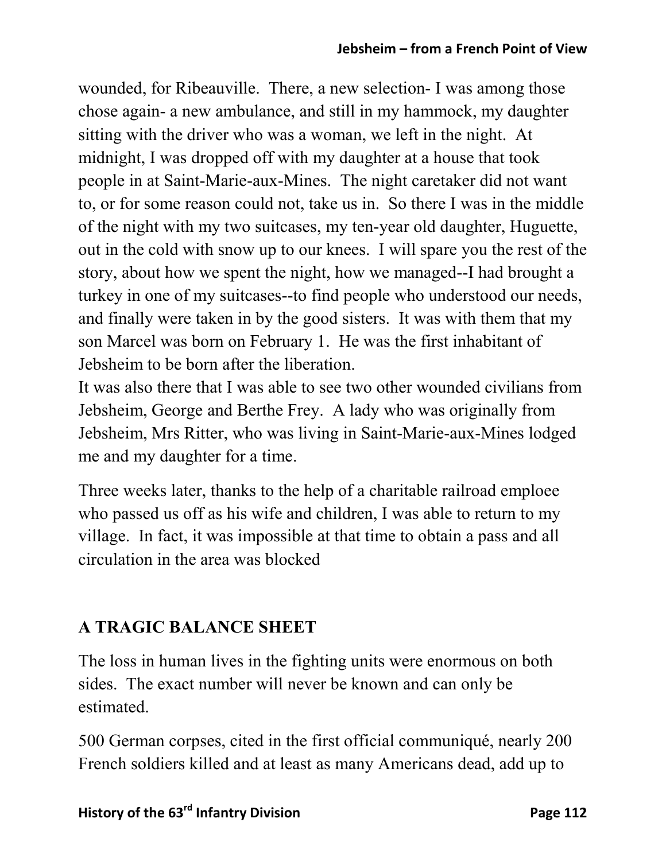wounded, for Ribeauville. There, a new selection- I was among those chose again- a new ambulance, and still in my hammock, my daughter sitting with the driver who was a woman, we left in the night. At midnight, I was dropped off with my daughter at a house that took people in at Saint-Marie-aux-Mines. The night caretaker did not want to, or for some reason could not, take us in. So there I was in the middle of the night with my two suitcases, my ten-year old daughter, Huguette, out in the cold with snow up to our knees. I will spare you the rest of the story, about how we spent the night, how we managed--I had brought a turkey in one of my suitcases--to find people who understood our needs, and finally were taken in by the good sisters. It was with them that my son Marcel was born on February 1. He was the first inhabitant of Jebsheim to be born after the liberation.

It was also there that I was able to see two other wounded civilians from Jebsheim, George and Berthe Frey. A lady who was originally from Jebsheim, Mrs Ritter, who was living in Saint-Marie-aux-Mines lodged me and my daughter for a time.

Three weeks later, thanks to the help of a charitable railroad emploee who passed us off as his wife and children, I was able to return to my village. In fact, it was impossible at that time to obtain a pass and all circulation in the area was blocked

# **A TRAGIC BALANCE SHEET**

The loss in human lives in the fighting units were enormous on both sides. The exact number will never be known and can only be estimated.

500 German corpses, cited in the first official communiqué, nearly 200 French soldiers killed and at least as many Americans dead, add up to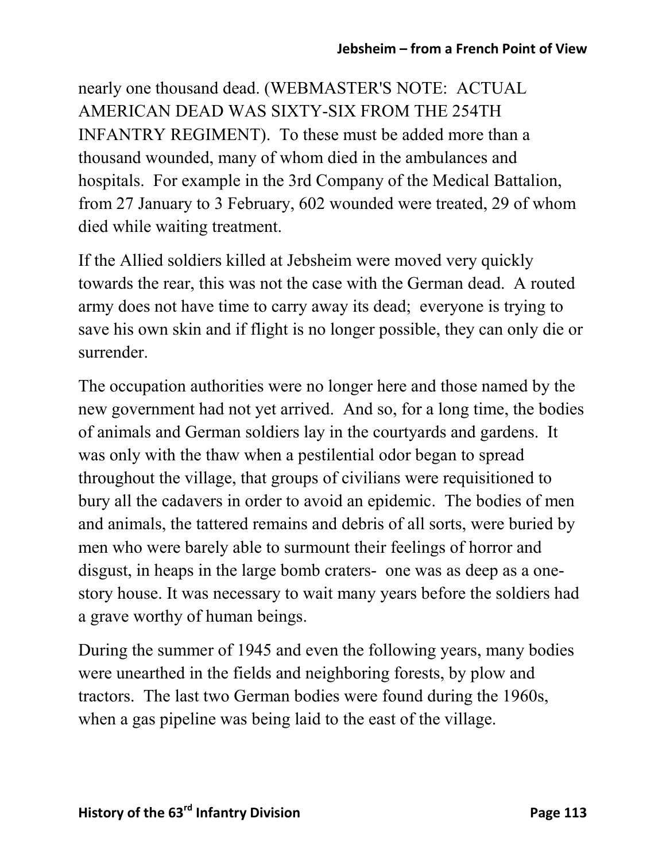nearly one thousand dead. (WEBMASTER'S NOTE: ACTUAL AMERICAN DEAD WAS SIXTY-SIX FROM THE 254TH INFANTRY REGIMENT). To these must be added more than a thousand wounded, many of whom died in the ambulances and hospitals. For example in the 3rd Company of the Medical Battalion, from 27 January to 3 February, 602 wounded were treated, 29 of whom died while waiting treatment.

If the Allied soldiers killed at Jebsheim were moved very quickly towards the rear, this was not the case with the German dead. A routed army does not have time to carry away its dead; everyone is trying to save his own skin and if flight is no longer possible, they can only die or surrender.

The occupation authorities were no longer here and those named by the new government had not yet arrived. And so, for a long time, the bodies of animals and German soldiers lay in the courtyards and gardens. It was only with the thaw when a pestilential odor began to spread throughout the village, that groups of civilians were requisitioned to bury all the cadavers in order to avoid an epidemic. The bodies of men and animals, the tattered remains and debris of all sorts, were buried by men who were barely able to surmount their feelings of horror and disgust, in heaps in the large bomb craters- one was as deep as a onestory house. It was necessary to wait many years before the soldiers had a grave worthy of human beings.

During the summer of 1945 and even the following years, many bodies were unearthed in the fields and neighboring forests, by plow and tractors. The last two German bodies were found during the 1960s, when a gas pipeline was being laid to the east of the village.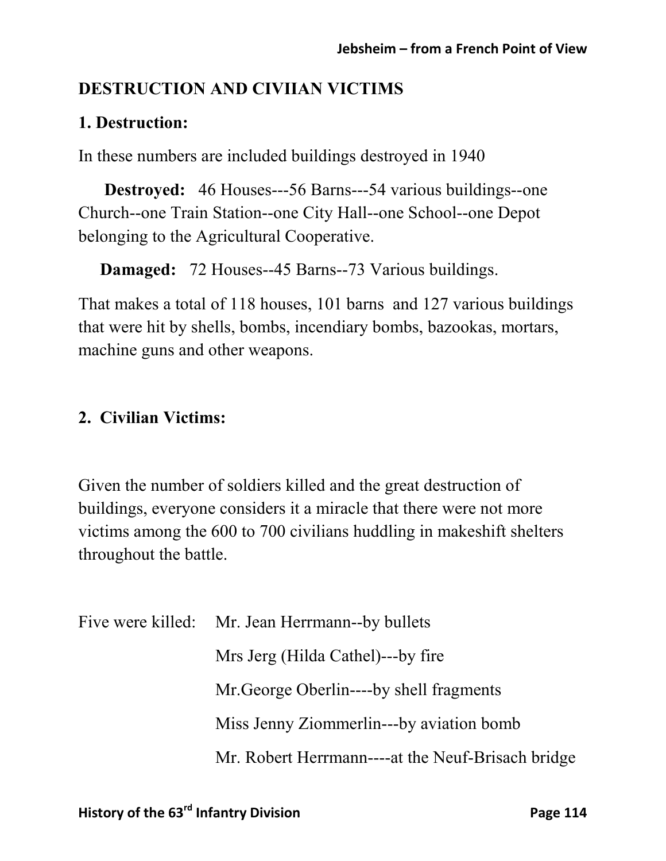### **DESTRUCTION AND CIVIIAN VICTIMS**

#### **1. Destruction:**

In these numbers are included buildings destroyed in 1940

**Destroyed:** 46 Houses---56 Barns---54 various buildings--one Church--one Train Station--one City Hall--one School--one Depot belonging to the Agricultural Cooperative.

**Damaged:** 72 Houses--45 Barns--73 Various buildings.

That makes a total of 118 houses, 101 barns and 127 various buildings that were hit by shells, bombs, incendiary bombs, bazookas, mortars, machine guns and other weapons.

### **2. Civilian Victims:**

Given the number of soldiers killed and the great destruction of buildings, everyone considers it a miracle that there were not more victims among the 600 to 700 civilians huddling in makeshift shelters throughout the battle.

|  | Five were killed: Mr. Jean Herrmann--by bullets   |
|--|---------------------------------------------------|
|  | Mrs Jerg (Hilda Cathel)---by fire                 |
|  | Mr. George Oberlin----by shell fragments          |
|  | Miss Jenny Ziommerlin---by aviation bomb          |
|  | Mr. Robert Herrmann----at the Neuf-Brisach bridge |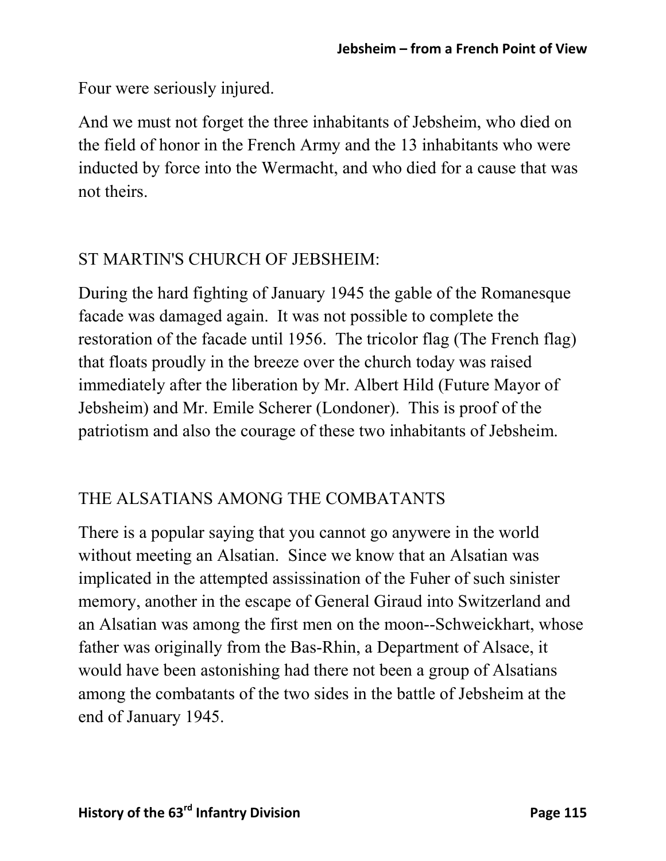Four were seriously injured.

And we must not forget the three inhabitants of Jebsheim, who died on the field of honor in the French Army and the 13 inhabitants who were inducted by force into the Wermacht, and who died for a cause that was not theirs.

## ST MARTIN'S CHURCH OF JEBSHEIM:

During the hard fighting of January 1945 the gable of the Romanesque facade was damaged again. It was not possible to complete the restoration of the facade until 1956. The tricolor flag (The French flag) that floats proudly in the breeze over the church today was raised immediately after the liberation by Mr. Albert Hild (Future Mayor of Jebsheim) and Mr. Emile Scherer (Londoner). This is proof of the patriotism and also the courage of these two inhabitants of Jebsheim.

## THE ALSATIANS AMONG THE COMBATANTS

There is a popular saying that you cannot go anywere in the world without meeting an Alsatian. Since we know that an Alsatian was implicated in the attempted assissination of the Fuher of such sinister memory, another in the escape of General Giraud into Switzerland and an Alsatian was among the first men on the moon--Schweickhart, whose father was originally from the Bas-Rhin, a Department of Alsace, it would have been astonishing had there not been a group of Alsatians among the combatants of the two sides in the battle of Jebsheim at the end of January 1945.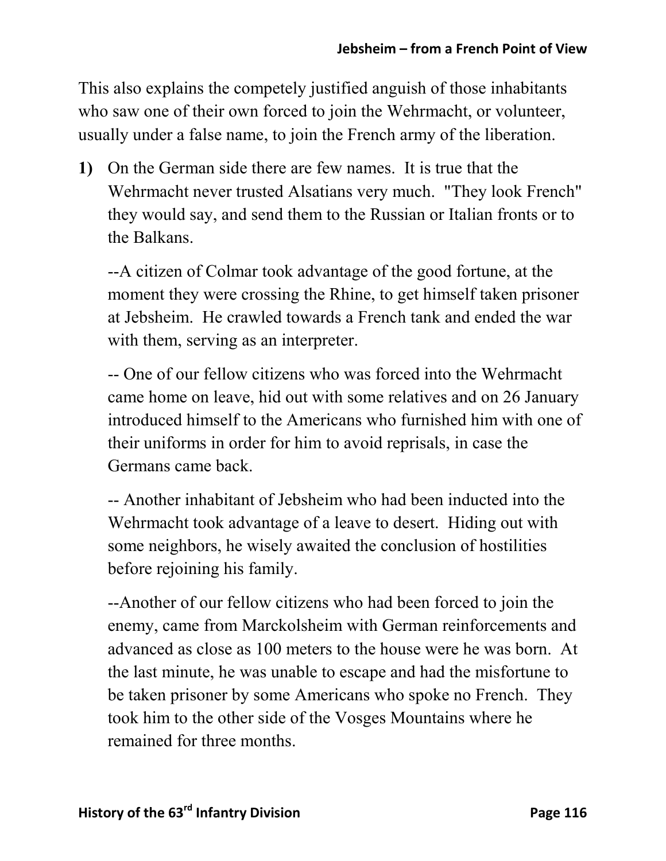This also explains the competely justified anguish of those inhabitants who saw one of their own forced to join the Wehrmacht, or volunteer, usually under a false name, to join the French army of the liberation.

**1)** On the German side there are few names. It is true that the Wehrmacht never trusted Alsatians very much. "They look French" they would say, and send them to the Russian or Italian fronts or to the Balkans.

--A citizen of Colmar took advantage of the good fortune, at the moment they were crossing the Rhine, to get himself taken prisoner at Jebsheim. He crawled towards a French tank and ended the war with them, serving as an interpreter.

-- One of our fellow citizens who was forced into the Wehrmacht came home on leave, hid out with some relatives and on 26 January introduced himself to the Americans who furnished him with one of their uniforms in order for him to avoid reprisals, in case the Germans came back.

-- Another inhabitant of Jebsheim who had been inducted into the Wehrmacht took advantage of a leave to desert. Hiding out with some neighbors, he wisely awaited the conclusion of hostilities before rejoining his family.

--Another of our fellow citizens who had been forced to join the enemy, came from Marckolsheim with German reinforcements and advanced as close as 100 meters to the house were he was born. At the last minute, he was unable to escape and had the misfortune to be taken prisoner by some Americans who spoke no French. They took him to the other side of the Vosges Mountains where he remained for three months.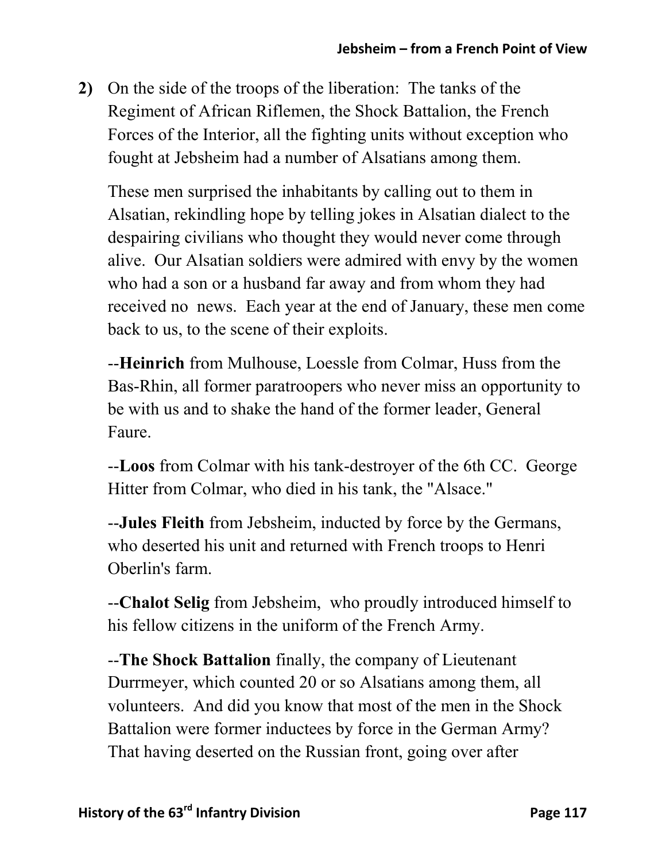**2)** On the side of the troops of the liberation: The tanks of the Regiment of African Riflemen, the Shock Battalion, the French Forces of the Interior, all the fighting units without exception who fought at Jebsheim had a number of Alsatians among them.

These men surprised the inhabitants by calling out to them in Alsatian, rekindling hope by telling jokes in Alsatian dialect to the despairing civilians who thought they would never come through alive. Our Alsatian soldiers were admired with envy by the women who had a son or a husband far away and from whom they had received no news. Each year at the end of January, these men come back to us, to the scene of their exploits.

--**Heinrich** from Mulhouse, Loessle from Colmar, Huss from the Bas-Rhin, all former paratroopers who never miss an opportunity to be with us and to shake the hand of the former leader, General Faure.

--**Loos** from Colmar with his tank-destroyer of the 6th CC. George Hitter from Colmar, who died in his tank, the "Alsace."

--**Jules Fleith** from Jebsheim, inducted by force by the Germans, who deserted his unit and returned with French troops to Henri Oberlin's farm.

--**Chalot Selig** from Jebsheim, who proudly introduced himself to his fellow citizens in the uniform of the French Army.

--**The Shock Battalion** finally, the company of Lieutenant Durrmeyer, which counted 20 or so Alsatians among them, all volunteers. And did you know that most of the men in the Shock Battalion were former inductees by force in the German Army? That having deserted on the Russian front, going over after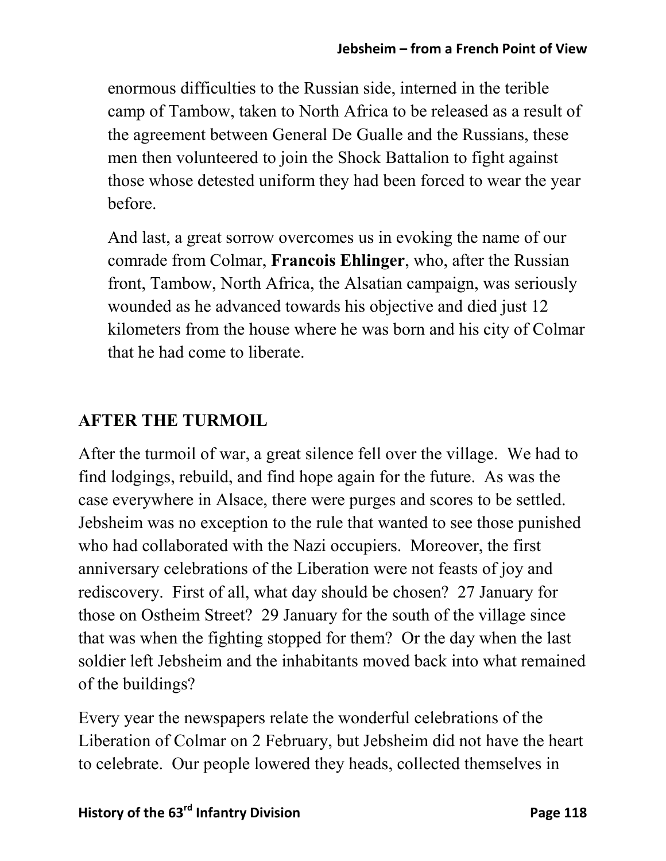enormous difficulties to the Russian side, interned in the terible camp of Tambow, taken to North Africa to be released as a result of the agreement between General De Gualle and the Russians, these men then volunteered to join the Shock Battalion to fight against those whose detested uniform they had been forced to wear the year before.

And last, a great sorrow overcomes us in evoking the name of our comrade from Colmar, **Francois Ehlinger**, who, after the Russian front, Tambow, North Africa, the Alsatian campaign, was seriously wounded as he advanced towards his objective and died just 12 kilometers from the house where he was born and his city of Colmar that he had come to liberate.

### **AFTER THE TURMOIL**

After the turmoil of war, a great silence fell over the village. We had to find lodgings, rebuild, and find hope again for the future. As was the case everywhere in Alsace, there were purges and scores to be settled. Jebsheim was no exception to the rule that wanted to see those punished who had collaborated with the Nazi occupiers. Moreover, the first anniversary celebrations of the Liberation were not feasts of joy and rediscovery. First of all, what day should be chosen? 27 January for those on Ostheim Street? 29 January for the south of the village since that was when the fighting stopped for them? Or the day when the last soldier left Jebsheim and the inhabitants moved back into what remained of the buildings?

Every year the newspapers relate the wonderful celebrations of the Liberation of Colmar on 2 February, but Jebsheim did not have the heart to celebrate. Our people lowered they heads, collected themselves in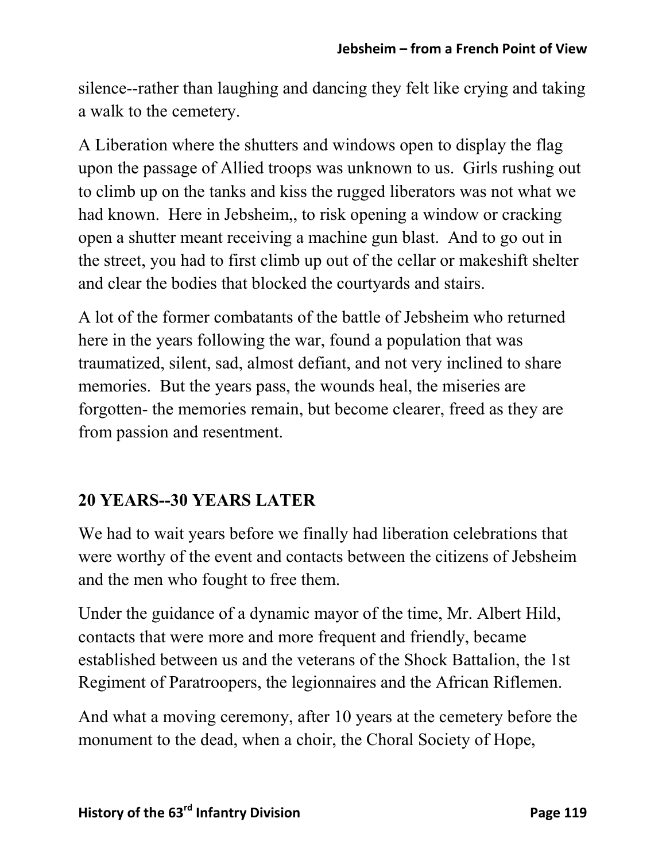silence--rather than laughing and dancing they felt like crying and taking a walk to the cemetery.

A Liberation where the shutters and windows open to display the flag upon the passage of Allied troops was unknown to us. Girls rushing out to climb up on the tanks and kiss the rugged liberators was not what we had known. Here in Jebsheim,, to risk opening a window or cracking open a shutter meant receiving a machine gun blast. And to go out in the street, you had to first climb up out of the cellar or makeshift shelter and clear the bodies that blocked the courtyards and stairs.

A lot of the former combatants of the battle of Jebsheim who returned here in the years following the war, found a population that was traumatized, silent, sad, almost defiant, and not very inclined to share memories. But the years pass, the wounds heal, the miseries are forgotten- the memories remain, but become clearer, freed as they are from passion and resentment.

### **20 YEARS--30 YEARS LATER**

We had to wait years before we finally had liberation celebrations that were worthy of the event and contacts between the citizens of Jebsheim and the men who fought to free them.

Under the guidance of a dynamic mayor of the time, Mr. Albert Hild, contacts that were more and more frequent and friendly, became established between us and the veterans of the Shock Battalion, the 1st Regiment of Paratroopers, the legionnaires and the African Riflemen.

And what a moving ceremony, after 10 years at the cemetery before the monument to the dead, when a choir, the Choral Society of Hope,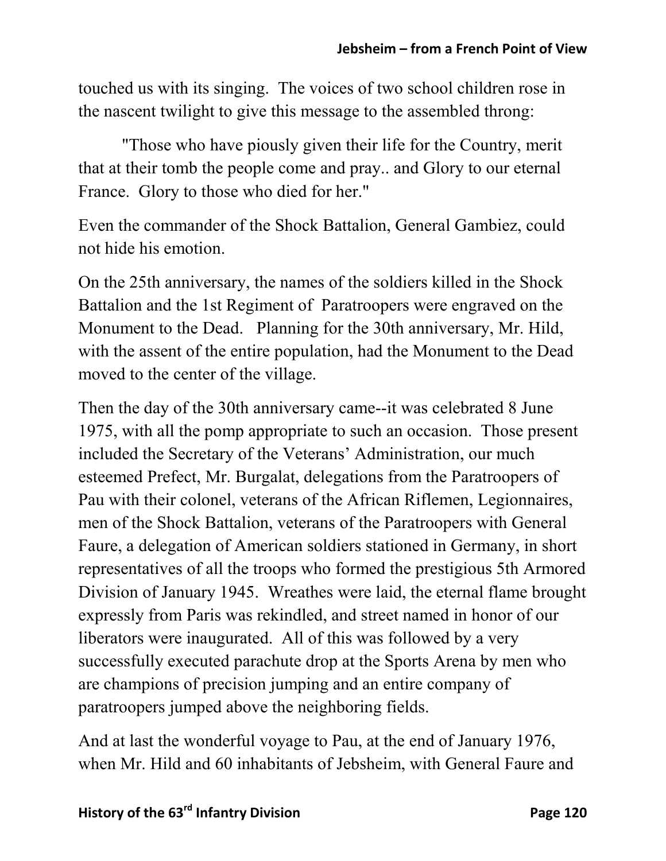touched us with its singing. The voices of two school children rose in the nascent twilight to give this message to the assembled throng:

 "Those who have piously given their life for the Country, merit that at their tomb the people come and pray.. and Glory to our eternal France. Glory to those who died for her."

Even the commander of the Shock Battalion, General Gambiez, could not hide his emotion.

On the 25th anniversary, the names of the soldiers killed in the Shock Battalion and the 1st Regiment of Paratroopers were engraved on the Monument to the Dead. Planning for the 30th anniversary, Mr. Hild, with the assent of the entire population, had the Monument to the Dead moved to the center of the village.

Then the day of the 30th anniversary came--it was celebrated 8 June 1975, with all the pomp appropriate to such an occasion. Those present included the Secretary of the Veterans' Administration, our much esteemed Prefect, Mr. Burgalat, delegations from the Paratroopers of Pau with their colonel, veterans of the African Riflemen, Legionnaires, men of the Shock Battalion, veterans of the Paratroopers with General Faure, a delegation of American soldiers stationed in Germany, in short representatives of all the troops who formed the prestigious 5th Armored Division of January 1945. Wreathes were laid, the eternal flame brought expressly from Paris was rekindled, and street named in honor of our liberators were inaugurated. All of this was followed by a very successfully executed parachute drop at the Sports Arena by men who are champions of precision jumping and an entire company of paratroopers jumped above the neighboring fields.

And at last the wonderful voyage to Pau, at the end of January 1976, when Mr. Hild and 60 inhabitants of Jebsheim, with General Faure and